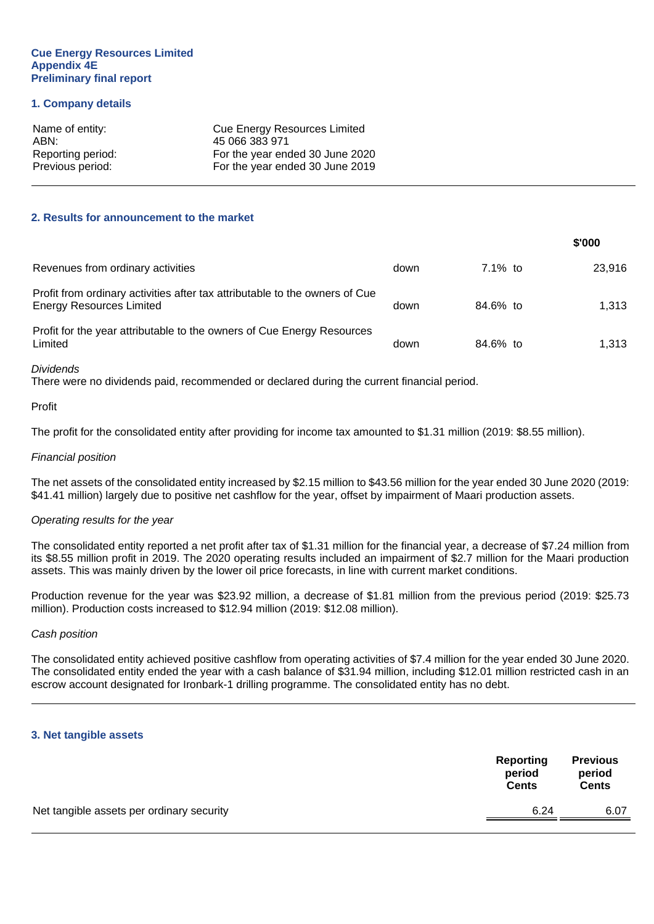#### **Cue Energy Resources Limited Appendix 4E Preliminary final report**

#### **1. Company details**

| Name of entity:   | <b>Cue Energy Resources Limited</b> |
|-------------------|-------------------------------------|
| ABN:              | 45 066 383 971                      |
| Reporting period: | For the year ended 30 June 2020     |
| Previous period:  | For the year ended 30 June 2019     |

#### **2. Results for announcement to the market**

|                                                                                                                |      |            | \$'000 |
|----------------------------------------------------------------------------------------------------------------|------|------------|--------|
| Revenues from ordinary activities                                                                              | down | $7.1\%$ to | 23.916 |
| Profit from ordinary activities after tax attributable to the owners of Cue<br><b>Energy Resources Limited</b> | down | 84.6% to   | 1.313  |
| Profit for the year attributable to the owners of Cue Energy Resources<br>Limited                              | down | 84.6% to   | 1.313  |

#### *Dividends*

There were no dividends paid, recommended or declared during the current financial period.

#### Profit

The profit for the consolidated entity after providing for income tax amounted to \$1.31 million (2019: \$8.55 million).

#### *Financial position*

The net assets of the consolidated entity increased by \$2.15 million to \$43.56 million for the year ended 30 June 2020 (2019: \$41.41 million) largely due to positive net cashflow for the year, offset by impairment of Maari production assets.

#### *Operating results for the year*

The consolidated entity reported a net profit after tax of \$1.31 million for the financial year, a decrease of \$7.24 million from its \$8.55 million profit in 2019. The 2020 operating results included an impairment of \$2.7 million for the Maari production assets. This was mainly driven by the lower oil price forecasts, in line with current market conditions.

Production revenue for the year was \$23.92 million, a decrease of \$1.81 million from the previous period (2019: \$25.73 million). Production costs increased to \$12.94 million (2019: \$12.08 million).

#### *Cash position*

The consolidated entity achieved positive cashflow from operating activities of \$7.4 million for the year ended 30 June 2020. The consolidated entity ended the year with a cash balance of \$31.94 million, including \$12.01 million restricted cash in an escrow account designated for Ironbark-1 drilling programme. The consolidated entity has no debt.

#### **3. Net tangible assets**

|                                           | Reporting<br>period<br><b>Cents</b> | <b>Previous</b><br>period<br><b>Cents</b> |
|-------------------------------------------|-------------------------------------|-------------------------------------------|
| Net tangible assets per ordinary security | 6.24                                | 6.07                                      |
|                                           |                                     |                                           |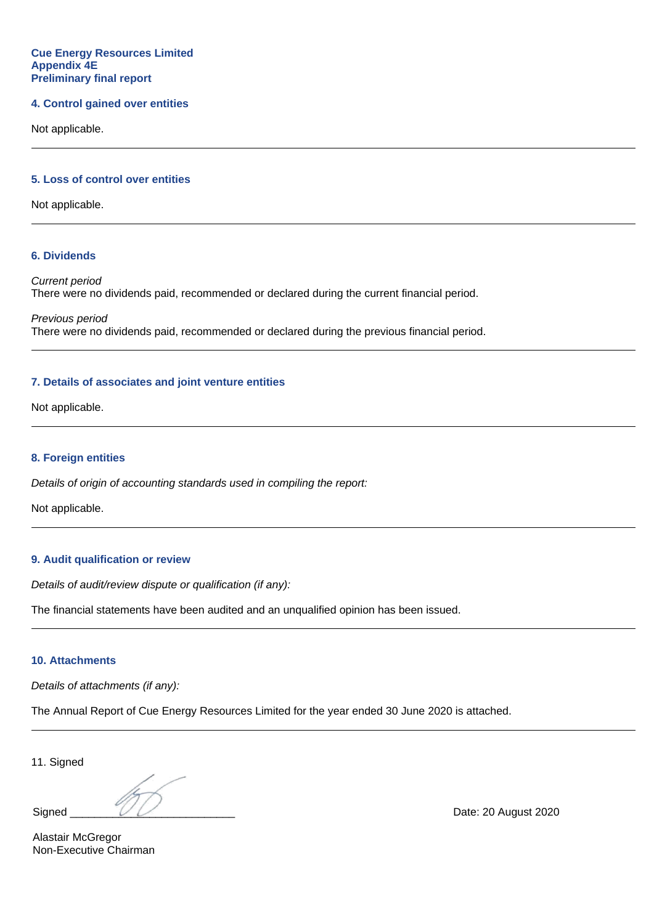#### **4. Control gained over entities**

Not applicable.

## **5. Loss of control over entities**

Not applicable.

#### **6. Dividends**

*Current period* There were no dividends paid, recommended or declared during the current financial period.

*Previous period* There were no dividends paid, recommended or declared during the previous financial period.

#### **7. Details of associates and joint venture entities**

Not applicable.

#### **8. Foreign entities**

*Details of origin of accounting standards used in compiling the report:*

Not applicable.

## **9. Audit qualification or review**

*Details of audit/review dispute or qualification (if any):*

The financial statements have been audited and an unqualified opinion has been issued.

## **10. Attachments**

*Details of attachments (if any):*

The Annual Report of Cue Energy Resources Limited for the year ended 30 June 2020 is attached.

11. Signed

Alastair McGregor Non-Executive Chairman

Signed  $\overline{\mathcal{U}}$  Date: 20 August 2020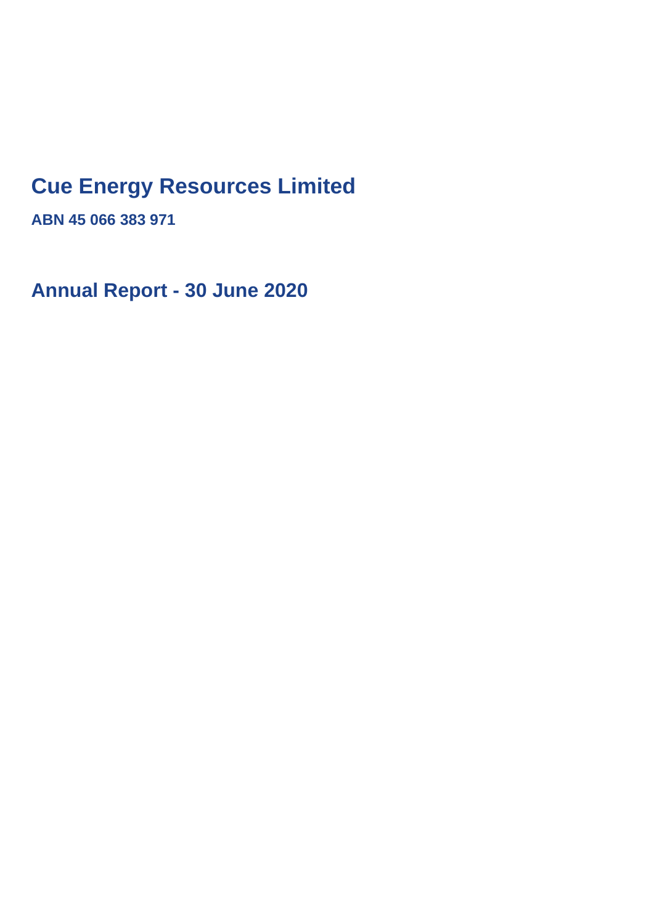## **Cue Energy Resources Limited**

**ABN 45 066 383 971**

**Annual Report - 30 June 2020**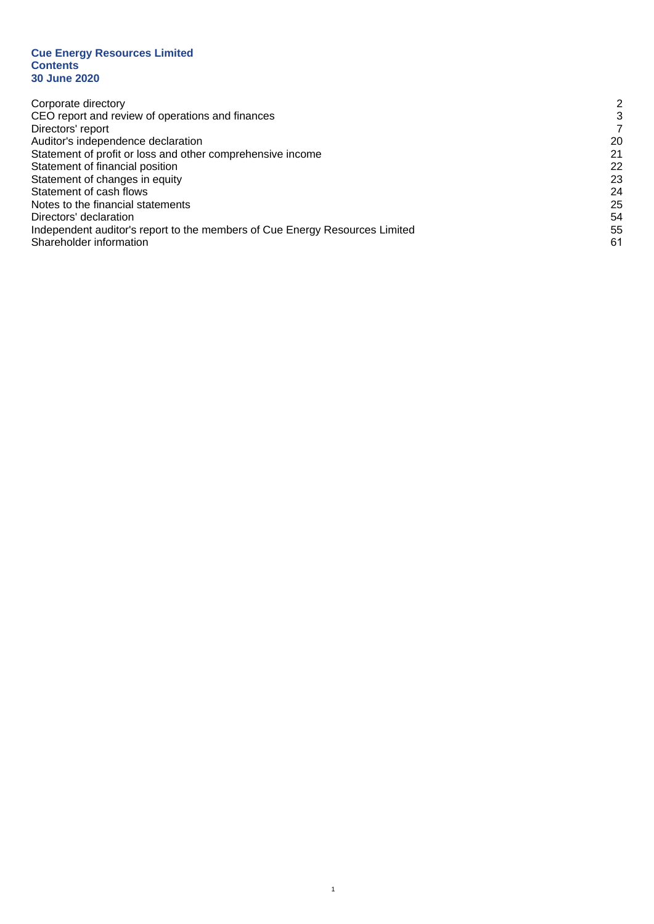#### **Cue Energy Resources Limited Contents 30 June 2020**

| Corporate directory                                                         | 2  |
|-----------------------------------------------------------------------------|----|
| CEO report and review of operations and finances                            | 3  |
| Directors' report                                                           |    |
| Auditor's independence declaration                                          | 20 |
| Statement of profit or loss and other comprehensive income                  | 21 |
| Statement of financial position                                             | 22 |
| Statement of changes in equity                                              | 23 |
| Statement of cash flows                                                     | 24 |
| Notes to the financial statements                                           | 25 |
| Directors' declaration                                                      | 54 |
| Independent auditor's report to the members of Cue Energy Resources Limited | 55 |
| Shareholder information                                                     | 61 |

1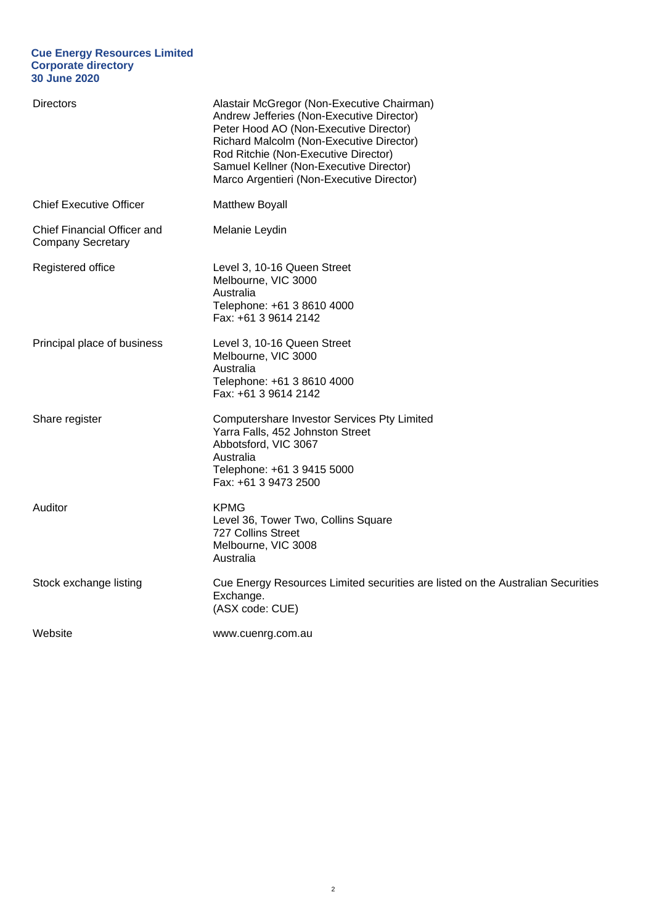#### **Cue Energy Resources Limited Corporate directory 30 June 2020**

| <b>Directors</b>                                        | Alastair McGregor (Non-Executive Chairman)<br>Andrew Jefferies (Non-Executive Director)<br>Peter Hood AO (Non-Executive Director)<br>Richard Malcolm (Non-Executive Director)<br>Rod Ritchie (Non-Executive Director)<br>Samuel Kellner (Non-Executive Director)<br>Marco Argentieri (Non-Executive Director) |
|---------------------------------------------------------|---------------------------------------------------------------------------------------------------------------------------------------------------------------------------------------------------------------------------------------------------------------------------------------------------------------|
| <b>Chief Executive Officer</b>                          | <b>Matthew Boyall</b>                                                                                                                                                                                                                                                                                         |
| Chief Financial Officer and<br><b>Company Secretary</b> | Melanie Leydin                                                                                                                                                                                                                                                                                                |
| Registered office                                       | Level 3, 10-16 Queen Street<br>Melbourne, VIC 3000<br>Australia<br>Telephone: +61 3 8610 4000<br>Fax: +61 3 9614 2142                                                                                                                                                                                         |
| Principal place of business                             | Level 3, 10-16 Queen Street<br>Melbourne, VIC 3000<br>Australia<br>Telephone: +61 3 8610 4000<br>Fax: +61 3 9614 2142                                                                                                                                                                                         |
| Share register                                          | Computershare Investor Services Pty Limited<br>Yarra Falls, 452 Johnston Street<br>Abbotsford, VIC 3067<br>Australia<br>Telephone: +61 3 9415 5000<br>Fax: +61 3 9473 2500                                                                                                                                    |
| Auditor                                                 | <b>KPMG</b><br>Level 36, Tower Two, Collins Square<br>727 Collins Street<br>Melbourne, VIC 3008<br>Australia                                                                                                                                                                                                  |
| Stock exchange listing                                  | Cue Energy Resources Limited securities are listed on the Australian Securities<br>Exchange.<br>(ASX code: CUE)                                                                                                                                                                                               |
| Website                                                 | www.cuenrg.com.au                                                                                                                                                                                                                                                                                             |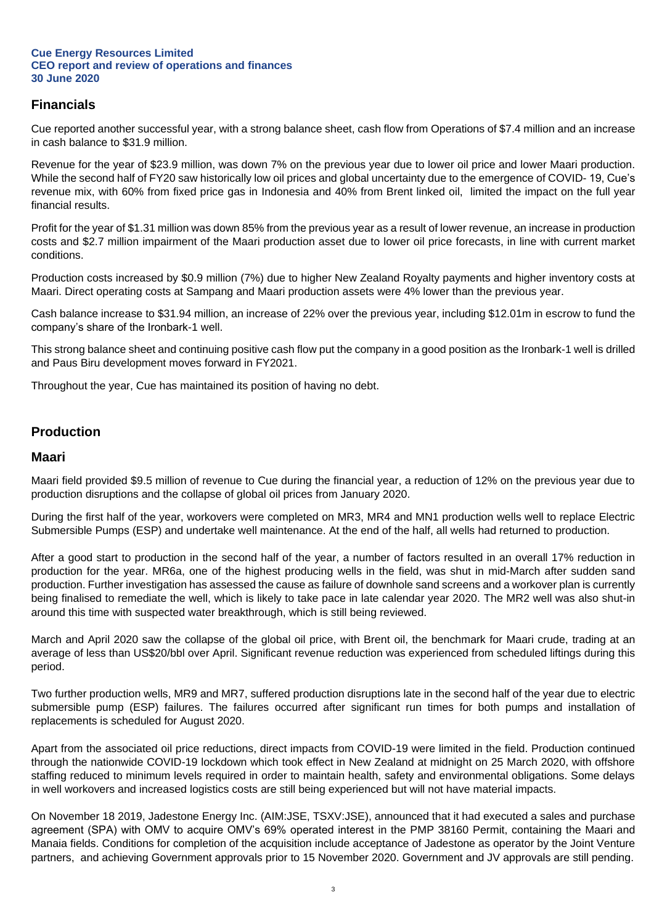## **Financials**

Cue reported another successful year, with a strong balance sheet, cash flow from Operations of \$7.4 million and an increase in cash balance to \$31.9 million.

Revenue for the year of \$23.9 million, was down 7% on the previous year due to lower oil price and lower Maari production. While the second half of FY20 saw historically low oil prices and global uncertainty due to the emergence of COVID- 19, Cue's revenue mix, with 60% from fixed price gas in Indonesia and 40% from Brent linked oil, limited the impact on the full year financial results.

Profit for the year of \$1.31 million was down 85% from the previous year as a result of lower revenue, an increase in production costs and \$2.7 million impairment of the Maari production asset due to lower oil price forecasts, in line with current market conditions.

Production costs increased by \$0.9 million (7%) due to higher New Zealand Royalty payments and higher inventory costs at Maari. Direct operating costs at Sampang and Maari production assets were 4% lower than the previous year.

Cash balance increase to \$31.94 million, an increase of 22% over the previous year, including \$12.01m in escrow to fund the company's share of the Ironbark-1 well.

This strong balance sheet and continuing positive cash flow put the company in a good position as the Ironbark-1 well is drilled and Paus Biru development moves forward in FY2021.

Throughout the year, Cue has maintained its position of having no debt.

## **Production**

## **Maari**

Maari field provided \$9.5 million of revenue to Cue during the financial year, a reduction of 12% on the previous year due to production disruptions and the collapse of global oil prices from January 2020.

During the first half of the year, workovers were completed on MR3, MR4 and MN1 production wells well to replace Electric Submersible Pumps (ESP) and undertake well maintenance. At the end of the half, all wells had returned to production.

After a good start to production in the second half of the year, a number of factors resulted in an overall 17% reduction in production for the year. MR6a, one of the highest producing wells in the field, was shut in mid-March after sudden sand production. Further investigation has assessed the cause as failure of downhole sand screens and a workover plan is currently being finalised to remediate the well, which is likely to take pace in late calendar year 2020. The MR2 well was also shut-in around this time with suspected water breakthrough, which is still being reviewed.

March and April 2020 saw the collapse of the global oil price, with Brent oil, the benchmark for Maari crude, trading at an average of less than US\$20/bbl over April. Significant revenue reduction was experienced from scheduled liftings during this period.

Two further production wells, MR9 and MR7, suffered production disruptions late in the second half of the year due to electric submersible pump (ESP) failures. The failures occurred after significant run times for both pumps and installation of replacements is scheduled for August 2020.

Apart from the associated oil price reductions, direct impacts from COVID-19 were limited in the field. Production continued through the nationwide COVID-19 lockdown which took effect in New Zealand at midnight on 25 March 2020, with offshore staffing reduced to minimum levels required in order to maintain health, safety and environmental obligations. Some delays in well workovers and increased logistics costs are still being experienced but will not have material impacts.

On November 18 2019, Jadestone Energy Inc. (AIM:JSE, TSXV:JSE), announced that it had executed a sales and purchase agreement (SPA) with OMV to acquire OMV's 69% operated interest in the PMP 38160 Permit, containing the Maari and Manaia fields. Conditions for completion of the acquisition include acceptance of Jadestone as operator by the Joint Venture partners, and achieving Government approvals prior to 15 November 2020. Government and JV approvals are still pending.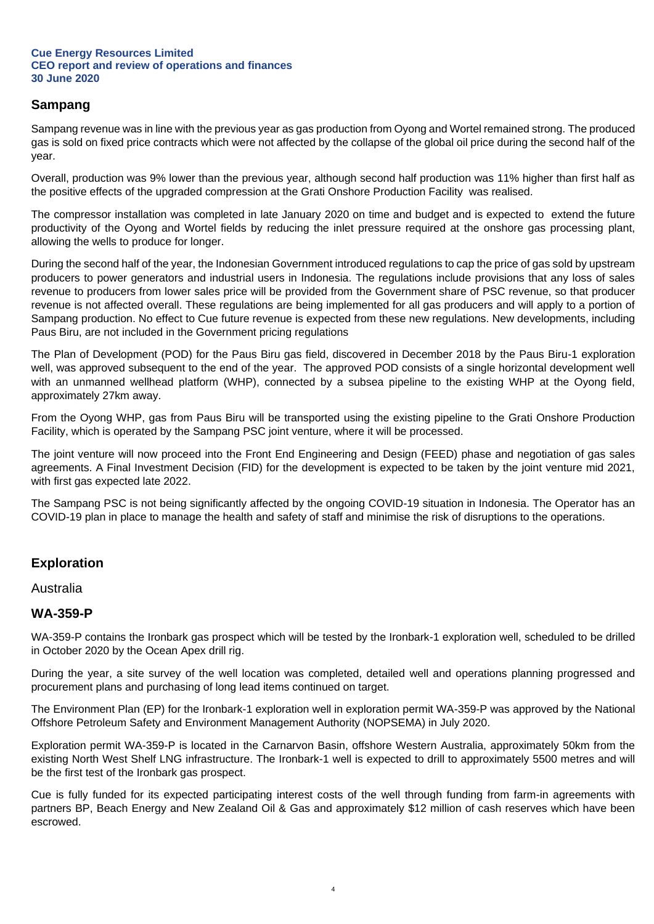## **Sampang**

Sampang revenue was in line with the previous year as gas production from Oyong and Wortel remained strong. The produced gas is sold on fixed price contracts which were not affected by the collapse of the global oil price during the second half of the year.

Overall, production was 9% lower than the previous year, although second half production was 11% higher than first half as the positive effects of the upgraded compression at the Grati Onshore Production Facility was realised.

The compressor installation was completed in late January 2020 on time and budget and is expected to extend the future productivity of the Oyong and Wortel fields by reducing the inlet pressure required at the onshore gas processing plant, allowing the wells to produce for longer.

During the second half of the year, the Indonesian Government introduced regulations to cap the price of gas sold by upstream producers to power generators and industrial users in Indonesia. The regulations include provisions that any loss of sales revenue to producers from lower sales price will be provided from the Government share of PSC revenue, so that producer revenue is not affected overall. These regulations are being implemented for all gas producers and will apply to a portion of Sampang production. No effect to Cue future revenue is expected from these new regulations. New developments, including Paus Biru, are not included in the Government pricing regulations

The Plan of Development (POD) for the Paus Biru gas field, discovered in December 2018 by the Paus Biru-1 exploration well, was approved subsequent to the end of the year. The approved POD consists of a single horizontal development well with an unmanned wellhead platform (WHP), connected by a subsea pipeline to the existing WHP at the Oyong field, approximately 27km away.

From the Oyong WHP, gas from Paus Biru will be transported using the existing pipeline to the Grati Onshore Production Facility, which is operated by the Sampang PSC joint venture, where it will be processed.

The joint venture will now proceed into the Front End Engineering and Design (FEED) phase and negotiation of gas sales agreements. A Final Investment Decision (FID) for the development is expected to be taken by the joint venture mid 2021, with first gas expected late 2022.

The Sampang PSC is not being significantly affected by the ongoing COVID-19 situation in Indonesia. The Operator has an COVID-19 plan in place to manage the health and safety of staff and minimise the risk of disruptions to the operations.

## **Exploration**

## Australia

## **WA-359-P**

WA-359-P contains the Ironbark gas prospect which will be tested by the Ironbark-1 exploration well, scheduled to be drilled in October 2020 by the Ocean Apex drill rig.

During the year, a site survey of the well location was completed, detailed well and operations planning progressed and procurement plans and purchasing of long lead items continued on target.

The Environment Plan (EP) for the Ironbark-1 exploration well in exploration permit WA-359-P was approved by the National Offshore Petroleum Safety and Environment Management Authority (NOPSEMA) in July 2020.

Exploration permit WA-359-P is located in the Carnarvon Basin, offshore Western Australia, approximately 50km from the existing North West Shelf LNG infrastructure. The Ironbark-1 well is expected to drill to approximately 5500 metres and will be the first test of the Ironbark gas prospect.

Cue is fully funded for its expected participating interest costs of the well through funding from farm-in agreements with partners BP, Beach Energy and New Zealand Oil & Gas and approximately \$12 million of cash reserves which have been escrowed.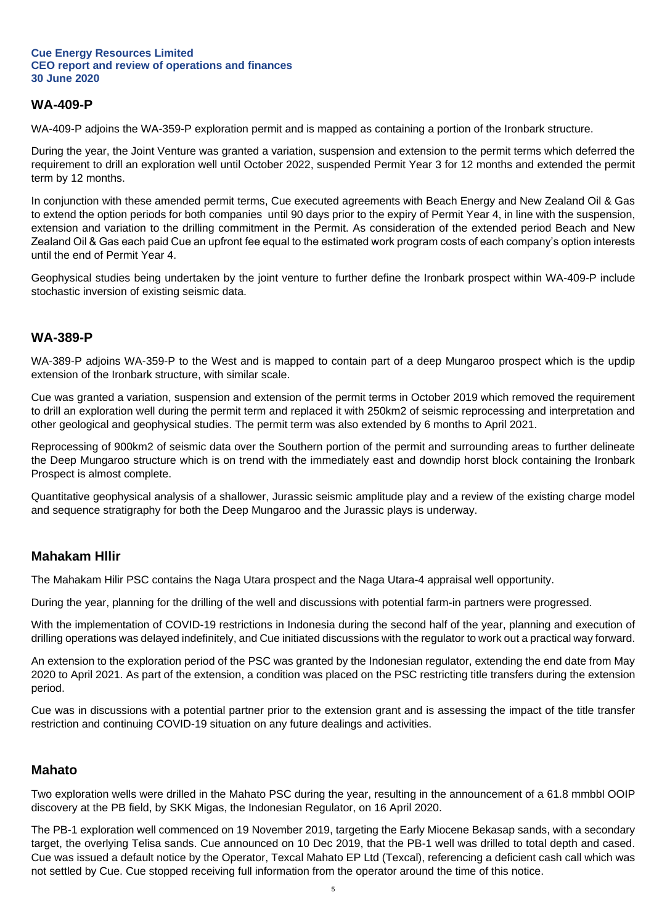## **WA-409-P**

WA-409-P adjoins the WA-359-P exploration permit and is mapped as containing a portion of the Ironbark structure.

During the year, the Joint Venture was granted a variation, suspension and extension to the permit terms which deferred the requirement to drill an exploration well until October 2022, suspended Permit Year 3 for 12 months and extended the permit term by 12 months.

In conjunction with these amended permit terms, Cue executed agreements with Beach Energy and New Zealand Oil & Gas to extend the option periods for both companies until 90 days prior to the expiry of Permit Year 4, in line with the suspension, extension and variation to the drilling commitment in the Permit. As consideration of the extended period Beach and New Zealand Oil & Gas each paid Cue an upfront fee equal to the estimated work program costs of each company's option interests until the end of Permit Year 4.

Geophysical studies being undertaken by the joint venture to further define the Ironbark prospect within WA-409-P include stochastic inversion of existing seismic data.

## **WA-389-P**

WA-389-P adjoins WA-359-P to the West and is mapped to contain part of a deep Mungaroo prospect which is the updip extension of the Ironbark structure, with similar scale.

Cue was granted a variation, suspension and extension of the permit terms in October 2019 which removed the requirement to drill an exploration well during the permit term and replaced it with 250km2 of seismic reprocessing and interpretation and other geological and geophysical studies. The permit term was also extended by 6 months to April 2021.

Reprocessing of 900km2 of seismic data over the Southern portion of the permit and surrounding areas to further delineate the Deep Mungaroo structure which is on trend with the immediately east and downdip horst block containing the Ironbark Prospect is almost complete.

Quantitative geophysical analysis of a shallower, Jurassic seismic amplitude play and a review of the existing charge model and sequence stratigraphy for both the Deep Mungaroo and the Jurassic plays is underway.

## **Mahakam Hllir**

The Mahakam Hilir PSC contains the Naga Utara prospect and the Naga Utara-4 appraisal well opportunity.

During the year, planning for the drilling of the well and discussions with potential farm-in partners were progressed.

With the implementation of COVID-19 restrictions in Indonesia during the second half of the year, planning and execution of drilling operations was delayed indefinitely, and Cue initiated discussions with the regulator to work out a practical way forward.

An extension to the exploration period of the PSC was granted by the Indonesian regulator, extending the end date from May 2020 to April 2021. As part of the extension, a condition was placed on the PSC restricting title transfers during the extension period.

Cue was in discussions with a potential partner prior to the extension grant and is assessing the impact of the title transfer restriction and continuing COVID-19 situation on any future dealings and activities.

## **Mahato**

Two exploration wells were drilled in the Mahato PSC during the year, resulting in the announcement of a 61.8 mmbbl OOIP discovery at the PB field, by SKK Migas, the Indonesian Regulator, on 16 April 2020.

The PB-1 exploration well commenced on 19 November 2019, targeting the Early Miocene Bekasap sands, with a secondary target, the overlying Telisa sands. Cue announced on 10 Dec 2019, that the PB-1 well was drilled to total depth and cased. Cue was issued a default notice by the Operator, Texcal Mahato EP Ltd (Texcal), referencing a deficient cash call which was not settled by Cue. Cue stopped receiving full information from the operator around the time of this notice.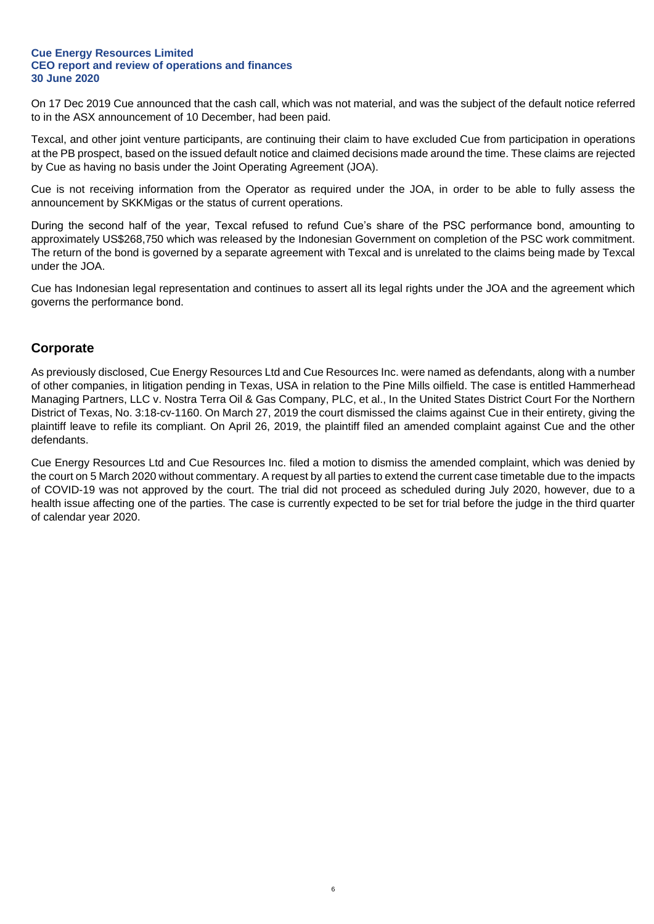On 17 Dec 2019 Cue announced that the cash call, which was not material, and was the subject of the default notice referred to in the ASX announcement of 10 December, had been paid.

Texcal, and other joint venture participants, are continuing their claim to have excluded Cue from participation in operations at the PB prospect, based on the issued default notice and claimed decisions made around the time. These claims are rejected by Cue as having no basis under the Joint Operating Agreement (JOA).

Cue is not receiving information from the Operator as required under the JOA, in order to be able to fully assess the announcement by SKKMigas or the status of current operations.

During the second half of the year, Texcal refused to refund Cue's share of the PSC performance bond, amounting to approximately US\$268,750 which was released by the Indonesian Government on completion of the PSC work commitment. The return of the bond is governed by a separate agreement with Texcal and is unrelated to the claims being made by Texcal under the JOA.

Cue has Indonesian legal representation and continues to assert all its legal rights under the JOA and the agreement which governs the performance bond.

## **Corporate**

As previously disclosed, Cue Energy Resources Ltd and Cue Resources Inc. were named as defendants, along with a number of other companies, in litigation pending in Texas, USA in relation to the Pine Mills oilfield. The case is entitled Hammerhead Managing Partners, LLC v. Nostra Terra Oil & Gas Company, PLC, et al., In the United States District Court For the Northern District of Texas, No. 3:18-cv-1160. On March 27, 2019 the court dismissed the claims against Cue in their entirety, giving the plaintiff leave to refile its compliant. On April 26, 2019, the plaintiff filed an amended complaint against Cue and the other defendants.

Cue Energy Resources Ltd and Cue Resources Inc. filed a motion to dismiss the amended complaint, which was denied by the court on 5 March 2020 without commentary. A request by all parties to extend the current case timetable due to the impacts of COVID-19 was not approved by the court. The trial did not proceed as scheduled during July 2020, however, due to a health issue affecting one of the parties. The case is currently expected to be set for trial before the judge in the third quarter of calendar year 2020.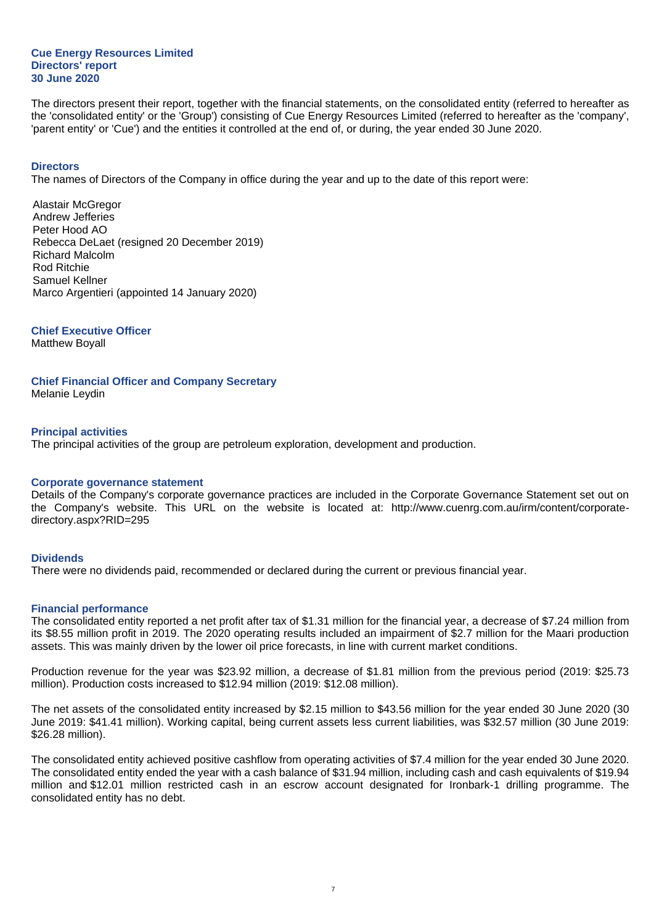The directors present their report, together with the financial statements, on the consolidated entity (referred to hereafter as the 'consolidated entity' or the 'Group') consisting of Cue Energy Resources Limited (referred to hereafter as the 'company', 'parent entity' or 'Cue') and the entities it controlled at the end of, or during, the year ended 30 June 2020.

#### **Directors**

The names of Directors of the Company in office during the year and up to the date of this report were:

Alastair McGregor Andrew Jefferies Peter Hood AO Rebecca DeLaet (resigned 20 December 2019) Richard Malcolm Rod Ritchie Samuel Kellner Marco Argentieri (appointed 14 January 2020)

**Chief Executive Officer**

Matthew Boyall

**Chief Financial Officer and Company Secretary**

Melanie Leydin

#### **Principal activities**

The principal activities of the group are petroleum exploration, development and production.

#### **Corporate governance statement**

Details of the Company's corporate governance practices are included in the Corporate Governance Statement set out on the Company's website. This URL on the website is located at: http://www.cuenrg.com.au/irm/content/corporatedirectory.aspx?RID=295

#### **Dividends**

There were no dividends paid, recommended or declared during the current or previous financial year.

#### **Financial performance**

The consolidated entity reported a net profit after tax of \$1.31 million for the financial year, a decrease of \$7.24 million from its \$8.55 million profit in 2019. The 2020 operating results included an impairment of \$2.7 million for the Maari production assets. This was mainly driven by the lower oil price forecasts, in line with current market conditions.

Production revenue for the year was \$23.92 million, a decrease of \$1.81 million from the previous period (2019: \$25.73 million). Production costs increased to \$12.94 million (2019: \$12.08 million).

The net assets of the consolidated entity increased by \$2.15 million to \$43.56 million for the year ended 30 June 2020 (30 June 2019: \$41.41 million). Working capital, being current assets less current liabilities, was \$32.57 million (30 June 2019: \$26.28 million).

The consolidated entity achieved positive cashflow from operating activities of \$7.4 million for the year ended 30 June 2020. The consolidated entity ended the year with a cash balance of \$31.94 million, including cash and cash equivalents of \$19.94 million and \$12.01 million restricted cash in an escrow account designated for Ironbark-1 drilling programme. The consolidated entity has no debt.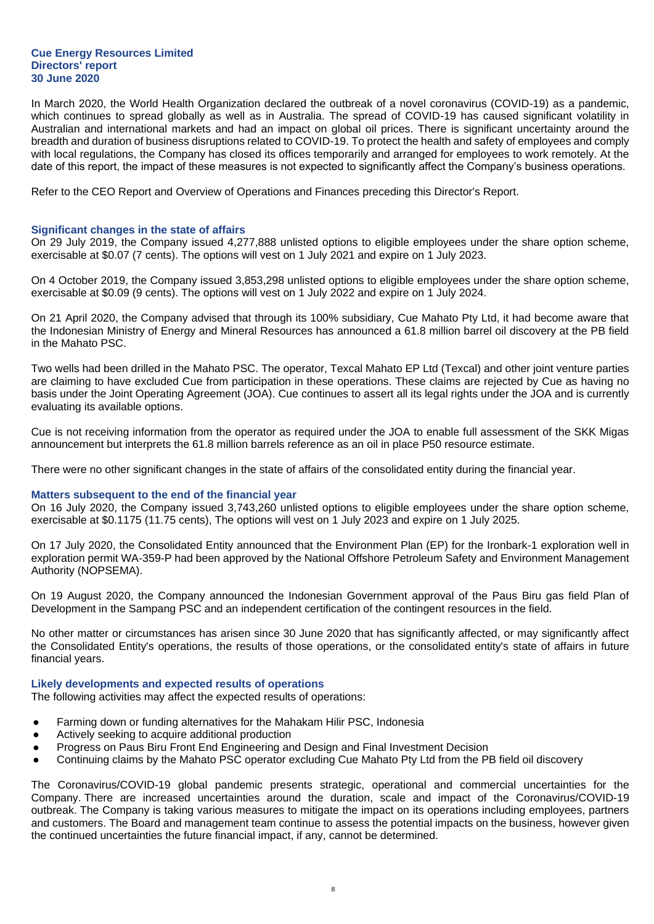In March 2020, the World Health Organization declared the outbreak of a novel coronavirus (COVID-19) as a pandemic, which continues to spread globally as well as in Australia. The spread of COVID-19 has caused significant volatility in Australian and international markets and had an impact on global oil prices. There is significant uncertainty around the breadth and duration of business disruptions related to COVID-19. To protect the health and safety of employees and comply with local regulations, the Company has closed its offices temporarily and arranged for employees to work remotely. At the date of this report, the impact of these measures is not expected to significantly affect the Company's business operations.

Refer to the CEO Report and Overview of Operations and Finances preceding this Director's Report.

#### **Significant changes in the state of affairs**

On 29 July 2019, the Company issued 4,277,888 unlisted options to eligible employees under the share option scheme, exercisable at \$0.07 (7 cents). The options will vest on 1 July 2021 and expire on 1 July 2023.

On 4 October 2019, the Company issued 3,853,298 unlisted options to eligible employees under the share option scheme, exercisable at \$0.09 (9 cents). The options will vest on 1 July 2022 and expire on 1 July 2024.

On 21 April 2020, the Company advised that through its 100% subsidiary, Cue Mahato Pty Ltd, it had become aware that the Indonesian Ministry of Energy and Mineral Resources has announced a 61.8 million barrel oil discovery at the PB field in the Mahato PSC.

Two wells had been drilled in the Mahato PSC. The operator, Texcal Mahato EP Ltd (Texcal) and other joint venture parties are claiming to have excluded Cue from participation in these operations. These claims are rejected by Cue as having no basis under the Joint Operating Agreement (JOA). Cue continues to assert all its legal rights under the JOA and is currently evaluating its available options.

Cue is not receiving information from the operator as required under the JOA to enable full assessment of the SKK Migas announcement but interprets the 61.8 million barrels reference as an oil in place P50 resource estimate.

There were no other significant changes in the state of affairs of the consolidated entity during the financial year.

#### **Matters subsequent to the end of the financial year**

On 16 July 2020, the Company issued 3,743,260 unlisted options to eligible employees under the share option scheme, exercisable at \$0.1175 (11.75 cents), The options will vest on 1 July 2023 and expire on 1 July 2025.

On 17 July 2020, the Consolidated Entity announced that the Environment Plan (EP) for the Ironbark-1 exploration well in exploration permit WA-359-P had been approved by the National Offshore Petroleum Safety and Environment Management Authority (NOPSEMA).

On 19 August 2020, the Company announced the Indonesian Government approval of the Paus Biru gas field Plan of Development in the Sampang PSC and an independent certification of the contingent resources in the field.

No other matter or circumstances has arisen since 30 June 2020 that has significantly affected, or may significantly affect the Consolidated Entity's operations, the results of those operations, or the consolidated entity's state of affairs in future financial years.

#### **Likely developments and expected results of operations**

The following activities may affect the expected results of operations:

- Farming down or funding alternatives for the Mahakam Hilir PSC, Indonesia
- Actively seeking to acquire additional production
- Progress on Paus Biru Front End Engineering and Design and Final Investment Decision
- Continuing claims by the Mahato PSC operator excluding Cue Mahato Pty Ltd from the PB field oil discovery

The Coronavirus/COVID-19 global pandemic presents strategic, operational and commercial uncertainties for the Company. There are increased uncertainties around the duration, scale and impact of the Coronavirus/COVID-19 outbreak. The Company is taking various measures to mitigate the impact on its operations including employees, partners and customers. The Board and management team continue to assess the potential impacts on the business, however given the continued uncertainties the future financial impact, if any, cannot be determined.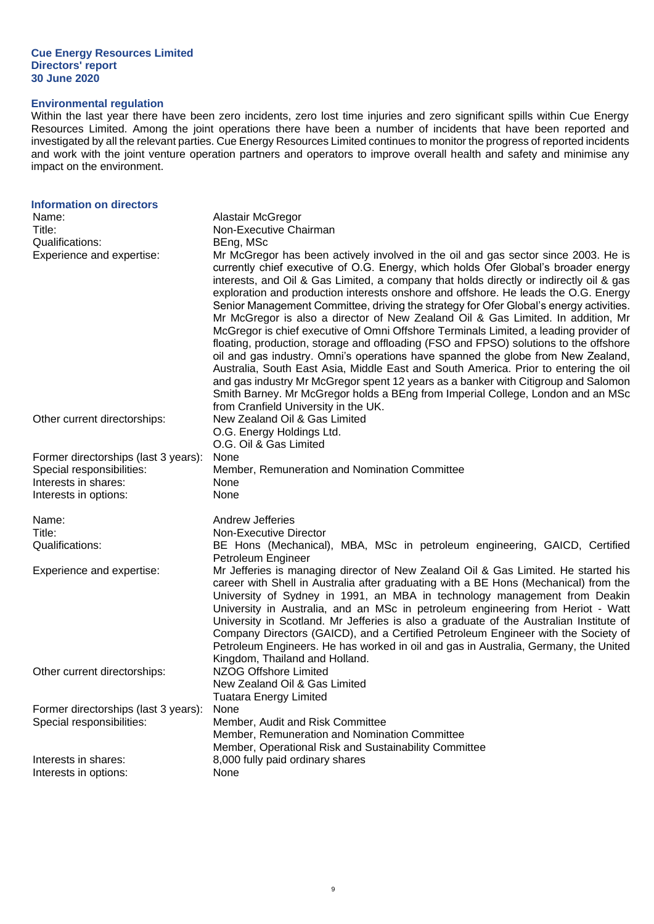## **Environmental regulation**

Within the last year there have been zero incidents, zero lost time injuries and zero significant spills within Cue Energy Resources Limited. Among the joint operations there have been a number of incidents that have been reported and investigated by all the relevant parties. Cue Energy Resources Limited continues to monitor the progress of reported incidents and work with the joint venture operation partners and operators to improve overall health and safety and minimise any impact on the environment.

| <b>Information on directors</b><br>Name:<br>Title:<br>Qualifications:<br>Experience and expertise:                 | Alastair McGregor<br>Non-Executive Chairman<br>BEng, MSc<br>Mr McGregor has been actively involved in the oil and gas sector since 2003. He is<br>currently chief executive of O.G. Energy, which holds Ofer Global's broader energy<br>interests, and Oil & Gas Limited, a company that holds directly or indirectly oil & gas<br>exploration and production interests onshore and offshore. He leads the O.G. Energy<br>Senior Management Committee, driving the strategy for Ofer Global's energy activities.<br>Mr McGregor is also a director of New Zealand Oil & Gas Limited. In addition, Mr<br>McGregor is chief executive of Omni Offshore Terminals Limited, a leading provider of<br>floating, production, storage and offloading (FSO and FPSO) solutions to the offshore<br>oil and gas industry. Omni's operations have spanned the globe from New Zealand,<br>Australia, South East Asia, Middle East and South America. Prior to entering the oil<br>and gas industry Mr McGregor spent 12 years as a banker with Citigroup and Salomon<br>Smith Barney. Mr McGregor holds a BEng from Imperial College, London and an MSc<br>from Cranfield University in the UK. |
|--------------------------------------------------------------------------------------------------------------------|-------------------------------------------------------------------------------------------------------------------------------------------------------------------------------------------------------------------------------------------------------------------------------------------------------------------------------------------------------------------------------------------------------------------------------------------------------------------------------------------------------------------------------------------------------------------------------------------------------------------------------------------------------------------------------------------------------------------------------------------------------------------------------------------------------------------------------------------------------------------------------------------------------------------------------------------------------------------------------------------------------------------------------------------------------------------------------------------------------------------------------------------------------------------------------------|
| Other current directorships:                                                                                       | New Zealand Oil & Gas Limited<br>O.G. Energy Holdings Ltd.<br>O.G. Oil & Gas Limited                                                                                                                                                                                                                                                                                                                                                                                                                                                                                                                                                                                                                                                                                                                                                                                                                                                                                                                                                                                                                                                                                                |
| Former directorships (last 3 years):<br>Special responsibilities:<br>Interests in shares:<br>Interests in options: | None<br>Member, Remuneration and Nomination Committee<br>None<br>None                                                                                                                                                                                                                                                                                                                                                                                                                                                                                                                                                                                                                                                                                                                                                                                                                                                                                                                                                                                                                                                                                                               |
| Name:                                                                                                              | Andrew Jefferies                                                                                                                                                                                                                                                                                                                                                                                                                                                                                                                                                                                                                                                                                                                                                                                                                                                                                                                                                                                                                                                                                                                                                                    |
| Title:<br>Qualifications:                                                                                          | Non-Executive Director<br>BE Hons (Mechanical), MBA, MSc in petroleum engineering, GAICD, Certified<br>Petroleum Engineer                                                                                                                                                                                                                                                                                                                                                                                                                                                                                                                                                                                                                                                                                                                                                                                                                                                                                                                                                                                                                                                           |
| Experience and expertise:                                                                                          | Mr Jefferies is managing director of New Zealand Oil & Gas Limited. He started his<br>career with Shell in Australia after graduating with a BE Hons (Mechanical) from the<br>University of Sydney in 1991, an MBA in technology management from Deakin<br>University in Australia, and an MSc in petroleum engineering from Heriot - Watt<br>University in Scotland. Mr Jefferies is also a graduate of the Australian Institute of<br>Company Directors (GAICD), and a Certified Petroleum Engineer with the Society of<br>Petroleum Engineers. He has worked in oil and gas in Australia, Germany, the United<br>Kingdom, Thailand and Holland.                                                                                                                                                                                                                                                                                                                                                                                                                                                                                                                                  |
| Other current directorships:                                                                                       | NZOG Offshore Limited<br>New Zealand Oil & Gas Limited<br><b>Tuatara Energy Limited</b>                                                                                                                                                                                                                                                                                                                                                                                                                                                                                                                                                                                                                                                                                                                                                                                                                                                                                                                                                                                                                                                                                             |
| Former directorships (last 3 years):<br>Special responsibilities:                                                  | None<br>Member, Audit and Risk Committee<br>Member, Remuneration and Nomination Committee<br>Member, Operational Risk and Sustainability Committee                                                                                                                                                                                                                                                                                                                                                                                                                                                                                                                                                                                                                                                                                                                                                                                                                                                                                                                                                                                                                                  |
| Interests in shares:<br>Interests in options:                                                                      | 8,000 fully paid ordinary shares<br>None                                                                                                                                                                                                                                                                                                                                                                                                                                                                                                                                                                                                                                                                                                                                                                                                                                                                                                                                                                                                                                                                                                                                            |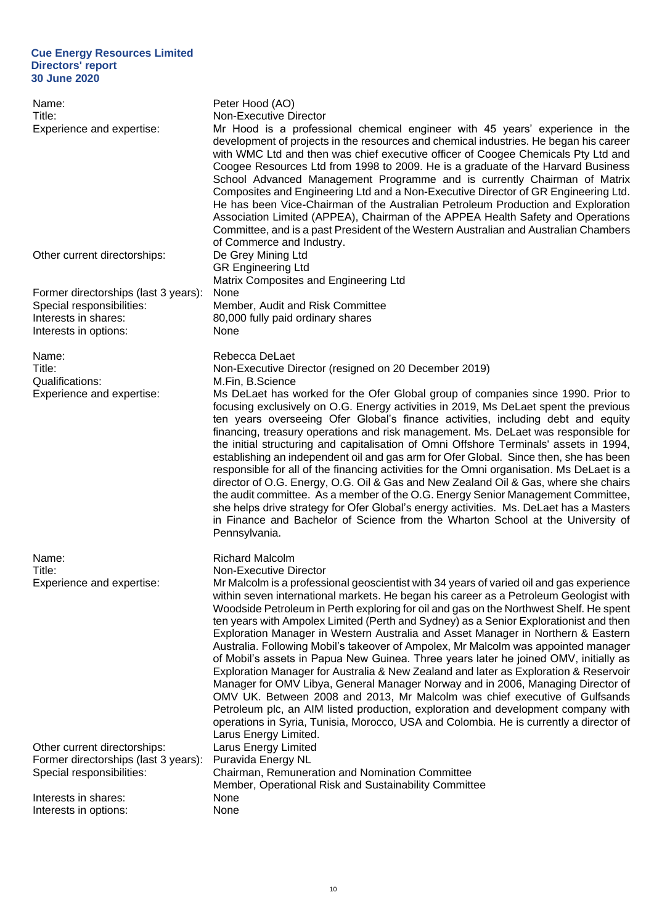| Name:<br>Title:<br>Experience and expertise:                                                                       | Peter Hood (AO)<br>Non-Executive Director<br>Mr Hood is a professional chemical engineer with 45 years' experience in the<br>development of projects in the resources and chemical industries. He began his career<br>with WMC Ltd and then was chief executive officer of Coogee Chemicals Pty Ltd and<br>Coogee Resources Ltd from 1998 to 2009. He is a graduate of the Harvard Business<br>School Advanced Management Programme and is currently Chairman of Matrix<br>Composites and Engineering Ltd and a Non-Executive Director of GR Engineering Ltd.<br>He has been Vice-Chairman of the Australian Petroleum Production and Exploration<br>Association Limited (APPEA), Chairman of the APPEA Health Safety and Operations<br>Committee, and is a past President of the Western Australian and Australian Chambers<br>of Commerce and Industry.                                                                                                                                                                                                                                                                                                   |
|--------------------------------------------------------------------------------------------------------------------|-------------------------------------------------------------------------------------------------------------------------------------------------------------------------------------------------------------------------------------------------------------------------------------------------------------------------------------------------------------------------------------------------------------------------------------------------------------------------------------------------------------------------------------------------------------------------------------------------------------------------------------------------------------------------------------------------------------------------------------------------------------------------------------------------------------------------------------------------------------------------------------------------------------------------------------------------------------------------------------------------------------------------------------------------------------------------------------------------------------------------------------------------------------|
| Other current directorships:                                                                                       | De Grey Mining Ltd<br><b>GR Engineering Ltd</b><br>Matrix Composites and Engineering Ltd                                                                                                                                                                                                                                                                                                                                                                                                                                                                                                                                                                                                                                                                                                                                                                                                                                                                                                                                                                                                                                                                    |
| Former directorships (last 3 years):<br>Special responsibilities:<br>Interests in shares:<br>Interests in options: | None<br>Member, Audit and Risk Committee<br>80,000 fully paid ordinary shares<br>None                                                                                                                                                                                                                                                                                                                                                                                                                                                                                                                                                                                                                                                                                                                                                                                                                                                                                                                                                                                                                                                                       |
| Name:<br>Title:                                                                                                    | Rebecca DeLaet<br>Non-Executive Director (resigned on 20 December 2019)                                                                                                                                                                                                                                                                                                                                                                                                                                                                                                                                                                                                                                                                                                                                                                                                                                                                                                                                                                                                                                                                                     |
| Qualifications:<br>Experience and expertise:                                                                       | M.Fin, B.Science<br>Ms DeLaet has worked for the Ofer Global group of companies since 1990. Prior to<br>focusing exclusively on O.G. Energy activities in 2019, Ms DeLaet spent the previous<br>ten years overseeing Ofer Global's finance activities, including debt and equity<br>financing, treasury operations and risk management. Ms. DeLaet was responsible for<br>the initial structuring and capitalisation of Omni Offshore Terminals' assets in 1994,<br>establishing an independent oil and gas arm for Ofer Global. Since then, she has been<br>responsible for all of the financing activities for the Omni organisation. Ms DeLaet is a<br>director of O.G. Energy, O.G. Oil & Gas and New Zealand Oil & Gas, where she chairs<br>the audit committee. As a member of the O.G. Energy Senior Management Committee,<br>she helps drive strategy for Ofer Global's energy activities. Ms. DeLaet has a Masters<br>in Finance and Bachelor of Science from the Wharton School at the University of<br>Pennsylvania.                                                                                                                             |
| Name:<br>Title:<br>Experience and expertise:                                                                       | <b>Richard Malcolm</b><br>Non-Executive Director<br>Mr Malcolm is a professional geoscientist with 34 years of varied oil and gas experience<br>within seven international markets. He began his career as a Petroleum Geologist with<br>Woodside Petroleum in Perth exploring for oil and gas on the Northwest Shelf. He spent<br>ten years with Ampolex Limited (Perth and Sydney) as a Senior Explorationist and then<br>Exploration Manager in Western Australia and Asset Manager in Northern & Eastern<br>Australia. Following Mobil's takeover of Ampolex, Mr Malcolm was appointed manager<br>of Mobil's assets in Papua New Guinea. Three years later he joined OMV, initially as<br>Exploration Manager for Australia & New Zealand and later as Exploration & Reservoir<br>Manager for OMV Libya, General Manager Norway and in 2006, Managing Director of<br>OMV UK. Between 2008 and 2013, Mr Malcolm was chief executive of Gulfsands<br>Petroleum plc, an AIM listed production, exploration and development company with<br>operations in Syria, Tunisia, Morocco, USA and Colombia. He is currently a director of<br>Larus Energy Limited. |
| Other current directorships:<br>Former directorships (last 3 years):<br>Special responsibilities:                  | Larus Energy Limited<br>Puravida Energy NL<br>Chairman, Remuneration and Nomination Committee<br>Member, Operational Risk and Sustainability Committee                                                                                                                                                                                                                                                                                                                                                                                                                                                                                                                                                                                                                                                                                                                                                                                                                                                                                                                                                                                                      |
| Interests in shares:<br>Interests in options:                                                                      | None<br>None                                                                                                                                                                                                                                                                                                                                                                                                                                                                                                                                                                                                                                                                                                                                                                                                                                                                                                                                                                                                                                                                                                                                                |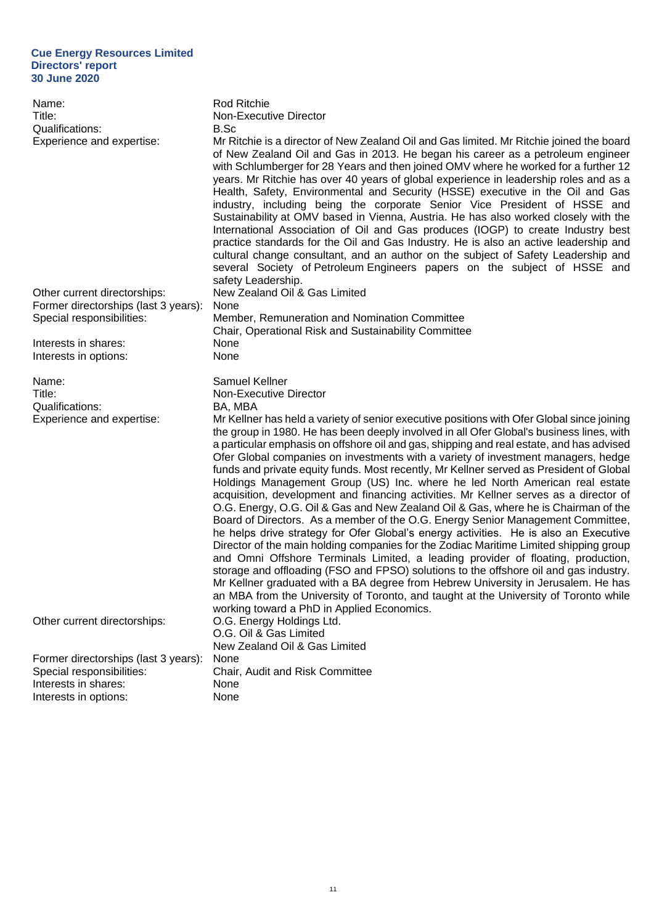| Name:<br>Title:<br>Qualifications:<br>Experience and expertise:                                   | Rod Ritchie<br><b>Non-Executive Director</b><br>B.Sc<br>Mr Ritchie is a director of New Zealand Oil and Gas limited. Mr Ritchie joined the board<br>of New Zealand Oil and Gas in 2013. He began his career as a petroleum engineer<br>with Schlumberger for 28 Years and then joined OMV where he worked for a further 12<br>years. Mr Ritchie has over 40 years of global experience in leadership roles and as a<br>Health, Safety, Environmental and Security (HSSE) executive in the Oil and Gas<br>industry, including being the corporate Senior Vice President of HSSE and<br>Sustainability at OMV based in Vienna, Austria. He has also worked closely with the<br>International Association of Oil and Gas produces (IOGP) to create Industry best<br>practice standards for the Oil and Gas Industry. He is also an active leadership and<br>cultural change consultant, and an author on the subject of Safety Leadership and<br>several Society of Petroleum Engineers papers on the subject of HSSE and<br>safety Leadership. |
|---------------------------------------------------------------------------------------------------|----------------------------------------------------------------------------------------------------------------------------------------------------------------------------------------------------------------------------------------------------------------------------------------------------------------------------------------------------------------------------------------------------------------------------------------------------------------------------------------------------------------------------------------------------------------------------------------------------------------------------------------------------------------------------------------------------------------------------------------------------------------------------------------------------------------------------------------------------------------------------------------------------------------------------------------------------------------------------------------------------------------------------------------------|
| Other current directorships:<br>Former directorships (last 3 years):<br>Special responsibilities: | New Zealand Oil & Gas Limited<br>None<br>Member, Remuneration and Nomination Committee                                                                                                                                                                                                                                                                                                                                                                                                                                                                                                                                                                                                                                                                                                                                                                                                                                                                                                                                                       |
|                                                                                                   | Chair, Operational Risk and Sustainability Committee                                                                                                                                                                                                                                                                                                                                                                                                                                                                                                                                                                                                                                                                                                                                                                                                                                                                                                                                                                                         |
| Interests in shares:                                                                              | None                                                                                                                                                                                                                                                                                                                                                                                                                                                                                                                                                                                                                                                                                                                                                                                                                                                                                                                                                                                                                                         |
| Interests in options:                                                                             | None                                                                                                                                                                                                                                                                                                                                                                                                                                                                                                                                                                                                                                                                                                                                                                                                                                                                                                                                                                                                                                         |
| Name:<br>Title:<br>Qualifications:<br>Experience and expertise:                                   | Samuel Kellner<br>Non-Executive Director<br>BA, MBA<br>Mr Kellner has held a variety of senior executive positions with Ofer Global since joining<br>the group in 1980. He has been deeply involved in all Ofer Global's business lines, with<br>a particular emphasis on offshore oil and gas, shipping and real estate, and has advised<br>Ofer Global companies on investments with a variety of investment managers, hedge<br>funds and private equity funds. Most recently, Mr Kellner served as President of Global<br>Holdings Management Group (US) Inc. where he led North American real estate<br>acquisition, development and financing activities. Mr Kellner serves as a director of<br>O.G. Energy, O.G. Oil & Gas and New Zealand Oil & Gas, where he is Chairman of the                                                                                                                                                                                                                                                      |
|                                                                                                   | Board of Directors. As a member of the O.G. Energy Senior Management Committee,<br>he helps drive strategy for Ofer Global's energy activities. He is also an Executive<br>Director of the main holding companies for the Zodiac Maritime Limited shipping group<br>and Omni Offshore Terminals Limited, a leading provider of floating, production,<br>storage and offloading (FSO and FPSO) solutions to the offshore oil and gas industry.<br>Mr Kellner graduated with a BA degree from Hebrew University in Jerusalem. He has<br>an MBA from the University of Toronto, and taught at the University of Toronto while<br>working toward a PhD in Applied Economics.                                                                                                                                                                                                                                                                                                                                                                     |
| Other current directorships:                                                                      | O.G. Energy Holdings Ltd.<br>O.G. Oil & Gas Limited<br>New Zealand Oil & Gas Limited                                                                                                                                                                                                                                                                                                                                                                                                                                                                                                                                                                                                                                                                                                                                                                                                                                                                                                                                                         |
| Former directorships (last 3 years):                                                              | None                                                                                                                                                                                                                                                                                                                                                                                                                                                                                                                                                                                                                                                                                                                                                                                                                                                                                                                                                                                                                                         |
| Special responsibilities:                                                                         | Chair, Audit and Risk Committee                                                                                                                                                                                                                                                                                                                                                                                                                                                                                                                                                                                                                                                                                                                                                                                                                                                                                                                                                                                                              |
| Interests in shares:                                                                              | None                                                                                                                                                                                                                                                                                                                                                                                                                                                                                                                                                                                                                                                                                                                                                                                                                                                                                                                                                                                                                                         |
| Interests in options:                                                                             | None                                                                                                                                                                                                                                                                                                                                                                                                                                                                                                                                                                                                                                                                                                                                                                                                                                                                                                                                                                                                                                         |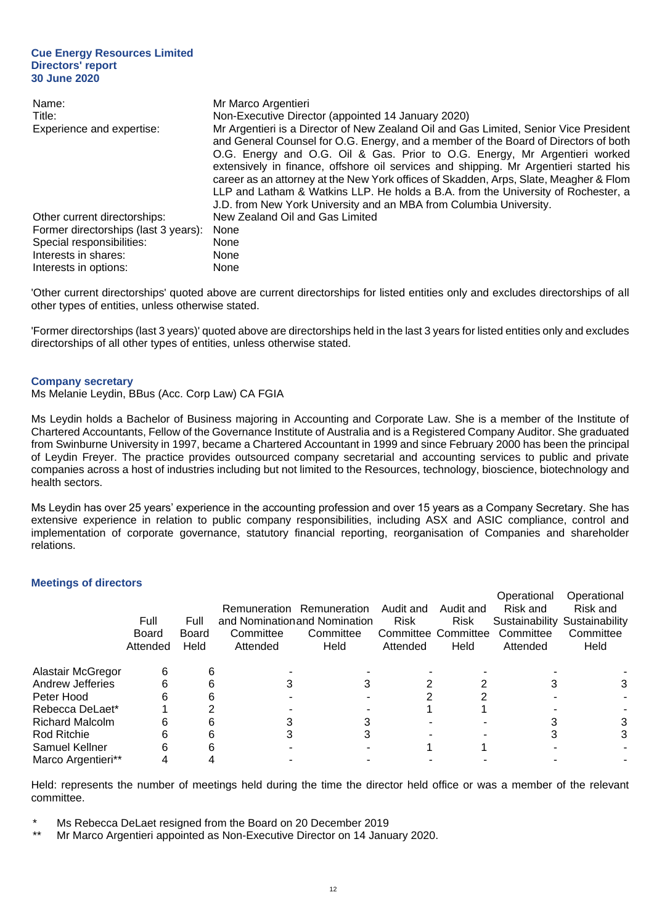| Name:                                | Mr Marco Argentieri                                                                                                                                                                                                                                                                                                                                                                                                                                                                                                                                                                                     |
|--------------------------------------|---------------------------------------------------------------------------------------------------------------------------------------------------------------------------------------------------------------------------------------------------------------------------------------------------------------------------------------------------------------------------------------------------------------------------------------------------------------------------------------------------------------------------------------------------------------------------------------------------------|
| Title:                               | Non-Executive Director (appointed 14 January 2020)                                                                                                                                                                                                                                                                                                                                                                                                                                                                                                                                                      |
| Experience and expertise:            | Mr Argentieri is a Director of New Zealand Oil and Gas Limited, Senior Vice President<br>and General Counsel for O.G. Energy, and a member of the Board of Directors of both<br>O.G. Energy and O.G. Oil & Gas. Prior to O.G. Energy, Mr Argentieri worked<br>extensively in finance, offshore oil services and shipping. Mr Argentieri started his<br>career as an attorney at the New York offices of Skadden, Arps, Slate, Meagher & Flom<br>LLP and Latham & Watkins LLP. He holds a B.A. from the University of Rochester, a<br>J.D. from New York University and an MBA from Columbia University. |
| Other current directorships:         | New Zealand Oil and Gas Limited                                                                                                                                                                                                                                                                                                                                                                                                                                                                                                                                                                         |
| Former directorships (last 3 years): | None                                                                                                                                                                                                                                                                                                                                                                                                                                                                                                                                                                                                    |
| Special responsibilities:            | None                                                                                                                                                                                                                                                                                                                                                                                                                                                                                                                                                                                                    |
| Interests in shares:                 | None                                                                                                                                                                                                                                                                                                                                                                                                                                                                                                                                                                                                    |
| Interests in options:                | None                                                                                                                                                                                                                                                                                                                                                                                                                                                                                                                                                                                                    |

'Other current directorships' quoted above are current directorships for listed entities only and excludes directorships of all other types of entities, unless otherwise stated.

'Former directorships (last 3 years)' quoted above are directorships held in the last 3 years for listed entities only and excludes directorships of all other types of entities, unless otherwise stated.

#### **Company secretary**

Ms Melanie Leydin, BBus (Acc. Corp Law) CA FGIA

Ms Leydin holds a Bachelor of Business majoring in Accounting and Corporate Law. She is a member of the Institute of Chartered Accountants, Fellow of the Governance Institute of Australia and is a Registered Company Auditor. She graduated from Swinburne University in 1997, became a Chartered Accountant in 1999 and since February 2000 has been the principal of Leydin Freyer. The practice provides outsourced company secretarial and accounting services to public and private companies across a host of industries including but not limited to the Resources, technology, bioscience, biotechnology and health sectors.

Ms Leydin has over 25 years' experience in the accounting profession and over 15 years as a Company Secretary. She has extensive experience in relation to public company responsibilities, including ASX and ASIC compliance, control and implementation of corporate governance, statutory financial reporting, reorganisation of Companies and shareholder relations.

## **Meetings of directors**

|                        |          |       |           |                               |                     |             | Operational | Operational                   |
|------------------------|----------|-------|-----------|-------------------------------|---------------------|-------------|-------------|-------------------------------|
|                        |          |       |           | Remuneration Remuneration     | Audit and           | Audit and   | Risk and    | Risk and                      |
|                        | Full     | Full  |           | and Nomination and Nomination | <b>Risk</b>         | <b>Risk</b> |             | Sustainability Sustainability |
|                        | Board    | Board | Committee | Committee                     | Committee Committee |             | Committee   | Committee                     |
|                        | Attended | Held  | Attended  | Held                          | Attended            | Held        | Attended    | Held                          |
| Alastair McGregor      | 6        | 6     |           |                               |                     |             |             |                               |
| Andrew Jefferies       | 6        | 6     |           |                               |                     |             |             | 3                             |
| Peter Hood             |          | 6     |           |                               |                     |             |             |                               |
| Rebecca DeLaet*        |          |       |           |                               |                     |             |             |                               |
| <b>Richard Malcolm</b> | 6        | 6     |           |                               |                     |             |             | 3                             |
| <b>Rod Ritchie</b>     | 6        | 6     |           |                               |                     |             |             | 3                             |
| Samuel Kellner         | 6        |       |           |                               |                     |             |             |                               |
| Marco Argentieri**     |          |       |           |                               |                     |             |             |                               |

Held: represents the number of meetings held during the time the director held office or was a member of the relevant committee.

- Ms Rebecca DeLaet resigned from the Board on 20 December 2019
- Mr Marco Argentieri appointed as Non-Executive Director on 14 January 2020.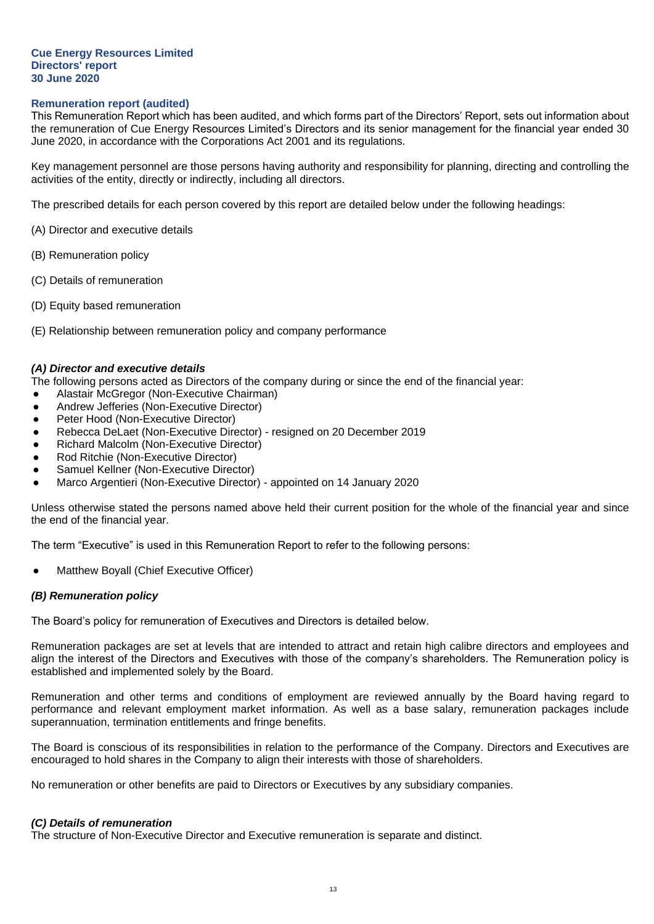#### **Remuneration report (audited)**

This Remuneration Report which has been audited, and which forms part of the Directors' Report, sets out information about the remuneration of Cue Energy Resources Limited's Directors and its senior management for the financial year ended 30 June 2020, in accordance with the Corporations Act 2001 and its regulations.

Key management personnel are those persons having authority and responsibility for planning, directing and controlling the activities of the entity, directly or indirectly, including all directors.

The prescribed details for each person covered by this report are detailed below under the following headings:

- (A) Director and executive details
- (B) Remuneration policy
- (C) Details of remuneration
- (D) Equity based remuneration
- (E) Relationship between remuneration policy and company performance

#### *(A) Director and executive details*

- The following persons acted as Directors of the company during or since the end of the financial year:
- Alastair McGregor (Non-Executive Chairman)
- Andrew Jefferies (Non-Executive Director)
- Peter Hood (Non-Executive Director)
- Rebecca DeLaet (Non-Executive Director) resigned on 20 December 2019
- Richard Malcolm (Non-Executive Director)
- Rod Ritchie (Non-Executive Director)
- Samuel Kellner (Non-Executive Director)
- Marco Argentieri (Non-Executive Director) appointed on 14 January 2020

Unless otherwise stated the persons named above held their current position for the whole of the financial year and since the end of the financial year.

The term "Executive" is used in this Remuneration Report to refer to the following persons:

Matthew Boyall (Chief Executive Officer)

#### *(B) Remuneration policy*

The Board's policy for remuneration of Executives and Directors is detailed below.

Remuneration packages are set at levels that are intended to attract and retain high calibre directors and employees and align the interest of the Directors and Executives with those of the company's shareholders. The Remuneration policy is established and implemented solely by the Board.

Remuneration and other terms and conditions of employment are reviewed annually by the Board having regard to performance and relevant employment market information. As well as a base salary, remuneration packages include superannuation, termination entitlements and fringe benefits.

The Board is conscious of its responsibilities in relation to the performance of the Company. Directors and Executives are encouraged to hold shares in the Company to align their interests with those of shareholders.

No remuneration or other benefits are paid to Directors or Executives by any subsidiary companies.

#### *(C) Details of remuneration*

The structure of Non-Executive Director and Executive remuneration is separate and distinct.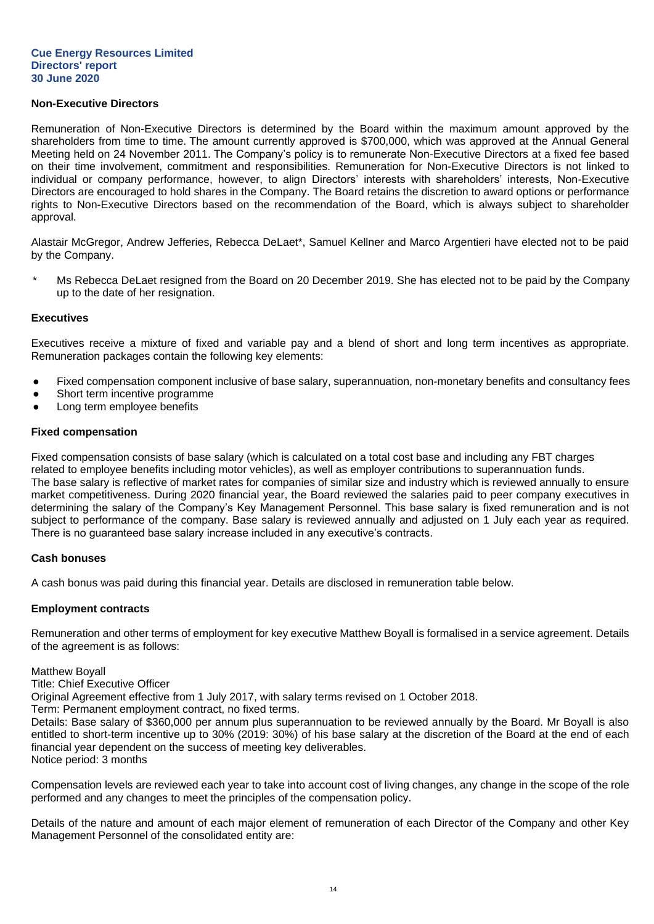## **Non-Executive Directors**

Remuneration of Non-Executive Directors is determined by the Board within the maximum amount approved by the shareholders from time to time. The amount currently approved is \$700,000, which was approved at the Annual General Meeting held on 24 November 2011. The Company's policy is to remunerate Non-Executive Directors at a fixed fee based on their time involvement, commitment and responsibilities. Remuneration for Non-Executive Directors is not linked to individual or company performance, however, to align Directors' interests with shareholders' interests, Non-Executive Directors are encouraged to hold shares in the Company. The Board retains the discretion to award options or performance rights to Non-Executive Directors based on the recommendation of the Board, which is always subject to shareholder approval.

Alastair McGregor, Andrew Jefferies, Rebecca DeLaet\*, Samuel Kellner and Marco Argentieri have elected not to be paid by the Company.

Ms Rebecca DeLaet resigned from the Board on 20 December 2019. She has elected not to be paid by the Company up to the date of her resignation.

#### **Executives**

Executives receive a mixture of fixed and variable pay and a blend of short and long term incentives as appropriate. Remuneration packages contain the following key elements:

- Fixed compensation component inclusive of base salary, superannuation, non-monetary benefits and consultancy fees
- Short term incentive programme
- Long term employee benefits

## **Fixed compensation**

Fixed compensation consists of base salary (which is calculated on a total cost base and including any FBT charges related to employee benefits including motor vehicles), as well as employer contributions to superannuation funds. The base salary is reflective of market rates for companies of similar size and industry which is reviewed annually to ensure market competitiveness. During 2020 financial year, the Board reviewed the salaries paid to peer company executives in determining the salary of the Company's Key Management Personnel. This base salary is fixed remuneration and is not subject to performance of the company. Base salary is reviewed annually and adjusted on 1 July each year as required. There is no guaranteed base salary increase included in any executive's contracts.

#### **Cash bonuses**

A cash bonus was paid during this financial year. Details are disclosed in remuneration table below.

#### **Employment contracts**

Remuneration and other terms of employment for key executive Matthew Boyall is formalised in a service agreement. Details of the agreement is as follows:

Matthew Boyall

Title: Chief Executive Officer

Original Agreement effective from 1 July 2017, with salary terms revised on 1 October 2018.

Term: Permanent employment contract, no fixed terms.

Details: Base salary of \$360,000 per annum plus superannuation to be reviewed annually by the Board. Mr Boyall is also entitled to short-term incentive up to 30% (2019: 30%) of his base salary at the discretion of the Board at the end of each financial year dependent on the success of meeting key deliverables. Notice period: 3 months

Compensation levels are reviewed each year to take into account cost of living changes, any change in the scope of the role performed and any changes to meet the principles of the compensation policy.

Details of the nature and amount of each major element of remuneration of each Director of the Company and other Key Management Personnel of the consolidated entity are: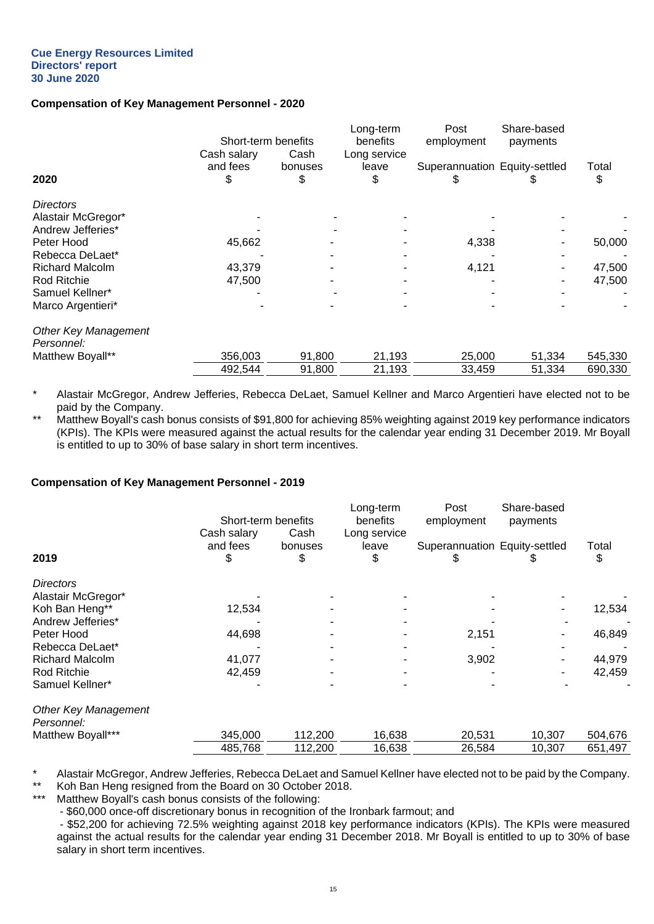## **Compensation of Key Management Personnel - 2020**

|                                           | Short-term benefits          |                 | Long-term<br>benefits | Post<br>employment            | Share-based<br>payments |             |
|-------------------------------------------|------------------------------|-----------------|-----------------------|-------------------------------|-------------------------|-------------|
| 2020                                      | Cash salary<br>and fees<br>Φ | Cash<br>bonuses | Long service<br>leave | Superannuation Equity-settled |                         | Total<br>\$ |
| <b>Directors</b>                          |                              |                 |                       |                               |                         |             |
| Alastair McGregor*                        |                              |                 |                       |                               |                         |             |
| Andrew Jefferies*                         |                              |                 |                       |                               |                         |             |
| Peter Hood                                | 45,662                       |                 |                       | 4,338                         |                         | 50,000      |
| Rebecca DeLaet*                           |                              |                 |                       |                               |                         |             |
| <b>Richard Malcolm</b>                    | 43,379                       |                 |                       | 4,121                         |                         | 47,500      |
| Rod Ritchie                               | 47,500                       |                 |                       |                               |                         | 47,500      |
| Samuel Kellner*                           |                              |                 |                       |                               |                         |             |
| Marco Argentieri*                         |                              |                 |                       |                               |                         |             |
| <b>Other Key Management</b><br>Personnel: |                              |                 |                       |                               |                         |             |
| Matthew Boyall**                          | 356,003                      | 91,800          | 21,193                | 25,000                        | 51,334                  | 545,330     |
|                                           | 492,544                      | 91,800          | 21,193                | 33,459                        | 51,334                  | 690,330     |

Alastair McGregor, Andrew Jefferies, Rebecca DeLaet, Samuel Kellner and Marco Argentieri have elected not to be paid by the Company.

\*\* Natthew Boyall's cash bonus consists of \$91,800 for achieving 85% weighting against 2019 key performance indicators (KPIs). The KPIs were measured against the actual results for the calendar year ending 31 December 2019. Mr Boyall is entitled to up to 30% of base salary in short term incentives.

#### **Compensation of Key Management Personnel - 2019**

|                                           | Short-term benefits           |                       | Long-term<br>benefits       | Post<br>employment            | Share-based<br>payments |             |  |
|-------------------------------------------|-------------------------------|-----------------------|-----------------------------|-------------------------------|-------------------------|-------------|--|
| 2019                                      | Cash salary<br>and fees<br>\$ | Cash<br>bonuses<br>\$ | Long service<br>leave<br>\$ | Superannuation Equity-settled |                         | Total<br>\$ |  |
| <b>Directors</b>                          |                               |                       |                             |                               |                         |             |  |
| Alastair McGregor*                        |                               |                       |                             |                               |                         |             |  |
| Koh Ban Heng**                            | 12,534                        |                       |                             |                               |                         | 12,534      |  |
| Andrew Jefferies*                         |                               |                       |                             |                               |                         |             |  |
| Peter Hood                                | 44,698                        |                       |                             | 2,151                         |                         | 46,849      |  |
| Rebecca DeLaet*                           |                               |                       |                             |                               |                         |             |  |
| <b>Richard Malcolm</b>                    | 41,077                        |                       |                             | 3,902                         |                         | 44,979      |  |
| Rod Ritchie                               | 42,459                        |                       |                             |                               |                         | 42,459      |  |
| Samuel Kellner*                           |                               |                       |                             |                               |                         |             |  |
| <b>Other Key Management</b><br>Personnel: |                               |                       |                             |                               |                         |             |  |
| Matthew Boyall***                         | 345,000                       | 112,200               | 16,638                      | 20,531                        | 10,307                  | 504,676     |  |
|                                           | 485,768                       | 112,200               | 16,638                      | 26,584                        | 10,307                  | 651,497     |  |
|                                           |                               |                       |                             |                               |                         |             |  |

\* Alastair McGregor, Andrew Jefferies, Rebecca DeLaet and Samuel Kellner have elected not to be paid by the Company.

\*\* Koh Ban Heng resigned from the Board on 30 October 2018.

Matthew Boyall's cash bonus consists of the following:

- \$60,000 once-off discretionary bonus in recognition of the Ironbark farmout; and

- \$52,200 for achieving 72.5% weighting against 2018 key performance indicators (KPIs). The KPIs were measured against the actual results for the calendar year ending 31 December 2018. Mr Boyall is entitled to up to 30% of base salary in short term incentives.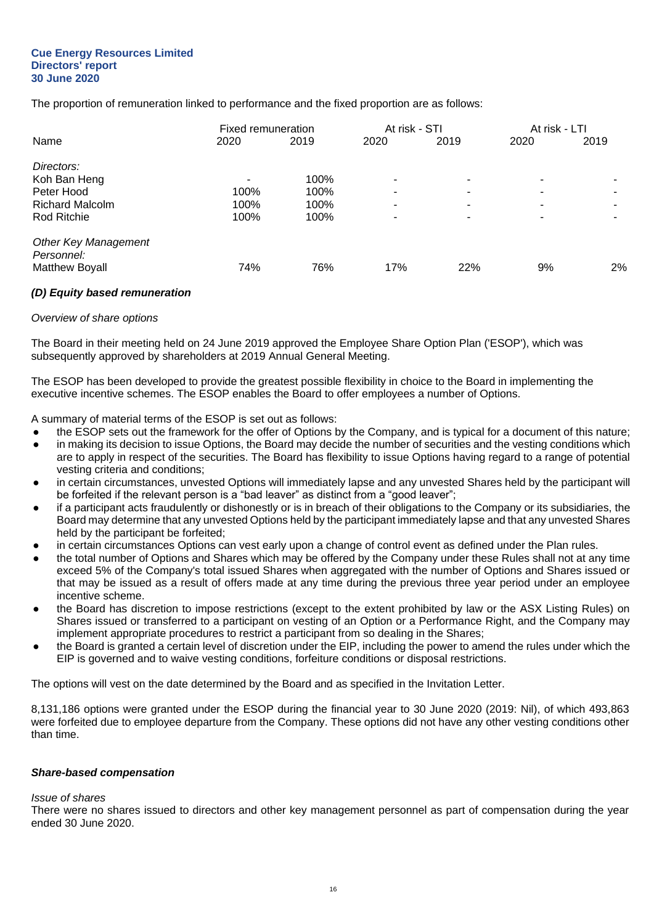The proportion of remuneration linked to performance and the fixed proportion are as follows:

|                                           | Fixed remuneration |      | At risk - STI |      | At risk - LTI |      |
|-------------------------------------------|--------------------|------|---------------|------|---------------|------|
| Name                                      | 2020               | 2019 | 2020          | 2019 | 2020          | 2019 |
| Directors:                                |                    |      |               |      |               |      |
| Koh Ban Heng                              |                    | 100% | ۰             | -    |               |      |
| Peter Hood                                | 100%               | 100% | ۰             |      |               |      |
| <b>Richard Malcolm</b>                    | 100%               | 100% | -             |      |               |      |
| Rod Ritchie                               | 100%               | 100% | -             |      |               |      |
| <b>Other Key Management</b><br>Personnel: |                    |      |               |      |               |      |
| <b>Matthew Boyall</b>                     | 74%                | 76%  | 17%           | 22%  | 9%            | 2%   |

## *(D) Equity based remuneration*

#### *Overview of share options*

The Board in their meeting held on 24 June 2019 approved the Employee Share Option Plan ('ESOP'), which was subsequently approved by shareholders at 2019 Annual General Meeting.

The ESOP has been developed to provide the greatest possible flexibility in choice to the Board in implementing the executive incentive schemes. The ESOP enables the Board to offer employees a number of Options.

A summary of material terms of the ESOP is set out as follows:

- the ESOP sets out the framework for the offer of Options by the Company, and is typical for a document of this nature;
- in making its decision to issue Options, the Board may decide the number of securities and the vesting conditions which are to apply in respect of the securities. The Board has flexibility to issue Options having regard to a range of potential vesting criteria and conditions;
- in certain circumstances, unvested Options will immediately lapse and any unvested Shares held by the participant will be forfeited if the relevant person is a "bad leaver" as distinct from a "good leaver";
- if a participant acts fraudulently or dishonestly or is in breach of their obligations to the Company or its subsidiaries, the Board may determine that any unvested Options held by the participant immediately lapse and that any unvested Shares held by the participant be forfeited;
- in certain circumstances Options can vest early upon a change of control event as defined under the Plan rules.
- the total number of Options and Shares which may be offered by the Company under these Rules shall not at any time exceed 5% of the Company's total issued Shares when aggregated with the number of Options and Shares issued or that may be issued as a result of offers made at any time during the previous three year period under an employee incentive scheme.
- the Board has discretion to impose restrictions (except to the extent prohibited by law or the ASX Listing Rules) on Shares issued or transferred to a participant on vesting of an Option or a Performance Right, and the Company may implement appropriate procedures to restrict a participant from so dealing in the Shares;
- the Board is granted a certain level of discretion under the EIP, including the power to amend the rules under which the EIP is governed and to waive vesting conditions, forfeiture conditions or disposal restrictions.

The options will vest on the date determined by the Board and as specified in the Invitation Letter.

8,131,186 options were granted under the ESOP during the financial year to 30 June 2020 (2019: Nil), of which 493,863 were forfeited due to employee departure from the Company. These options did not have any other vesting conditions other than time.

#### *Share-based compensation*

#### *Issue of shares*

There were no shares issued to directors and other key management personnel as part of compensation during the year ended 30 June 2020.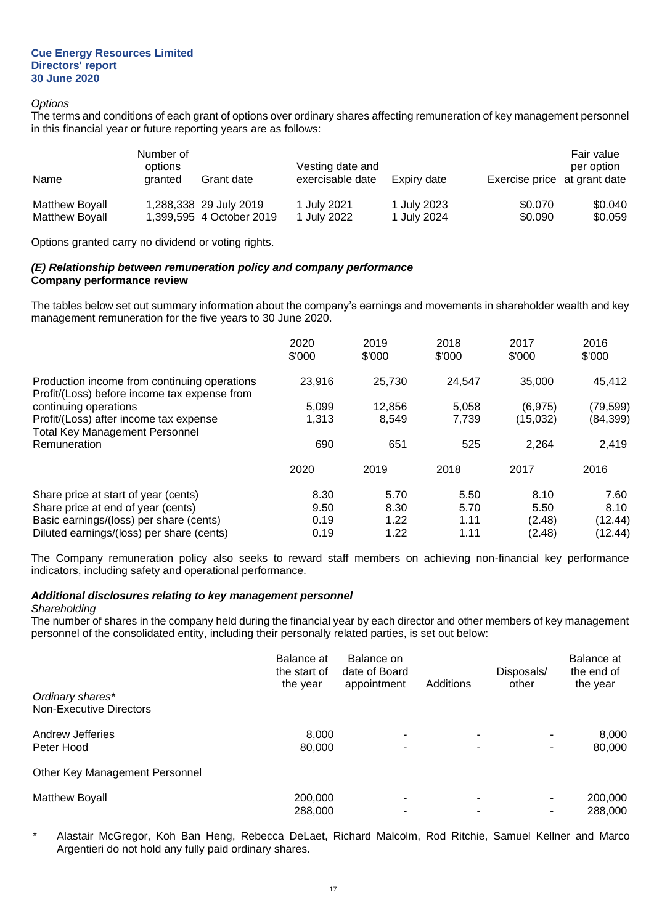#### *Options*

The terms and conditions of each grant of options over ordinary shares affecting remuneration of key management personnel in this financial year or future reporting years are as follows:

| Name                  | Number of<br>options<br>granted | Grant date               | Vesting date and<br>exercisable date | Expiry date | Exercise price at grant date | Fair value<br>per option |
|-----------------------|---------------------------------|--------------------------|--------------------------------------|-------------|------------------------------|--------------------------|
| Matthew Boyall        |                                 | 1,288,338 29 July 2019   | 1 July 2021                          | 1 July 2023 | \$0.070                      | \$0.040                  |
| <b>Matthew Boyall</b> |                                 | 1.399.595 4 October 2019 | 1 July 2022                          | 1 July 2024 | \$0.090                      | \$0.059                  |

Options granted carry no dividend or voting rights.

## *(E) Relationship between remuneration policy and company performance* **Company performance review**

The tables below set out summary information about the company's earnings and movements in shareholder wealth and key management remuneration for the five years to 30 June 2020.

|                                                                                              | 2020<br>\$'000 | 2019<br>\$'000 | 2018<br>\$'000 | 2017<br>\$'000 | 2016<br>\$'000 |
|----------------------------------------------------------------------------------------------|----------------|----------------|----------------|----------------|----------------|
| Production income from continuing operations<br>Profit/(Loss) before income tax expense from | 23,916         | 25,730         | 24.547         | 35,000         | 45,412         |
| continuing operations                                                                        | 5,099          | 12,856         | 5,058          | (6, 975)       | (79,599)       |
| Profit/(Loss) after income tax expense<br><b>Total Key Management Personnel</b>              | 1.313          | 8,549          | 7.739          | (15,032)       | (84, 399)      |
| Remuneration                                                                                 | 690            | 651            | 525            | 2.264          | 2,419          |
|                                                                                              | 2020           | 2019           | 2018           | 2017           | 2016           |
| Share price at start of year (cents)                                                         | 8.30           | 5.70           | 5.50           | 8.10           | 7.60           |
| Share price at end of year (cents)                                                           | 9.50           | 8.30           | 5.70           | 5.50           | 8.10           |
| Basic earnings/(loss) per share (cents)                                                      | 0.19           | 1.22           | 1.11           | (2.48)         | (12.44)        |
| Diluted earnings/(loss) per share (cents)                                                    | 0.19           | 1.22           | 1.11           | (2.48)         | (12.44)        |

The Company remuneration policy also seeks to reward staff members on achieving non-financial key performance indicators, including safety and operational performance.

## *Additional disclosures relating to key management personnel*

#### *Shareholding*

The number of shares in the company held during the financial year by each director and other members of key management personnel of the consolidated entity, including their personally related parties, is set out below:

|                                | Balance at<br>the start of<br>the year | Balance on<br>date of Board<br>appointment | Additions | Disposals/<br>other | Balance at<br>the end of<br>the year |
|--------------------------------|----------------------------------------|--------------------------------------------|-----------|---------------------|--------------------------------------|
| Ordinary shares*               |                                        |                                            |           |                     |                                      |
| <b>Non-Executive Directors</b> |                                        |                                            |           |                     |                                      |
| Andrew Jefferies               | 8,000                                  |                                            |           | ۰                   | 8,000                                |
| Peter Hood                     | 80,000                                 | ٠                                          |           | -                   | 80,000                               |
| Other Key Management Personnel |                                        |                                            |           |                     |                                      |
| Matthew Boyall                 | 200,000                                |                                            |           |                     | 200,000                              |

Alastair McGregor, Koh Ban Heng, Rebecca DeLaet, Richard Malcolm, Rod Ritchie, Samuel Kellner and Marco Argentieri do not hold any fully paid ordinary shares.

288,000 - - - 288,000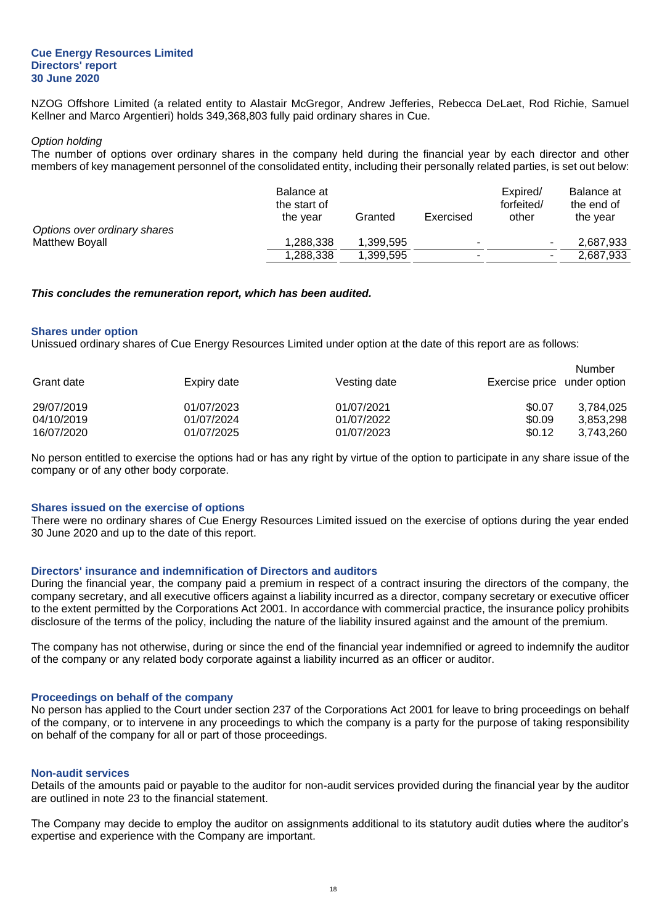NZOG Offshore Limited (a related entity to Alastair McGregor, Andrew Jefferies, Rebecca DeLaet, Rod Richie, Samuel Kellner and Marco Argentieri) holds 349,368,803 fully paid ordinary shares in Cue.

#### *Option holding*

The number of options over ordinary shares in the company held during the financial year by each director and other members of key management personnel of the consolidated entity, including their personally related parties, is set out below:

|                              | Balance at   |           |           | Expired/   | Balance at |
|------------------------------|--------------|-----------|-----------|------------|------------|
|                              | the start of |           |           | forfeited/ | the end of |
|                              | the vear     | Granted   | Exercised | other      | the vear   |
| Options over ordinary shares |              |           |           |            |            |
| Matthew Boyall               | 1.288.338    | 1.399.595 | -         |            | 2.687.933  |
|                              | 1,288,338    | 1.399.595 | -         | $\sim$     | 2,687,933  |

#### *This concludes the remuneration report, which has been audited.*

#### **Shares under option**

Unissued ordinary shares of Cue Energy Resources Limited under option at the date of this report are as follows:

| Grant date | Expiry date | Vesting date | Exercise price under option | Number    |
|------------|-------------|--------------|-----------------------------|-----------|
| 29/07/2019 | 01/07/2023  | 01/07/2021   | \$0.07                      | 3.784.025 |
| 04/10/2019 | 01/07/2024  | 01/07/2022   | \$0.09                      | 3,853,298 |
| 16/07/2020 | 01/07/2025  | 01/07/2023   | \$0.12                      | 3,743,260 |

No person entitled to exercise the options had or has any right by virtue of the option to participate in any share issue of the company or of any other body corporate.

#### **Shares issued on the exercise of options**

There were no ordinary shares of Cue Energy Resources Limited issued on the exercise of options during the year ended 30 June 2020 and up to the date of this report.

#### **Directors' insurance and indemnification of Directors and auditors**

During the financial year, the company paid a premium in respect of a contract insuring the directors of the company, the company secretary, and all executive officers against a liability incurred as a director, company secretary or executive officer to the extent permitted by the Corporations Act 2001. In accordance with commercial practice, the insurance policy prohibits disclosure of the terms of the policy, including the nature of the liability insured against and the amount of the premium.

The company has not otherwise, during or since the end of the financial year indemnified or agreed to indemnify the auditor of the company or any related body corporate against a liability incurred as an officer or auditor.

#### **Proceedings on behalf of the company**

No person has applied to the Court under section 237 of the Corporations Act 2001 for leave to bring proceedings on behalf of the company, or to intervene in any proceedings to which the company is a party for the purpose of taking responsibility on behalf of the company for all or part of those proceedings.

#### **Non-audit services**

Details of the amounts paid or payable to the auditor for non-audit services provided during the financial year by the auditor are outlined in note 23 to the financial statement.

The Company may decide to employ the auditor on assignments additional to its statutory audit duties where the auditor's expertise and experience with the Company are important.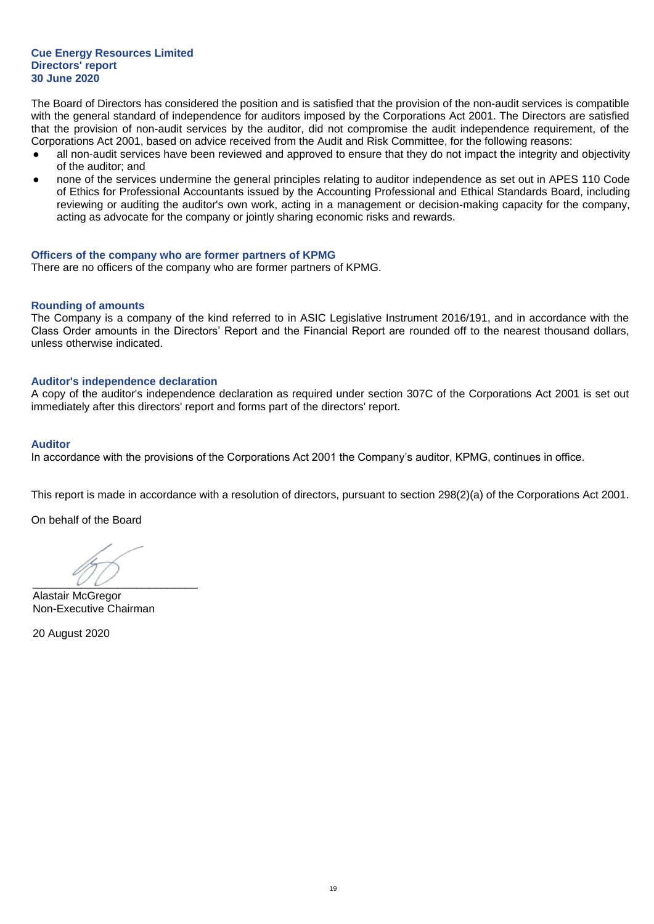The Board of Directors has considered the position and is satisfied that the provision of the non-audit services is compatible with the general standard of independence for auditors imposed by the Corporations Act 2001. The Directors are satisfied that the provision of non-audit services by the auditor, did not compromise the audit independence requirement, of the Corporations Act 2001, based on advice received from the Audit and Risk Committee, for the following reasons:

- all non-audit services have been reviewed and approved to ensure that they do not impact the integrity and objectivity of the auditor; and
- none of the services undermine the general principles relating to auditor independence as set out in APES 110 Code of Ethics for Professional Accountants issued by the Accounting Professional and Ethical Standards Board, including reviewing or auditing the auditor's own work, acting in a management or decision-making capacity for the company, acting as advocate for the company or jointly sharing economic risks and rewards.

#### **Officers of the company who are former partners of KPMG**

There are no officers of the company who are former partners of KPMG.

#### **Rounding of amounts**

The Company is a company of the kind referred to in ASIC Legislative Instrument 2016/191, and in accordance with the Class Order amounts in the Directors' Report and the Financial Report are rounded off to the nearest thousand dollars, unless otherwise indicated.

#### **Auditor's independence declaration**

A copy of the auditor's independence declaration as required under section 307C of the Corporations Act 2001 is set out immediately after this directors' report and forms part of the directors' report.

#### **Auditor**

In accordance with the provisions of the Corporations Act 2001 the Company's auditor, KPMG, continues in office.

This report is made in accordance with a resolution of directors, pursuant to section 298(2)(a) of the Corporations Act 2001.

On behalf of the Board

 $\overline{\phantom{a}}$ 

Alastair McGregor Non-Executive Chairman

20 August 2020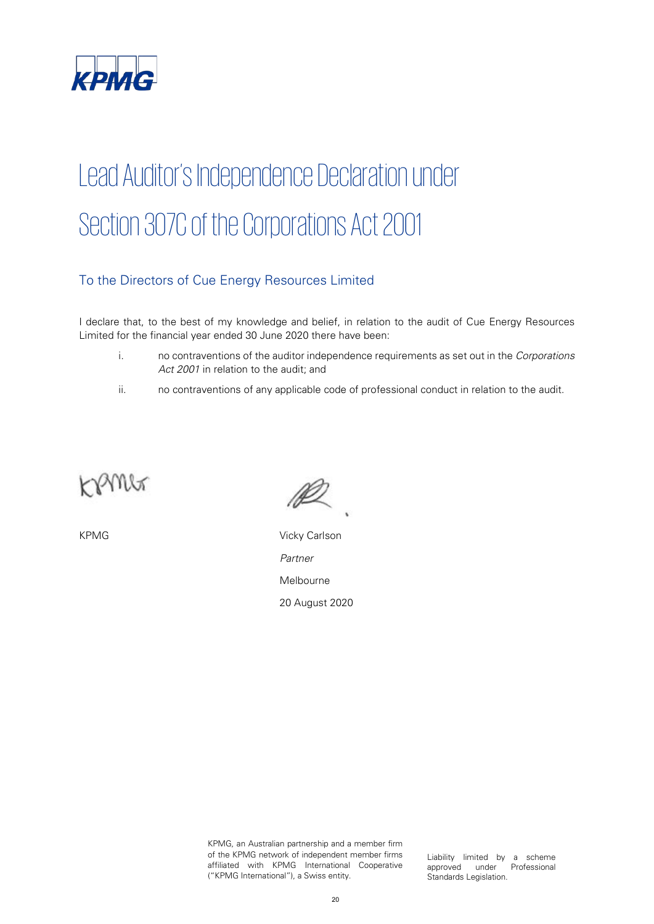

# Lead Auditor's Independence Declaration under Section 307C of the Corporations Act 2001

## To the Directors of Cue Energy Resources Limited

I declare that, to the best of my knowledge and belief, in relation to the audit of Cue Energy Resources Limited for the financial year ended 30 June 2020 there have been:

- i. no contraventions of the auditor independence requirements as set out in the Corporations Act 2001 in relation to the audit; and
- ii. no contraventions of any applicable code of professional conduct in relation to the audit.



KPMG Vicky Carlson Partner Melbourne 20 August 2020

KPMG, an Australian partnership and a member firm of the KPMG network of independent member firms affiliated with KPMG International Cooperative ("KPMG International"), a Swiss entity.

Liability limited by a scheme approved under Professional Standards Legislation.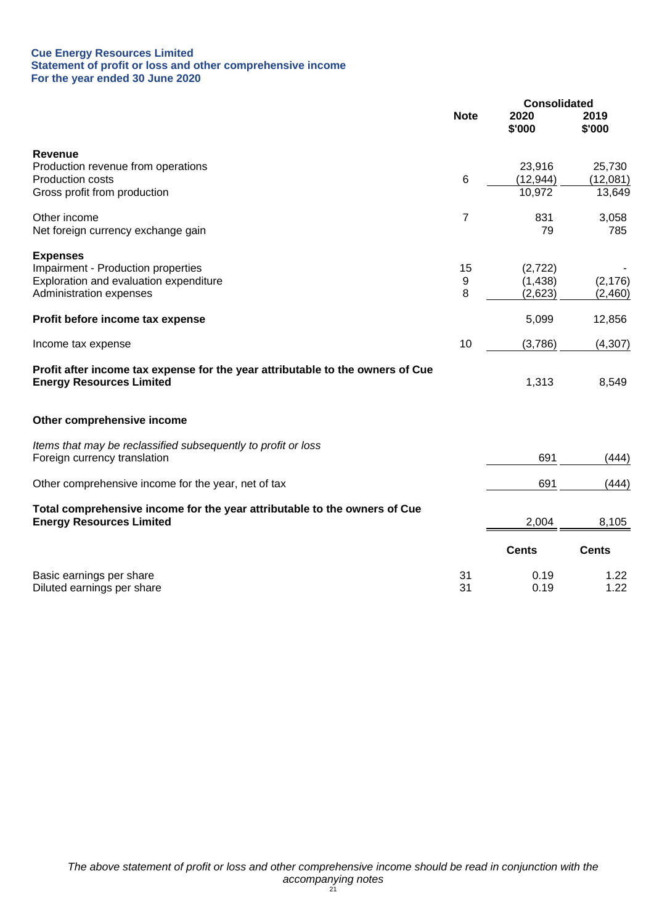#### **Cue Energy Resources Limited Statement of profit or loss and other comprehensive income For the year ended 30 June 2020**

|                                                                                                                   |             | <b>Consolidated</b> |                |
|-------------------------------------------------------------------------------------------------------------------|-------------|---------------------|----------------|
|                                                                                                                   | <b>Note</b> | 2020<br>\$'000      | 2019<br>\$'000 |
| Revenue                                                                                                           |             |                     |                |
| Production revenue from operations                                                                                |             | 23,916              | 25,730         |
| Production costs                                                                                                  | 6           | (12, 944)           | (12,081)       |
| Gross profit from production                                                                                      |             | 10,972              | 13,649         |
| Other income                                                                                                      | 7           | 831                 | 3,058          |
| Net foreign currency exchange gain                                                                                |             | 79                  | 785            |
| <b>Expenses</b>                                                                                                   |             |                     |                |
| Impairment - Production properties                                                                                | 15          | (2,722)             |                |
| Exploration and evaluation expenditure                                                                            | 9           | (1, 438)            | (2, 176)       |
| Administration expenses                                                                                           | 8           | (2,623)             | (2,460)        |
| Profit before income tax expense                                                                                  |             | 5,099               | 12,856         |
| Income tax expense                                                                                                | 10          | (3,786)             | (4, 307)       |
| Profit after income tax expense for the year attributable to the owners of Cue<br><b>Energy Resources Limited</b> |             | 1,313               | 8,549          |
| Other comprehensive income                                                                                        |             |                     |                |
| Items that may be reclassified subsequently to profit or loss                                                     |             |                     |                |
| Foreign currency translation                                                                                      |             | 691                 | (444)          |
| Other comprehensive income for the year, net of tax                                                               |             | 691                 | (444)          |
| Total comprehensive income for the year attributable to the owners of Cue                                         |             |                     |                |
| <b>Energy Resources Limited</b>                                                                                   |             | 2,004               | 8,105          |
|                                                                                                                   |             | <b>Cents</b>        | <b>Cents</b>   |
| Basic earnings per share                                                                                          | 31          | 0.19                | 1.22           |
| Diluted earnings per share                                                                                        | 31          | 0.19                | 1.22           |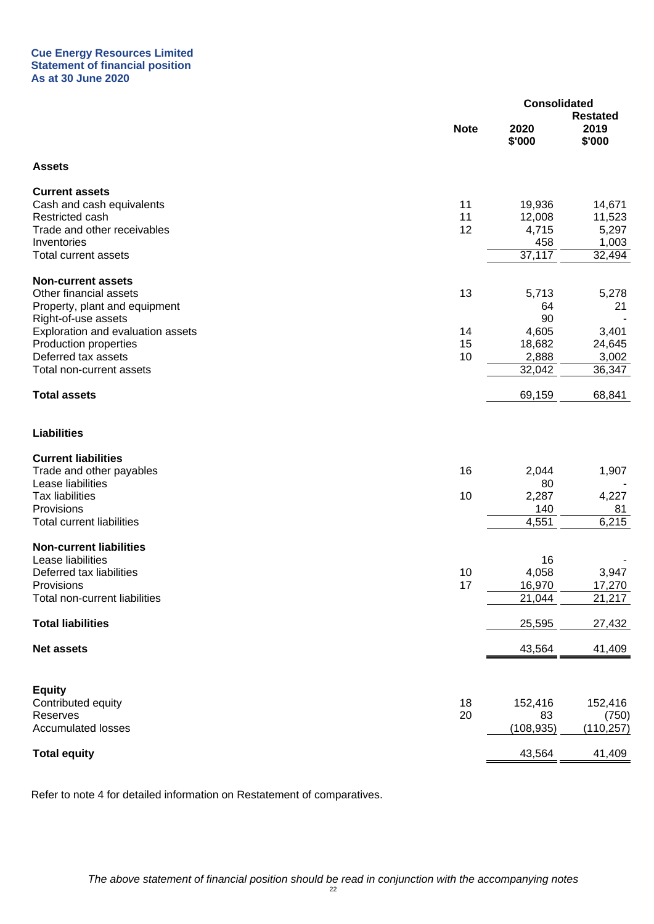#### **Cue Energy Resources Limited Statement of financial position As at 30 June 2020**

|                                     |             | <b>Consolidated</b> |                                   |
|-------------------------------------|-------------|---------------------|-----------------------------------|
|                                     | <b>Note</b> | 2020<br>\$'000      | <b>Restated</b><br>2019<br>\$'000 |
| <b>Assets</b>                       |             |                     |                                   |
| <b>Current assets</b>               |             |                     |                                   |
| Cash and cash equivalents           | 11          | 19,936              | 14,671                            |
| Restricted cash                     | 11          | 12,008              | 11,523                            |
| Trade and other receivables         | 12          | 4,715               | 5,297                             |
| Inventories<br>Total current assets |             | 458<br>37,117       | 1,003<br>32,494                   |
|                                     |             |                     |                                   |
| <b>Non-current assets</b>           |             |                     |                                   |
| Other financial assets              | 13          | 5,713               | 5,278                             |
| Property, plant and equipment       |             | 64                  | 21                                |
| Right-of-use assets                 |             | 90                  |                                   |
| Exploration and evaluation assets   | 14          | 4,605               | 3,401                             |
| Production properties               | 15          | 18,682              | 24,645                            |
| Deferred tax assets                 | 10          | 2,888               | 3,002                             |
| Total non-current assets            |             | 32,042              | 36,347                            |
| <b>Total assets</b>                 |             | 69,159              | 68,841                            |
| <b>Liabilities</b>                  |             |                     |                                   |
| <b>Current liabilities</b>          |             |                     |                                   |
| Trade and other payables            | 16          | 2,044               | 1,907                             |
| Lease liabilities                   |             | 80                  |                                   |
| <b>Tax liabilities</b>              | 10          | 2,287               | 4,227                             |
| Provisions                          |             | 140                 | 81                                |
| <b>Total current liabilities</b>    |             | 4,551               | 6,215                             |
| <b>Non-current liabilities</b>      |             |                     |                                   |
| Lease liabilities                   |             | 16                  |                                   |
| Deferred tax liabilities            | 10          | 4,058               | 3,947                             |
| Provisions                          | 17          | 16,970              | 17,270                            |
| Total non-current liabilities       |             | 21,044              | 21,217                            |
| <b>Total liabilities</b>            |             | 25,595              | 27,432                            |
| <b>Net assets</b>                   |             | 43,564              | 41,409                            |
|                                     |             |                     |                                   |
| <b>Equity</b>                       |             |                     |                                   |
| Contributed equity                  | 18          | 152,416             | 152,416                           |
| Reserves                            | 20          | 83                  | (750)                             |
| <b>Accumulated losses</b>           |             | (108, 935)          | (110, 257)                        |
| <b>Total equity</b>                 |             | 43,564              | 41,409                            |
|                                     |             |                     |                                   |

Refer to note 4 for detailed information on Restatement of comparatives.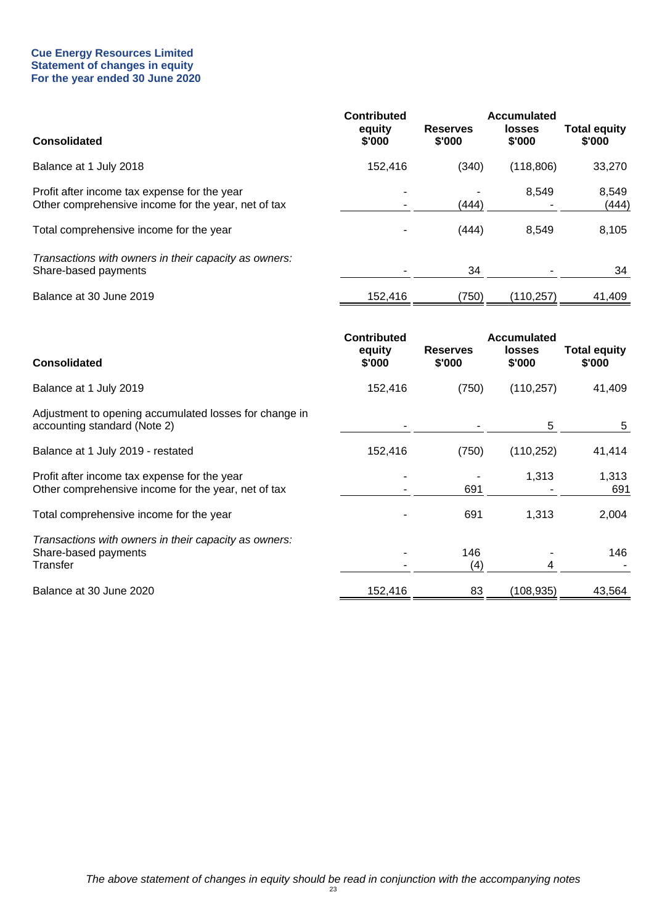#### **Cue Energy Resources Limited Statement of changes in equity For the year ended 30 June 2020**

| <b>Consolidated</b>                                                                                 | <b>Contributed</b><br>equity<br>\$'000 | <b>Reserves</b><br>\$'000 | <b>Accumulated</b><br><b>losses</b><br>\$'000 | <b>Total equity</b><br>\$'000 |
|-----------------------------------------------------------------------------------------------------|----------------------------------------|---------------------------|-----------------------------------------------|-------------------------------|
|                                                                                                     |                                        |                           |                                               |                               |
| Balance at 1 July 2018                                                                              | 152,416                                | (340)                     | (118, 806)                                    | 33,270                        |
| Profit after income tax expense for the year<br>Other comprehensive income for the year, net of tax |                                        | (444)                     | 8,549                                         | 8,549<br>(444)                |
| Total comprehensive income for the year                                                             |                                        | (444)                     | 8,549                                         | 8,105                         |
| Transactions with owners in their capacity as owners:<br>Share-based payments                       |                                        | 34                        |                                               | 34                            |
| Balance at 30 June 2019                                                                             | 152,416                                | (750)                     | (110,257)                                     | 41,409                        |
|                                                                                                     | <b>Contributed</b>                     |                           | <b>Accumulated</b>                            |                               |

| <b>Consolidated</b>                                                                                 | <b>CONTRIBUTED</b><br>equity<br>\$'000 | <b>Reserves</b><br>\$'000 | Accumulated<br><b>losses</b><br>\$'000 | <b>Total equity</b><br>\$'000 |
|-----------------------------------------------------------------------------------------------------|----------------------------------------|---------------------------|----------------------------------------|-------------------------------|
| Balance at 1 July 2019                                                                              | 152,416                                | (750)                     | (110, 257)                             | 41,409                        |
| Adjustment to opening accumulated losses for change in<br>accounting standard (Note 2)              |                                        |                           | 5                                      | 5                             |
| Balance at 1 July 2019 - restated                                                                   | 152,416                                | (750)                     | (110, 252)                             | 41,414                        |
| Profit after income tax expense for the year<br>Other comprehensive income for the year, net of tax |                                        | 691                       | 1,313                                  | 1,313<br>691                  |
| Total comprehensive income for the year                                                             |                                        | 691                       | 1,313                                  | 2,004                         |
| Transactions with owners in their capacity as owners:<br>Share-based payments<br>Transfer           |                                        | 146<br>(4)                | 4                                      | 146                           |
| Balance at 30 June 2020                                                                             | 152,416                                | 83                        | (108, 935)                             | 43,564                        |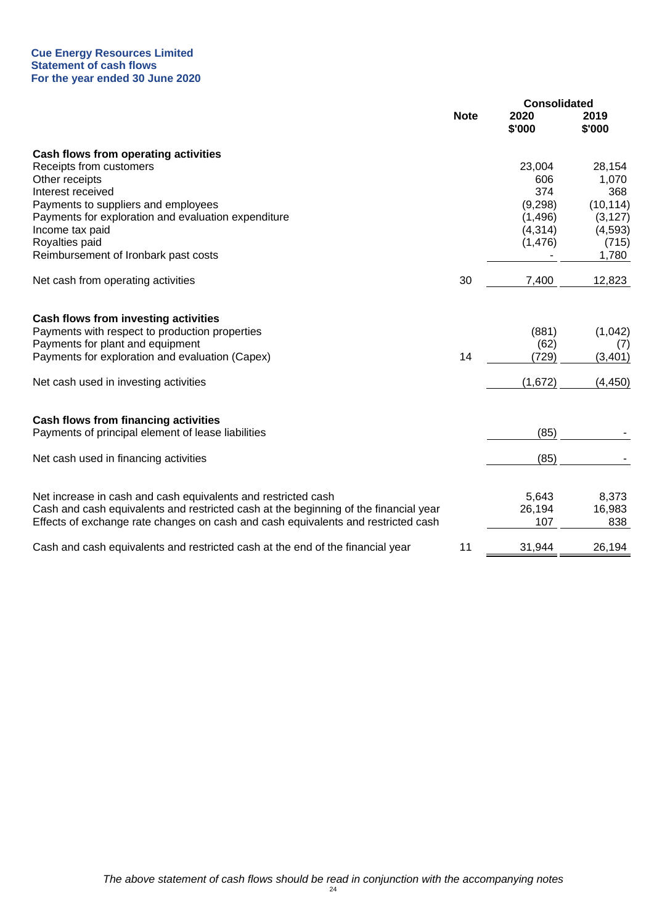#### **Cue Energy Resources Limited Statement of cash flows For the year ended 30 June 2020**

|                                                                                      |             | <b>Consolidated</b> |                |
|--------------------------------------------------------------------------------------|-------------|---------------------|----------------|
|                                                                                      | <b>Note</b> | 2020<br>\$'000      | 2019<br>\$'000 |
| Cash flows from operating activities                                                 |             |                     |                |
| Receipts from customers                                                              |             | 23,004              | 28,154         |
| Other receipts                                                                       |             | 606                 | 1,070          |
| Interest received                                                                    |             | 374                 | 368            |
| Payments to suppliers and employees                                                  |             | (9,298)             | (10, 114)      |
| Payments for exploration and evaluation expenditure                                  |             | (1,496)             | (3, 127)       |
| Income tax paid                                                                      |             | (4,314)             | (4,593)        |
| Royalties paid                                                                       |             | (1, 476)            | (715)          |
| Reimbursement of Ironbark past costs                                                 |             |                     | 1,780          |
| Net cash from operating activities                                                   | 30          | 7,400               | 12,823         |
| Cash flows from investing activities                                                 |             |                     |                |
| Payments with respect to production properties                                       |             | (881)               | (1,042)        |
| Payments for plant and equipment                                                     |             | (62)                | (7)            |
| Payments for exploration and evaluation (Capex)                                      | 14          | (729)               | (3, 401)       |
| Net cash used in investing activities                                                |             | (1,672)             | (4, 450)       |
| <b>Cash flows from financing activities</b>                                          |             |                     |                |
| Payments of principal element of lease liabilities                                   |             | (85)                |                |
| Net cash used in financing activities                                                |             | (85)                |                |
|                                                                                      |             |                     |                |
| Net increase in cash and cash equivalents and restricted cash                        |             | 5,643               | 8,373          |
| Cash and cash equivalents and restricted cash at the beginning of the financial year |             | 26,194              | 16,983         |
| Effects of exchange rate changes on cash and cash equivalents and restricted cash    |             | 107                 | 838            |
| Cash and cash equivalents and restricted cash at the end of the financial year       | 11          | 31,944              | 26,194         |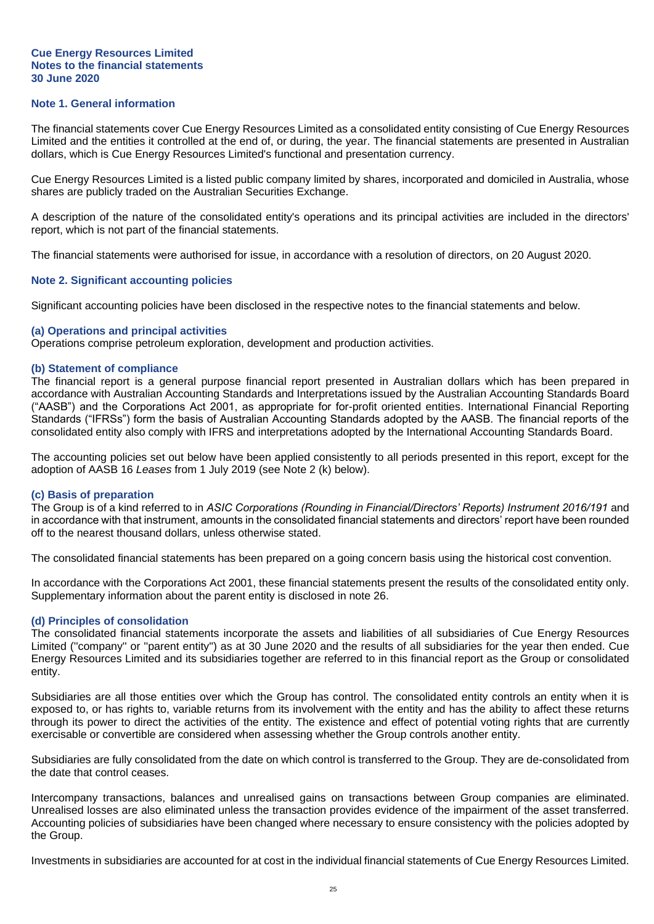#### **Cue Energy Resources Limited Notes to the financial statements 30 June 2020**

## **Note 1. General information**

The financial statements cover Cue Energy Resources Limited as a consolidated entity consisting of Cue Energy Resources Limited and the entities it controlled at the end of, or during, the year. The financial statements are presented in Australian dollars, which is Cue Energy Resources Limited's functional and presentation currency.

Cue Energy Resources Limited is a listed public company limited by shares, incorporated and domiciled in Australia, whose shares are publicly traded on the Australian Securities Exchange.

A description of the nature of the consolidated entity's operations and its principal activities are included in the directors' report, which is not part of the financial statements.

The financial statements were authorised for issue, in accordance with a resolution of directors, on 20 August 2020.

#### **Note 2. Significant accounting policies**

Significant accounting policies have been disclosed in the respective notes to the financial statements and below.

#### **(a) Operations and principal activities**

Operations comprise petroleum exploration, development and production activities.

#### **(b) Statement of compliance**

The financial report is a general purpose financial report presented in Australian dollars which has been prepared in accordance with Australian Accounting Standards and Interpretations issued by the Australian Accounting Standards Board ("AASB") and the Corporations Act 2001, as appropriate for for-profit oriented entities. International Financial Reporting Standards ("IFRSs") form the basis of Australian Accounting Standards adopted by the AASB. The financial reports of the consolidated entity also comply with IFRS and interpretations adopted by the International Accounting Standards Board.

The accounting policies set out below have been applied consistently to all periods presented in this report, except for the adoption of AASB 16 *Leases* from 1 July 2019 (see Note 2 (k) below).

#### **(c) Basis of preparation**

The Group is of a kind referred to in *ASIC Corporations (Rounding in Financial/Directors' Reports) Instrument 2016/191* and in accordance with that instrument, amounts in the consolidated financial statements and directors' report have been rounded off to the nearest thousand dollars, unless otherwise stated.

The consolidated financial statements has been prepared on a going concern basis using the historical cost convention.

In accordance with the Corporations Act 2001, these financial statements present the results of the consolidated entity only. Supplementary information about the parent entity is disclosed in note 26.

#### **(d) Principles of consolidation**

The consolidated financial statements incorporate the assets and liabilities of all subsidiaries of Cue Energy Resources Limited (''company'' or ''parent entity'') as at 30 June 2020 and the results of all subsidiaries for the year then ended. Cue Energy Resources Limited and its subsidiaries together are referred to in this financial report as the Group or consolidated entity.

Subsidiaries are all those entities over which the Group has control. The consolidated entity controls an entity when it is exposed to, or has rights to, variable returns from its involvement with the entity and has the ability to affect these returns through its power to direct the activities of the entity. The existence and effect of potential voting rights that are currently exercisable or convertible are considered when assessing whether the Group controls another entity.

Subsidiaries are fully consolidated from the date on which control is transferred to the Group. They are de-consolidated from the date that control ceases.

Intercompany transactions, balances and unrealised gains on transactions between Group companies are eliminated. Unrealised losses are also eliminated unless the transaction provides evidence of the impairment of the asset transferred. Accounting policies of subsidiaries have been changed where necessary to ensure consistency with the policies adopted by the Group.

Investments in subsidiaries are accounted for at cost in the individual financial statements of Cue Energy Resources Limited.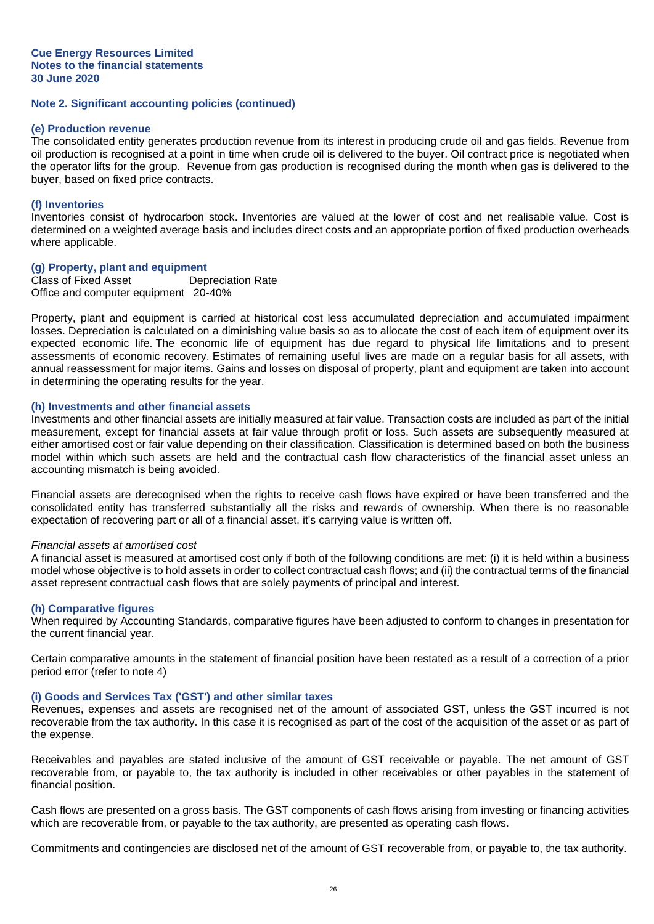#### **(e) Production revenue**

The consolidated entity generates production revenue from its interest in producing crude oil and gas fields. Revenue from oil production is recognised at a point in time when crude oil is delivered to the buyer. Oil contract price is negotiated when the operator lifts for the group. Revenue from gas production is recognised during the month when gas is delivered to the buyer, based on fixed price contracts.

## **(f) Inventories**

Inventories consist of hydrocarbon stock. Inventories are valued at the lower of cost and net realisable value. Cost is determined on a weighted average basis and includes direct costs and an appropriate portion of fixed production overheads where applicable.

#### **(g) Property, plant and equipment**

Class of Fixed Asset Depreciation Rate Office and computer equipment 20-40%

Property, plant and equipment is carried at historical cost less accumulated depreciation and accumulated impairment losses. Depreciation is calculated on a diminishing value basis so as to allocate the cost of each item of equipment over its expected economic life. The economic life of equipment has due regard to physical life limitations and to present assessments of economic recovery. Estimates of remaining useful lives are made on a regular basis for all assets, with annual reassessment for major items. Gains and losses on disposal of property, plant and equipment are taken into account in determining the operating results for the year.

#### **(h) Investments and other financial assets**

Investments and other financial assets are initially measured at fair value. Transaction costs are included as part of the initial measurement, except for financial assets at fair value through profit or loss. Such assets are subsequently measured at either amortised cost or fair value depending on their classification. Classification is determined based on both the business model within which such assets are held and the contractual cash flow characteristics of the financial asset unless an accounting mismatch is being avoided.

Financial assets are derecognised when the rights to receive cash flows have expired or have been transferred and the consolidated entity has transferred substantially all the risks and rewards of ownership. When there is no reasonable expectation of recovering part or all of a financial asset, it's carrying value is written off.

#### *Financial assets at amortised cost*

A financial asset is measured at amortised cost only if both of the following conditions are met: (i) it is held within a business model whose objective is to hold assets in order to collect contractual cash flows; and (ii) the contractual terms of the financial asset represent contractual cash flows that are solely payments of principal and interest.

#### **(h) Comparative figures**

When required by Accounting Standards, comparative figures have been adjusted to conform to changes in presentation for the current financial year.

Certain comparative amounts in the statement of financial position have been restated as a result of a correction of a prior period error (refer to note 4)

## **(i) Goods and Services Tax ('GST') and other similar taxes**

Revenues, expenses and assets are recognised net of the amount of associated GST, unless the GST incurred is not recoverable from the tax authority. In this case it is recognised as part of the cost of the acquisition of the asset or as part of the expense.

Receivables and payables are stated inclusive of the amount of GST receivable or payable. The net amount of GST recoverable from, or payable to, the tax authority is included in other receivables or other payables in the statement of financial position.

Cash flows are presented on a gross basis. The GST components of cash flows arising from investing or financing activities which are recoverable from, or payable to the tax authority, are presented as operating cash flows.

Commitments and contingencies are disclosed net of the amount of GST recoverable from, or payable to, the tax authority.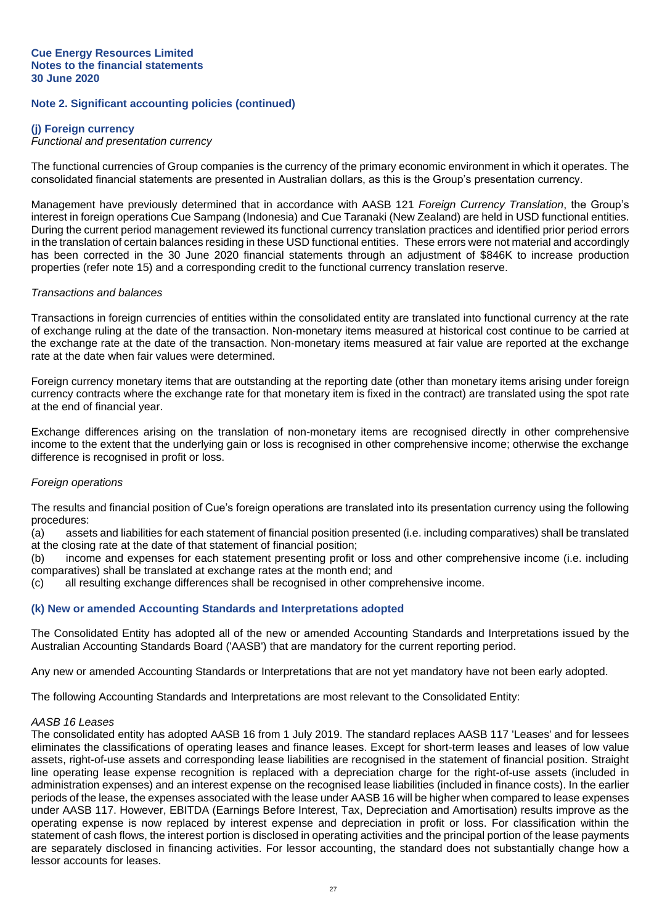#### **(j) Foreign currency**

#### *Functional and presentation currency*

The functional currencies of Group companies is the currency of the primary economic environment in which it operates. The consolidated financial statements are presented in Australian dollars, as this is the Group's presentation currency.

Management have previously determined that in accordance with AASB 121 *Foreign Currency Translation*, the Group's interest in foreign operations Cue Sampang (Indonesia) and Cue Taranaki (New Zealand) are held in USD functional entities. During the current period management reviewed its functional currency translation practices and identified prior period errors in the translation of certain balances residing in these USD functional entities. These errors were not material and accordingly has been corrected in the 30 June 2020 financial statements through an adjustment of \$846K to increase production properties (refer note 15) and a corresponding credit to the functional currency translation reserve.

#### *Transactions and balances*

Transactions in foreign currencies of entities within the consolidated entity are translated into functional currency at the rate of exchange ruling at the date of the transaction. Non-monetary items measured at historical cost continue to be carried at the exchange rate at the date of the transaction. Non-monetary items measured at fair value are reported at the exchange rate at the date when fair values were determined.

Foreign currency monetary items that are outstanding at the reporting date (other than monetary items arising under foreign currency contracts where the exchange rate for that monetary item is fixed in the contract) are translated using the spot rate at the end of financial year.

Exchange differences arising on the translation of non-monetary items are recognised directly in other comprehensive income to the extent that the underlying gain or loss is recognised in other comprehensive income; otherwise the exchange difference is recognised in profit or loss.

#### *Foreign operations*

The results and financial position of Cue's foreign operations are translated into its presentation currency using the following procedures:

(a) assets and liabilities for each statement of financial position presented (i.e. including comparatives) shall be translated at the closing rate at the date of that statement of financial position;

(b) income and expenses for each statement presenting profit or loss and other comprehensive income (i.e. including comparatives) shall be translated at exchange rates at the month end; and

(c) all resulting exchange differences shall be recognised in other comprehensive income.

#### **(k) New or amended Accounting Standards and Interpretations adopted**

The Consolidated Entity has adopted all of the new or amended Accounting Standards and Interpretations issued by the Australian Accounting Standards Board ('AASB') that are mandatory for the current reporting period.

Any new or amended Accounting Standards or Interpretations that are not yet mandatory have not been early adopted.

The following Accounting Standards and Interpretations are most relevant to the Consolidated Entity:

#### *AASB 16 Leases*

The consolidated entity has adopted AASB 16 from 1 July 2019. The standard replaces AASB 117 'Leases' and for lessees eliminates the classifications of operating leases and finance leases. Except for short-term leases and leases of low value assets, right-of-use assets and corresponding lease liabilities are recognised in the statement of financial position. Straight line operating lease expense recognition is replaced with a depreciation charge for the right-of-use assets (included in administration expenses) and an interest expense on the recognised lease liabilities (included in finance costs). In the earlier periods of the lease, the expenses associated with the lease under AASB 16 will be higher when compared to lease expenses under AASB 117. However, EBITDA (Earnings Before Interest, Tax, Depreciation and Amortisation) results improve as the operating expense is now replaced by interest expense and depreciation in profit or loss. For classification within the statement of cash flows, the interest portion is disclosed in operating activities and the principal portion of the lease payments are separately disclosed in financing activities. For lessor accounting, the standard does not substantially change how a lessor accounts for leases.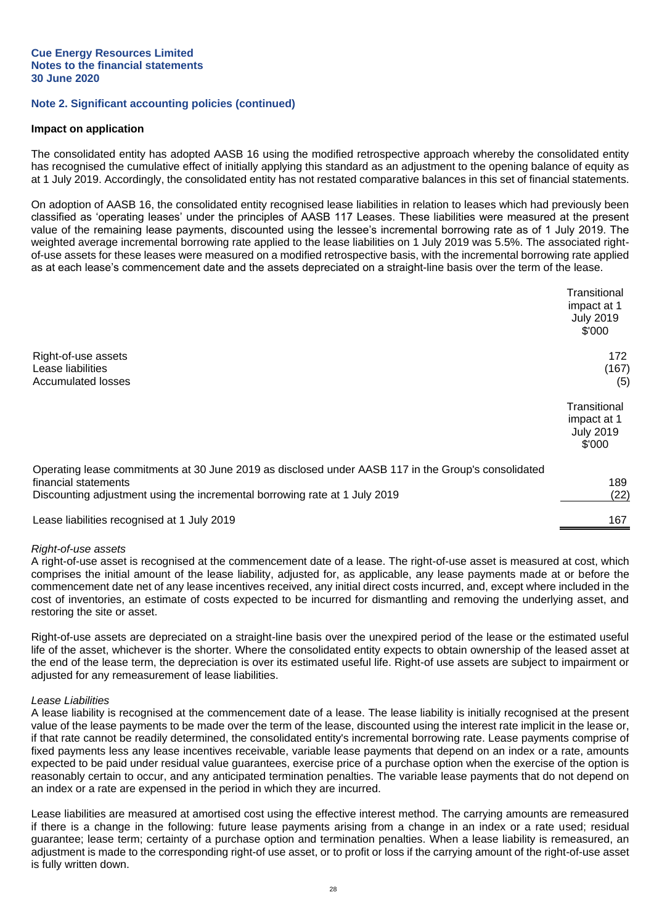#### **Impact on application**

The consolidated entity has adopted AASB 16 using the modified retrospective approach whereby the consolidated entity has recognised the cumulative effect of initially applying this standard as an adjustment to the opening balance of equity as at 1 July 2019. Accordingly, the consolidated entity has not restated comparative balances in this set of financial statements.

On adoption of AASB 16, the consolidated entity recognised lease liabilities in relation to leases which had previously been classified as 'operating leases' under the principles of AASB 117 Leases. These liabilities were measured at the present value of the remaining lease payments, discounted using the lessee's incremental borrowing rate as of 1 July 2019. The weighted average incremental borrowing rate applied to the lease liabilities on 1 July 2019 was 5.5%. The associated rightof-use assets for these leases were measured on a modified retrospective basis, with the incremental borrowing rate applied as at each lease's commencement date and the assets depreciated on a straight-line basis over the term of the lease.

|                                                                                                                                                                                                           | Transitional<br>impact at 1<br><b>July 2019</b><br>\$'000 |
|-----------------------------------------------------------------------------------------------------------------------------------------------------------------------------------------------------------|-----------------------------------------------------------|
| Right-of-use assets<br>Lease liabilities<br><b>Accumulated losses</b>                                                                                                                                     | 172<br>(167)<br>(5)                                       |
|                                                                                                                                                                                                           | Transitional<br>impact at 1<br><b>July 2019</b><br>\$'000 |
| Operating lease commitments at 30 June 2019 as disclosed under AASB 117 in the Group's consolidated<br>financial statements<br>Discounting adjustment using the incremental borrowing rate at 1 July 2019 | 189<br>(22)                                               |
| Lease liabilities recognised at 1 July 2019                                                                                                                                                               | 167                                                       |

#### *Right-of-use assets*

A right-of-use asset is recognised at the commencement date of a lease. The right-of-use asset is measured at cost, which comprises the initial amount of the lease liability, adjusted for, as applicable, any lease payments made at or before the commencement date net of any lease incentives received, any initial direct costs incurred, and, except where included in the cost of inventories, an estimate of costs expected to be incurred for dismantling and removing the underlying asset, and restoring the site or asset.

Right-of-use assets are depreciated on a straight-line basis over the unexpired period of the lease or the estimated useful life of the asset, whichever is the shorter. Where the consolidated entity expects to obtain ownership of the leased asset at the end of the lease term, the depreciation is over its estimated useful life. Right-of use assets are subject to impairment or adjusted for any remeasurement of lease liabilities.

#### *Lease Liabilities*

A lease liability is recognised at the commencement date of a lease. The lease liability is initially recognised at the present value of the lease payments to be made over the term of the lease, discounted using the interest rate implicit in the lease or, if that rate cannot be readily determined, the consolidated entity's incremental borrowing rate. Lease payments comprise of fixed payments less any lease incentives receivable, variable lease payments that depend on an index or a rate, amounts expected to be paid under residual value guarantees, exercise price of a purchase option when the exercise of the option is reasonably certain to occur, and any anticipated termination penalties. The variable lease payments that do not depend on an index or a rate are expensed in the period in which they are incurred.

Lease liabilities are measured at amortised cost using the effective interest method. The carrying amounts are remeasured if there is a change in the following: future lease payments arising from a change in an index or a rate used; residual guarantee; lease term; certainty of a purchase option and termination penalties. When a lease liability is remeasured, an adjustment is made to the corresponding right-of use asset, or to profit or loss if the carrying amount of the right-of-use asset is fully written down.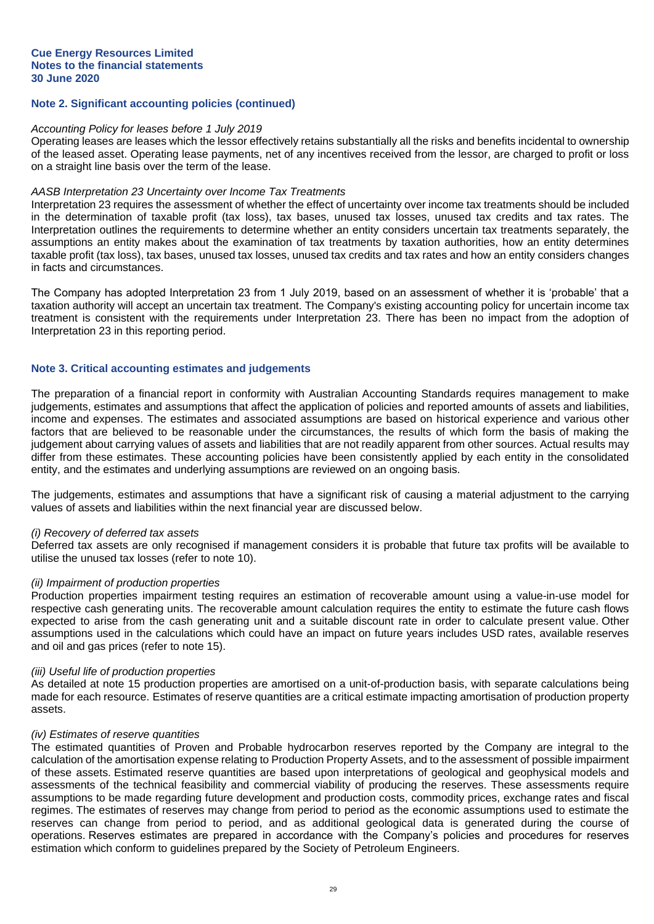#### *Accounting Policy for leases before 1 July 2019*

Operating leases are leases which the lessor effectively retains substantially all the risks and benefits incidental to ownership of the leased asset. Operating lease payments, net of any incentives received from the lessor, are charged to profit or loss on a straight line basis over the term of the lease.

#### *AASB Interpretation 23 Uncertainty over Income Tax Treatments*

Interpretation 23 requires the assessment of whether the effect of uncertainty over income tax treatments should be included in the determination of taxable profit (tax loss), tax bases, unused tax losses, unused tax credits and tax rates. The Interpretation outlines the requirements to determine whether an entity considers uncertain tax treatments separately, the assumptions an entity makes about the examination of tax treatments by taxation authorities, how an entity determines taxable profit (tax loss), tax bases, unused tax losses, unused tax credits and tax rates and how an entity considers changes in facts and circumstances.

The Company has adopted Interpretation 23 from 1 July 2019, based on an assessment of whether it is 'probable' that a taxation authority will accept an uncertain tax treatment. The Company's existing accounting policy for uncertain income tax treatment is consistent with the requirements under Interpretation 23. There has been no impact from the adoption of Interpretation 23 in this reporting period.

#### **Note 3. Critical accounting estimates and judgements**

The preparation of a financial report in conformity with Australian Accounting Standards requires management to make judgements, estimates and assumptions that affect the application of policies and reported amounts of assets and liabilities, income and expenses. The estimates and associated assumptions are based on historical experience and various other factors that are believed to be reasonable under the circumstances, the results of which form the basis of making the judgement about carrying values of assets and liabilities that are not readily apparent from other sources. Actual results may differ from these estimates. These accounting policies have been consistently applied by each entity in the consolidated entity, and the estimates and underlying assumptions are reviewed on an ongoing basis.

The judgements, estimates and assumptions that have a significant risk of causing a material adjustment to the carrying values of assets and liabilities within the next financial year are discussed below.

#### *(i) Recovery of deferred tax assets*

Deferred tax assets are only recognised if management considers it is probable that future tax profits will be available to utilise the unused tax losses (refer to note 10).

#### *(ii) Impairment of production properties*

Production properties impairment testing requires an estimation of recoverable amount using a value-in-use model for respective cash generating units. The recoverable amount calculation requires the entity to estimate the future cash flows expected to arise from the cash generating unit and a suitable discount rate in order to calculate present value. Other assumptions used in the calculations which could have an impact on future years includes USD rates, available reserves and oil and gas prices (refer to note 15).

#### *(iii) Useful life of production properties*

As detailed at note 15 production properties are amortised on a unit-of-production basis, with separate calculations being made for each resource. Estimates of reserve quantities are a critical estimate impacting amortisation of production property assets.

#### *(iv) Estimates of reserve quantities*

The estimated quantities of Proven and Probable hydrocarbon reserves reported by the Company are integral to the calculation of the amortisation expense relating to Production Property Assets, and to the assessment of possible impairment of these assets. Estimated reserve quantities are based upon interpretations of geological and geophysical models and assessments of the technical feasibility and commercial viability of producing the reserves. These assessments require assumptions to be made regarding future development and production costs, commodity prices, exchange rates and fiscal regimes. The estimates of reserves may change from period to period as the economic assumptions used to estimate the reserves can change from period to period, and as additional geological data is generated during the course of operations. Reserves estimates are prepared in accordance with the Company's policies and procedures for reserves estimation which conform to guidelines prepared by the Society of Petroleum Engineers.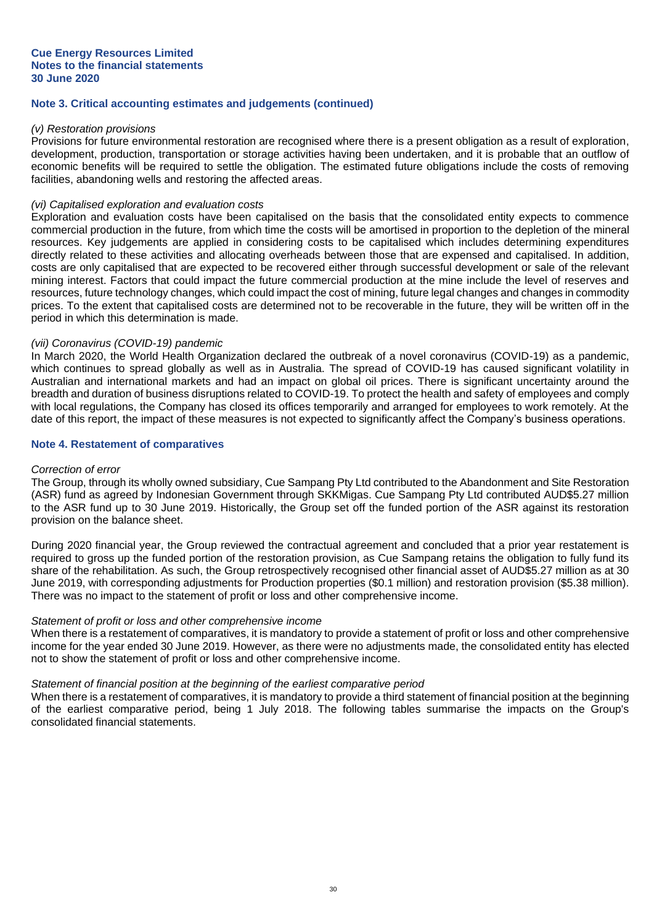## **Note 3. Critical accounting estimates and judgements (continued)**

#### *(v) Restoration provisions*

Provisions for future environmental restoration are recognised where there is a present obligation as a result of exploration, development, production, transportation or storage activities having been undertaken, and it is probable that an outflow of economic benefits will be required to settle the obligation. The estimated future obligations include the costs of removing facilities, abandoning wells and restoring the affected areas.

#### *(vi) Capitalised exploration and evaluation costs*

Exploration and evaluation costs have been capitalised on the basis that the consolidated entity expects to commence commercial production in the future, from which time the costs will be amortised in proportion to the depletion of the mineral resources. Key judgements are applied in considering costs to be capitalised which includes determining expenditures directly related to these activities and allocating overheads between those that are expensed and capitalised. In addition, costs are only capitalised that are expected to be recovered either through successful development or sale of the relevant mining interest. Factors that could impact the future commercial production at the mine include the level of reserves and resources, future technology changes, which could impact the cost of mining, future legal changes and changes in commodity prices. To the extent that capitalised costs are determined not to be recoverable in the future, they will be written off in the period in which this determination is made.

## *(vii) Coronavirus (COVID-19) pandemic*

In March 2020, the World Health Organization declared the outbreak of a novel coronavirus (COVID-19) as a pandemic, which continues to spread globally as well as in Australia. The spread of COVID-19 has caused significant volatility in Australian and international markets and had an impact on global oil prices. There is significant uncertainty around the breadth and duration of business disruptions related to COVID-19. To protect the health and safety of employees and comply with local regulations, the Company has closed its offices temporarily and arranged for employees to work remotely. At the date of this report, the impact of these measures is not expected to significantly affect the Company's business operations.

#### **Note 4. Restatement of comparatives**

#### *Correction of error*

The Group, through its wholly owned subsidiary, Cue Sampang Pty Ltd contributed to the Abandonment and Site Restoration (ASR) fund as agreed by Indonesian Government through SKKMigas. Cue Sampang Pty Ltd contributed AUD\$5.27 million to the ASR fund up to 30 June 2019. Historically, the Group set off the funded portion of the ASR against its restoration provision on the balance sheet.

During 2020 financial year, the Group reviewed the contractual agreement and concluded that a prior year restatement is required to gross up the funded portion of the restoration provision, as Cue Sampang retains the obligation to fully fund its share of the rehabilitation. As such, the Group retrospectively recognised other financial asset of AUD\$5.27 million as at 30 June 2019, with corresponding adjustments for Production properties (\$0.1 million) and restoration provision (\$5.38 million). There was no impact to the statement of profit or loss and other comprehensive income.

#### *Statement of profit or loss and other comprehensive income*

When there is a restatement of comparatives, it is mandatory to provide a statement of profit or loss and other comprehensive income for the year ended 30 June 2019. However, as there were no adjustments made, the consolidated entity has elected not to show the statement of profit or loss and other comprehensive income.

#### *Statement of financial position at the beginning of the earliest comparative period*

When there is a restatement of comparatives, it is mandatory to provide a third statement of financial position at the beginning of the earliest comparative period, being 1 July 2018. The following tables summarise the impacts on the Group's consolidated financial statements.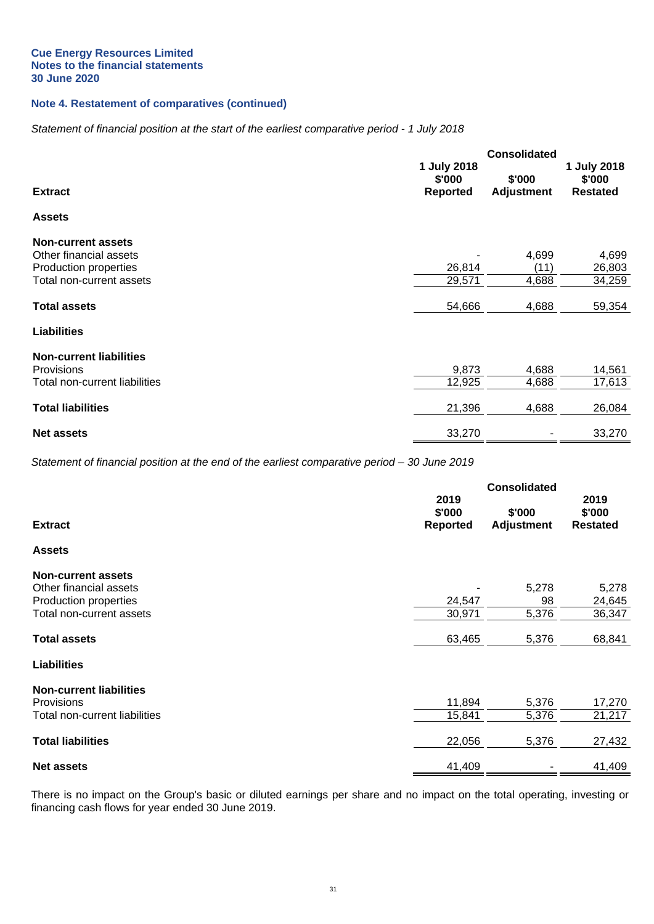## **Note 4. Restatement of comparatives (continued)**

## *Statement of financial position at the start of the earliest comparative period - 1 July 2018*

|                                |                                          | <b>Consolidated</b>         |                                          |  |
|--------------------------------|------------------------------------------|-----------------------------|------------------------------------------|--|
| <b>Extract</b>                 | 1 July 2018<br>\$'000<br><b>Reported</b> | \$'000<br><b>Adjustment</b> | 1 July 2018<br>\$'000<br><b>Restated</b> |  |
| <b>Assets</b>                  |                                          |                             |                                          |  |
| <b>Non-current assets</b>      |                                          |                             |                                          |  |
| Other financial assets         |                                          | 4,699                       | 4,699                                    |  |
| Production properties          | 26,814                                   | (11)                        | 26,803                                   |  |
| Total non-current assets       | 29,571                                   | 4,688                       | 34,259                                   |  |
| <b>Total assets</b>            | 54,666                                   | 4,688                       | 59,354                                   |  |
| <b>Liabilities</b>             |                                          |                             |                                          |  |
| <b>Non-current liabilities</b> |                                          |                             |                                          |  |
| Provisions                     | 9,873                                    | 4,688                       | 14,561                                   |  |
| Total non-current liabilities  | 12,925                                   | 4,688                       | 17,613                                   |  |
| <b>Total liabilities</b>       | 21,396                                   | 4,688                       | 26,084                                   |  |
| <b>Net assets</b>              | 33,270                                   |                             | 33,270                                   |  |

*Statement of financial position at the end of the earliest comparative period – 30 June 2019*

|                                |                 | <b>Consolidated</b> |                 |
|--------------------------------|-----------------|---------------------|-----------------|
|                                | 2019            |                     | 2019            |
|                                | \$'000          | \$'000              | \$'000          |
| <b>Extract</b>                 | <b>Reported</b> | <b>Adjustment</b>   | <b>Restated</b> |
| <b>Assets</b>                  |                 |                     |                 |
| <b>Non-current assets</b>      |                 |                     |                 |
| Other financial assets         |                 | 5,278               | 5,278           |
| Production properties          | 24,547          | 98                  | 24,645          |
| Total non-current assets       | 30,971          | 5,376               | 36,347          |
| <b>Total assets</b>            | 63,465          | 5,376               | 68,841          |
| <b>Liabilities</b>             |                 |                     |                 |
| <b>Non-current liabilities</b> |                 |                     |                 |
| <b>Provisions</b>              | 11,894          | 5,376               | 17,270          |
| Total non-current liabilities  | 15,841          | 5,376               | 21,217          |
| <b>Total liabilities</b>       | 22,056          | 5,376               | 27,432          |
| <b>Net assets</b>              | 41,409          |                     | 41,409          |

There is no impact on the Group's basic or diluted earnings per share and no impact on the total operating, investing or financing cash flows for year ended 30 June 2019.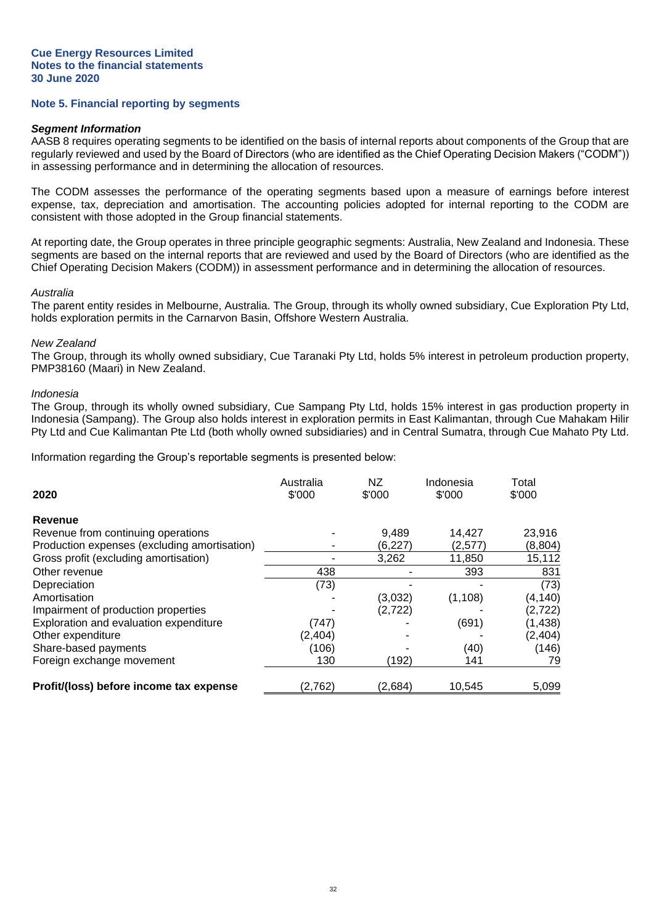#### **Note 5. Financial reporting by segments**

#### *Segment Information*

AASB 8 requires operating segments to be identified on the basis of internal reports about components of the Group that are regularly reviewed and used by the Board of Directors (who are identified as the Chief Operating Decision Makers ("CODM")) in assessing performance and in determining the allocation of resources.

The CODM assesses the performance of the operating segments based upon a measure of earnings before interest expense, tax, depreciation and amortisation. The accounting policies adopted for internal reporting to the CODM are consistent with those adopted in the Group financial statements.

At reporting date, the Group operates in three principle geographic segments: Australia, New Zealand and Indonesia. These segments are based on the internal reports that are reviewed and used by the Board of Directors (who are identified as the Chief Operating Decision Makers (CODM)) in assessment performance and in determining the allocation of resources.

#### *Australia*

The parent entity resides in Melbourne, Australia. The Group, through its wholly owned subsidiary, Cue Exploration Pty Ltd, holds exploration permits in the Carnarvon Basin, Offshore Western Australia.

#### *New Zealand*

The Group, through its wholly owned subsidiary, Cue Taranaki Pty Ltd, holds 5% interest in petroleum production property, PMP38160 (Maari) in New Zealand.

#### *Indonesia*

The Group, through its wholly owned subsidiary, Cue Sampang Pty Ltd, holds 15% interest in gas production property in Indonesia (Sampang). The Group also holds interest in exploration permits in East Kalimantan, through Cue Mahakam Hilir Pty Ltd and Cue Kalimantan Pte Ltd (both wholly owned subsidiaries) and in Central Sumatra, through Cue Mahato Pty Ltd.

Information regarding the Group's reportable segments is presented below:

| 2020                                         | Australia<br>\$'000 | <b>NZ</b><br>\$'000 | Indonesia<br>\$'000 | Total<br>\$'000 |
|----------------------------------------------|---------------------|---------------------|---------------------|-----------------|
| Revenue                                      |                     |                     |                     |                 |
| Revenue from continuing operations           |                     | 9.489               | 14,427              | 23,916          |
| Production expenses (excluding amortisation) |                     | (6,227)             | (2,577)             | (8,804)         |
| Gross profit (excluding amortisation)        |                     | 3,262               | 11,850              | 15,112          |
| Other revenue                                | 438                 |                     | 393                 | 831             |
| Depreciation                                 | (73)                |                     |                     | (73)            |
| Amortisation                                 |                     | (3,032)             | (1, 108)            | (4,140)         |
| Impairment of production properties          |                     | (2, 722)            |                     | (2, 722)        |
| Exploration and evaluation expenditure       | (747)               |                     | (691)               | (1, 438)        |
| Other expenditure                            | (2, 404)            |                     |                     | (2, 404)        |
| Share-based payments                         | (106)               |                     | (40)                | (146)           |
| Foreign exchange movement                    | 130                 | (192)               | 141                 | 79              |
| Profit/(loss) before income tax expense      | (2,762)             | (2,684)             | 10,545              | 5,099           |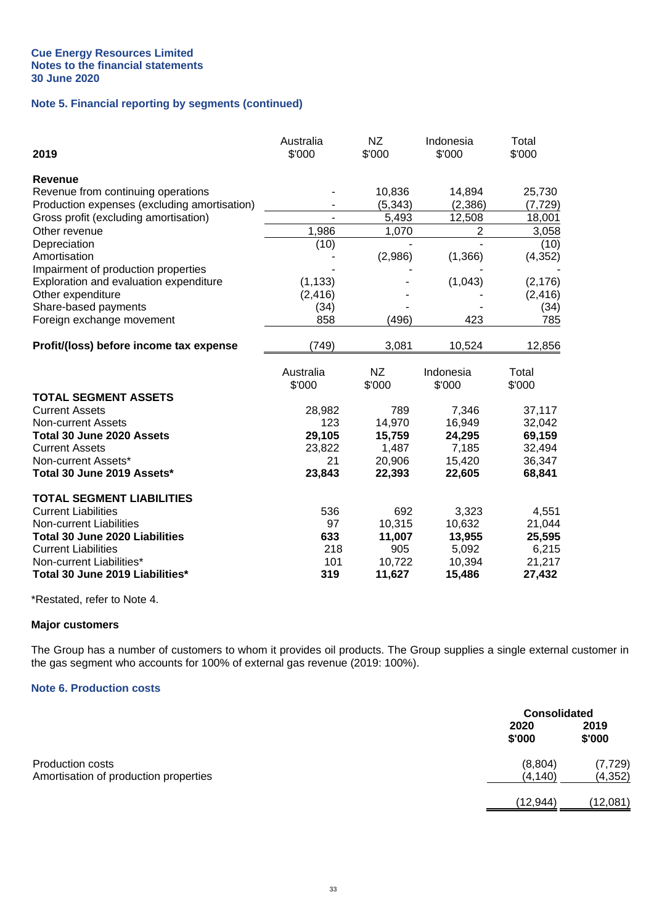## **Note 5. Financial reporting by segments (continued)**

| 2019                                         | Australia<br>\$'000      | <b>NZ</b><br>\$'000 | Indonesia<br>\$'000 | Total<br>\$'000 |
|----------------------------------------------|--------------------------|---------------------|---------------------|-----------------|
| <b>Revenue</b>                               |                          |                     |                     |                 |
| Revenue from continuing operations           |                          | 10,836              | 14,894              | 25,730          |
| Production expenses (excluding amortisation) |                          | (5, 343)            | (2,386)             | (7, 729)        |
| Gross profit (excluding amortisation)        | $\overline{\phantom{0}}$ | 5,493               | 12,508              | 18,001          |
| Other revenue                                | 1,986                    | 1,070               | 2                   | 3,058           |
| Depreciation                                 | (10)                     |                     |                     | (10)            |
| Amortisation                                 |                          | (2,986)             | (1, 366)            | (4, 352)        |
| Impairment of production properties          |                          |                     |                     |                 |
| Exploration and evaluation expenditure       | (1, 133)                 |                     | (1,043)             | (2, 176)        |
| Other expenditure                            | (2, 416)                 |                     |                     | (2, 416)        |
| Share-based payments                         | (34)                     |                     |                     | (34)            |
| Foreign exchange movement                    | 858                      | (496)               | 423                 | 785             |
| Profit/(loss) before income tax expense      | (749)                    | 3,081               | 10,524              | 12,856          |
|                                              | Australia<br>\$'000      | NZ<br>\$'000        | Indonesia<br>\$'000 | Total<br>\$'000 |
| <b>TOTAL SEGMENT ASSETS</b>                  |                          |                     |                     |                 |
| <b>Current Assets</b>                        | 28,982                   | 789                 | 7,346               | 37,117          |
| <b>Non-current Assets</b>                    | 123                      | 14,970              | 16,949              | 32,042          |
| Total 30 June 2020 Assets                    | 29,105                   | 15,759              | 24,295              | 69,159          |
| <b>Current Assets</b>                        | 23,822                   | 1,487               | 7,185               | 32,494          |
| Non-current Assets*                          | 21                       | 20,906              | 15,420              | 36,347          |
| Total 30 June 2019 Assets*                   | 23,843                   | 22,393              | 22,605              | 68,841          |
| <b>TOTAL SEGMENT LIABILITIES</b>             |                          |                     |                     |                 |
| <b>Current Liabilities</b>                   | 536                      | 692                 | 3,323               | 4,551           |
| Non-current Liabilities                      | 97                       | 10,315              | 10,632              | 21,044          |
| Total 30 June 2020 Liabilities               | 633                      | 11,007              | 13,955              | 25,595          |
| <b>Current Liabilities</b>                   | 218                      | 905                 | 5,092               | 6,215           |
| Non-current Liabilities*                     | 101                      | 10,722              | 10,394              | 21,217          |
| Total 30 June 2019 Liabilities*              | 319                      | 11,627              | 15,486              | 27,432          |

\*Restated, refer to Note 4.

## **Major customers**

The Group has a number of customers to whom it provides oil products. The Group supplies a single external customer in the gas segment who accounts for 100% of external gas revenue (2019: 100%).

## **Note 6. Production costs**

|                                                                  |                     | <b>Consolidated</b>  |  |
|------------------------------------------------------------------|---------------------|----------------------|--|
|                                                                  | 2020<br>\$'000      | 2019<br>\$'000       |  |
| <b>Production costs</b><br>Amortisation of production properties | (8,804)<br>(4, 140) | (7, 729)<br>(4, 352) |  |
|                                                                  | (12, 944)           | (12,081)             |  |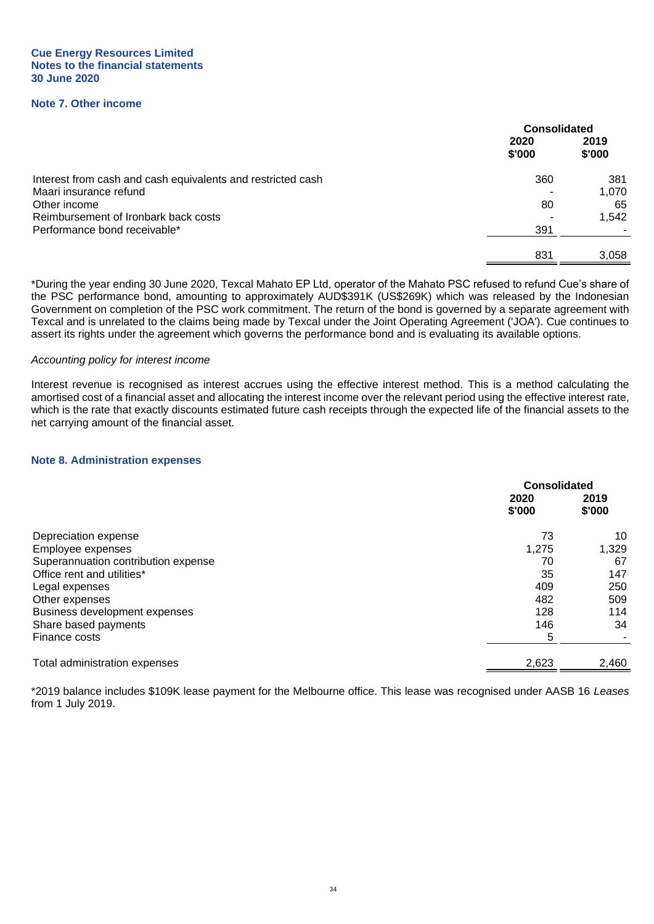**Cue Energy Resources Limited Notes to the financial statements 30 June 2020**

## **Note 7. Other income**

|                                                             | <b>Consolidated</b> |                |
|-------------------------------------------------------------|---------------------|----------------|
|                                                             | 2020<br>\$'000      | 2019<br>\$'000 |
| Interest from cash and cash equivalents and restricted cash | 360                 | 381            |
| Maari insurance refund                                      |                     | 1,070          |
| Other income                                                | 80                  | 65             |
| Reimbursement of Ironbark back costs                        |                     | 1,542          |
| Performance bond receivable*                                | 391                 |                |
|                                                             | 831                 | 3,058          |
|                                                             |                     |                |

\*During the year ending 30 June 2020, Texcal Mahato EP Ltd, operator of the Mahato PSC refused to refund Cue's share of the PSC performance bond, amounting to approximately AUD\$391K (US\$269K) which was released by the Indonesian Government on completion of the PSC work commitment. The return of the bond is governed by a separate agreement with Texcal and is unrelated to the claims being made by Texcal under the Joint Operating Agreement ('JOA'). Cue continues to assert its rights under the agreement which governs the performance bond and is evaluating its available options.

#### *Accounting policy for interest income*

Interest revenue is recognised as interest accrues using the effective interest method. This is a method calculating the amortised cost of a financial asset and allocating the interest income over the relevant period using the effective interest rate, which is the rate that exactly discounts estimated future cash receipts through the expected life of the financial assets to the net carrying amount of the financial asset.

#### **Note 8. Administration expenses**

|                                     | <b>Consolidated</b> |                |
|-------------------------------------|---------------------|----------------|
|                                     | 2020<br>\$'000      | 2019<br>\$'000 |
| Depreciation expense                | 73                  | 10             |
| Employee expenses                   | 1,275               | 1,329          |
| Superannuation contribution expense | 70                  | 67             |
| Office rent and utilities*          | 35                  | 147            |
| Legal expenses                      | 409                 | 250            |
| Other expenses                      | 482                 | 509            |
| Business development expenses       | 128                 | 114            |
| Share based payments                | 146                 | 34             |
| Finance costs                       | 5                   |                |
| Total administration expenses       | 2,623               | 2,460          |

\*2019 balance includes \$109K lease payment for the Melbourne office. This lease was recognised under AASB 16 *Leases* from 1 July 2019.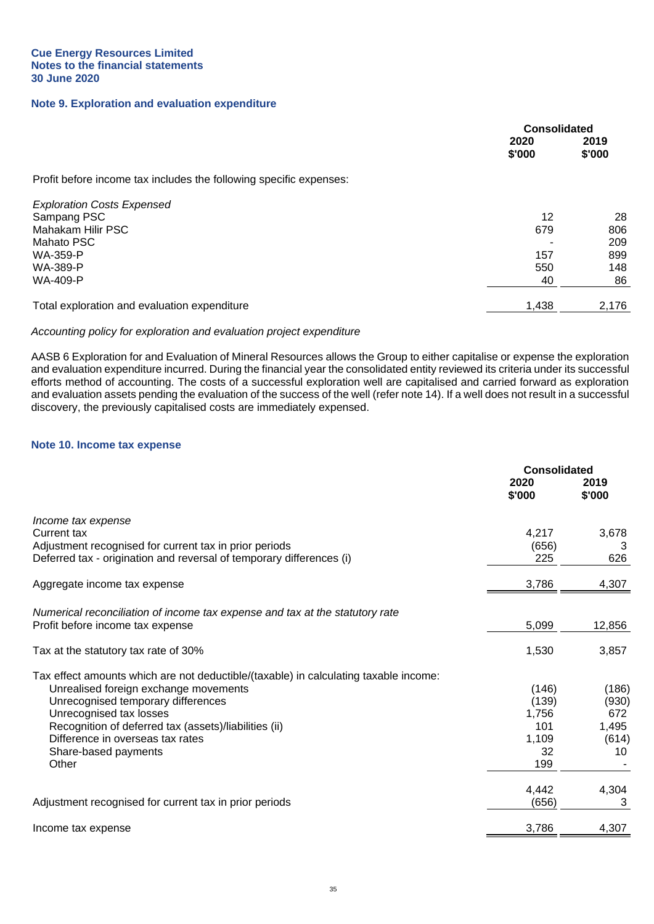#### **Note 9. Exploration and evaluation expenditure**

|                                                                    | <b>Consolidated</b> |                |
|--------------------------------------------------------------------|---------------------|----------------|
|                                                                    | 2020<br>\$'000      | 2019<br>\$'000 |
| Profit before income tax includes the following specific expenses: |                     |                |
| <b>Exploration Costs Expensed</b>                                  |                     |                |
| Sampang PSC                                                        | 12                  | 28             |
| Mahakam Hilir PSC                                                  | 679                 | 806            |
| Mahato PSC                                                         |                     | 209            |
| <b>WA-359-P</b>                                                    | 157                 | 899            |
| WA-389-P                                                           | 550                 | 148            |
| WA-409-P                                                           | 40                  | 86             |
| Total exploration and evaluation expenditure                       | 1,438               | 2,176          |

## *Accounting policy for exploration and evaluation project expenditure*

AASB 6 Exploration for and Evaluation of Mineral Resources allows the Group to either capitalise or expense the exploration and evaluation expenditure incurred. During the financial year the consolidated entity reviewed its criteria under its successful efforts method of accounting. The costs of a successful exploration well are capitalised and carried forward as exploration and evaluation assets pending the evaluation of the success of the well (refer note 14). If a well does not result in a successful discovery, the previously capitalised costs are immediately expensed.

## **Note 10. Income tax expense**

|                                                                                      | <b>Consolidated</b> |                |
|--------------------------------------------------------------------------------------|---------------------|----------------|
|                                                                                      | 2020<br>\$'000      | 2019<br>\$'000 |
| Income tax expense                                                                   |                     |                |
| Current tax                                                                          | 4,217               | 3,678          |
| Adjustment recognised for current tax in prior periods                               | (656)               | 3              |
| Deferred tax - origination and reversal of temporary differences (i)                 | 225                 | 626            |
| Aggregate income tax expense                                                         | 3,786               | 4,307          |
| Numerical reconciliation of income tax expense and tax at the statutory rate         |                     |                |
| Profit before income tax expense                                                     | 5,099               | 12,856         |
| Tax at the statutory tax rate of 30%                                                 | 1,530               | 3,857          |
| Tax effect amounts which are not deductible/(taxable) in calculating taxable income: |                     |                |
| Unrealised foreign exchange movements                                                | (146)               | (186)          |
| Unrecognised temporary differences                                                   | (139)               | (930)          |
| Unrecognised tax losses                                                              | 1,756               | 672            |
| Recognition of deferred tax (assets)/liabilities (ii)                                | 101                 | 1,495          |
| Difference in overseas tax rates                                                     | 1,109               | (614)          |
| Share-based payments                                                                 | 32                  | 10             |
| Other                                                                                | 199                 |                |
|                                                                                      | 4,442               | 4,304          |
| Adjustment recognised for current tax in prior periods                               | (656)               | 3              |
| Income tax expense                                                                   | 3,786               | 4,307          |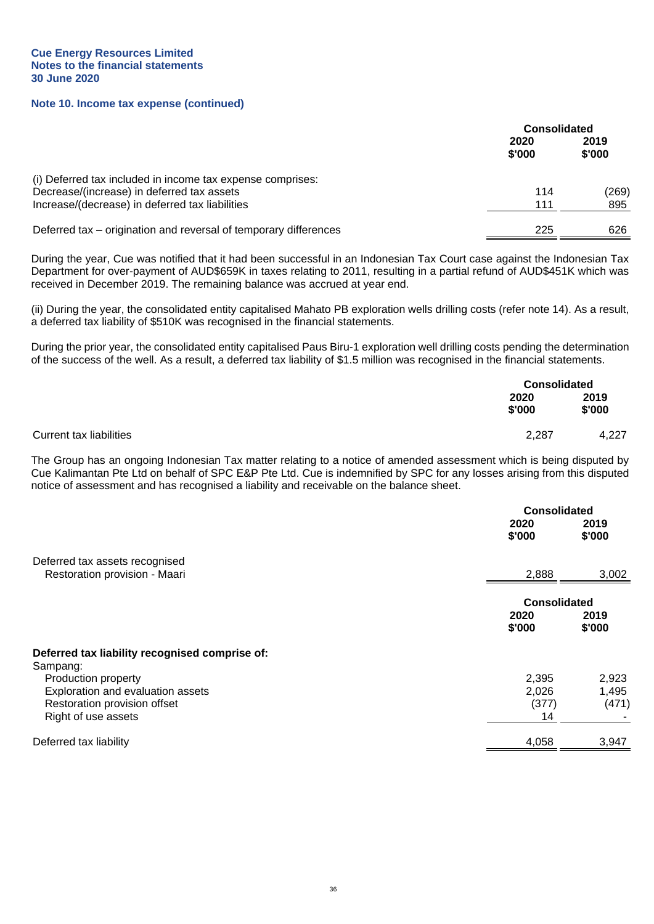#### **Note 10. Income tax expense (continued)**

|                                                                                                          |                | <b>Consolidated</b> |  |
|----------------------------------------------------------------------------------------------------------|----------------|---------------------|--|
|                                                                                                          | 2020<br>\$'000 | 2019<br>\$'000      |  |
| (i) Deferred tax included in income tax expense comprises:<br>Decrease/(increase) in deferred tax assets | 114            | (269)               |  |
| Increase/(decrease) in deferred tax liabilities                                                          | 111            | 895                 |  |
| Deferred tax – origination and reversal of temporary differences                                         | 225            | 626                 |  |

During the year, Cue was notified that it had been successful in an Indonesian Tax Court case against the Indonesian Tax Department for over-payment of AUD\$659K in taxes relating to 2011, resulting in a partial refund of AUD\$451K which was received in December 2019. The remaining balance was accrued at year end.

(ii) During the year, the consolidated entity capitalised Mahato PB exploration wells drilling costs (refer note 14). As a result, a deferred tax liability of \$510K was recognised in the financial statements.

During the prior year, the consolidated entity capitalised Paus Biru-1 exploration well drilling costs pending the determination of the success of the well. As a result, a deferred tax liability of \$1.5 million was recognised in the financial statements.

|                                | <b>Consolidated</b> |                |
|--------------------------------|---------------------|----------------|
|                                | 2020<br>\$'000      | 2019<br>\$'000 |
| <b>Current tax liabilities</b> | 2,287               | 4.227          |

The Group has an ongoing Indonesian Tax matter relating to a notice of amended assessment which is being disputed by Cue Kalimantan Pte Ltd on behalf of SPC E&P Pte Ltd. Cue is indemnified by SPC for any losses arising from this disputed notice of assessment and has recognised a liability and receivable on the balance sheet.

|                                                | <b>Consolidated</b> |                |
|------------------------------------------------|---------------------|----------------|
|                                                | 2020<br>\$'000      | 2019<br>\$'000 |
| Deferred tax assets recognised                 |                     |                |
| Restoration provision - Maari                  | 2,888               | 3,002          |
|                                                | <b>Consolidated</b> |                |
|                                                | 2020<br>\$'000      | 2019<br>\$'000 |
| Deferred tax liability recognised comprise of: |                     |                |
| Sampang:                                       |                     |                |
| Production property                            | 2,395               | 2,923          |
| Exploration and evaluation assets              | 2,026               | 1,495          |
| Restoration provision offset                   | (377)               | (471)          |
| Right of use assets                            | 14                  |                |
| Deferred tax liability                         | 4,058               | 3,947          |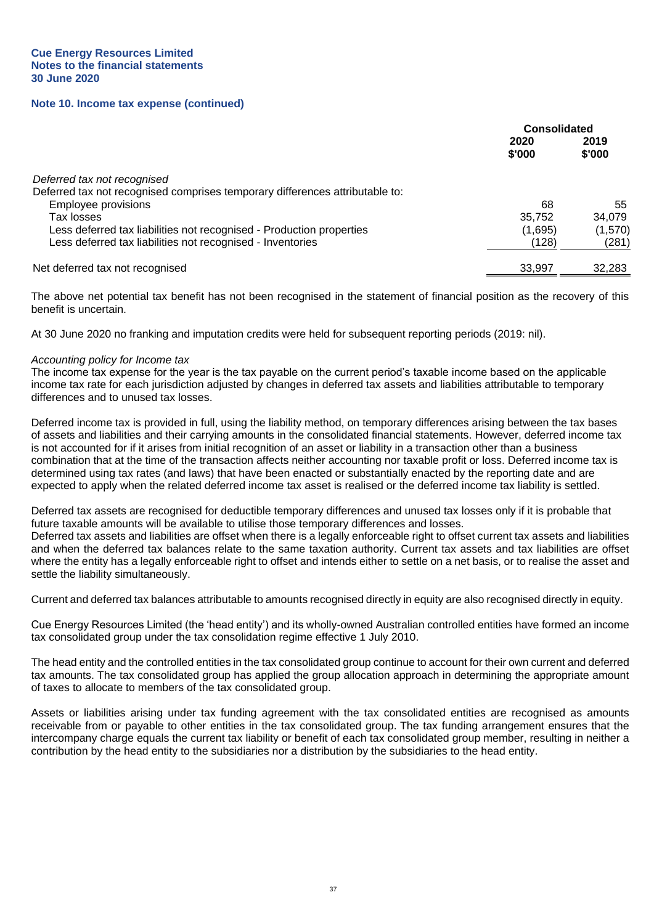#### **Note 10. Income tax expense (continued)**

|                                                                              | <b>Consolidated</b> |                |
|------------------------------------------------------------------------------|---------------------|----------------|
|                                                                              | 2020<br>\$'000      | 2019<br>\$'000 |
| Deferred tax not recognised                                                  |                     |                |
| Deferred tax not recognised comprises temporary differences attributable to: |                     |                |
| Employee provisions                                                          | 68                  | 55             |
| Tax losses                                                                   | 35.752              | 34,079         |
| Less deferred tax liabilities not recognised - Production properties         | (1,695)             | (1,570)        |
| Less deferred tax liabilities not recognised - Inventories                   | (128)               | (281)          |
| Net deferred tax not recognised                                              | 33.997              | 32,283         |

The above net potential tax benefit has not been recognised in the statement of financial position as the recovery of this benefit is uncertain.

At 30 June 2020 no franking and imputation credits were held for subsequent reporting periods (2019: nil).

#### *Accounting policy for Income tax*

The income tax expense for the year is the tax payable on the current period's taxable income based on the applicable income tax rate for each jurisdiction adjusted by changes in deferred tax assets and liabilities attributable to temporary differences and to unused tax losses.

Deferred income tax is provided in full, using the liability method, on temporary differences arising between the tax bases of assets and liabilities and their carrying amounts in the consolidated financial statements. However, deferred income tax is not accounted for if it arises from initial recognition of an asset or liability in a transaction other than a business combination that at the time of the transaction affects neither accounting nor taxable profit or loss. Deferred income tax is determined using tax rates (and laws) that have been enacted or substantially enacted by the reporting date and are expected to apply when the related deferred income tax asset is realised or the deferred income tax liability is settled.

Deferred tax assets are recognised for deductible temporary differences and unused tax losses only if it is probable that future taxable amounts will be available to utilise those temporary differences and losses.

Deferred tax assets and liabilities are offset when there is a legally enforceable right to offset current tax assets and liabilities and when the deferred tax balances relate to the same taxation authority. Current tax assets and tax liabilities are offset where the entity has a legally enforceable right to offset and intends either to settle on a net basis, or to realise the asset and settle the liability simultaneously.

Current and deferred tax balances attributable to amounts recognised directly in equity are also recognised directly in equity.

Cue Energy Resources Limited (the 'head entity') and its wholly-owned Australian controlled entities have formed an income tax consolidated group under the tax consolidation regime effective 1 July 2010.

The head entity and the controlled entities in the tax consolidated group continue to account for their own current and deferred tax amounts. The tax consolidated group has applied the group allocation approach in determining the appropriate amount of taxes to allocate to members of the tax consolidated group.

Assets or liabilities arising under tax funding agreement with the tax consolidated entities are recognised as amounts receivable from or payable to other entities in the tax consolidated group. The tax funding arrangement ensures that the intercompany charge equals the current tax liability or benefit of each tax consolidated group member, resulting in neither a contribution by the head entity to the subsidiaries nor a distribution by the subsidiaries to the head entity.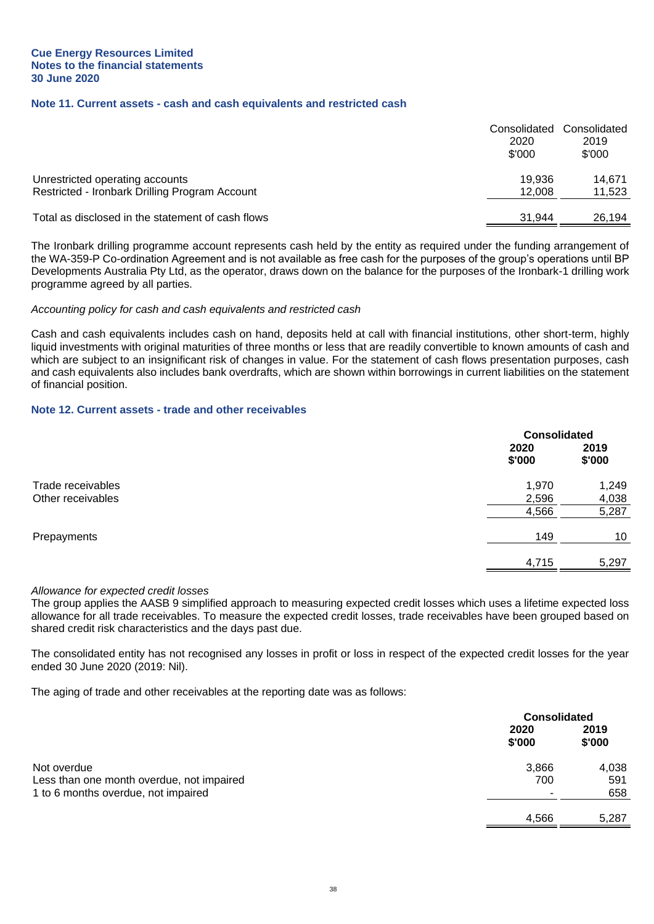## **Note 11. Current assets - cash and cash equivalents and restricted cash**

|                                                                                   | Consolidated<br>2020<br>\$'000 | Consolidated<br>2019<br>\$'000 |
|-----------------------------------------------------------------------------------|--------------------------------|--------------------------------|
| Unrestricted operating accounts<br>Restricted - Ironbark Drilling Program Account | 19.936<br>12.008               | 14.671<br>11,523               |
| Total as disclosed in the statement of cash flows                                 | 31.944                         | 26.194                         |

The Ironbark drilling programme account represents cash held by the entity as required under the funding arrangement of the WA-359-P Co-ordination Agreement and is not available as free cash for the purposes of the group's operations until BP Developments Australia Pty Ltd, as the operator, draws down on the balance for the purposes of the Ironbark-1 drilling work programme agreed by all parties.

#### *Accounting policy for cash and cash equivalents and restricted cash*

Cash and cash equivalents includes cash on hand, deposits held at call with financial institutions, other short-term, highly liquid investments with original maturities of three months or less that are readily convertible to known amounts of cash and which are subject to an insignificant risk of changes in value. For the statement of cash flows presentation purposes, cash and cash equivalents also includes bank overdrafts, which are shown within borrowings in current liabilities on the statement of financial position.

#### **Note 12. Current assets - trade and other receivables**

|                   |                | <b>Consolidated</b> |  |
|-------------------|----------------|---------------------|--|
|                   | 2020<br>\$'000 | 2019<br>\$'000      |  |
| Trade receivables | 1,970          | 1,249               |  |
| Other receivables | 2,596          | 4,038               |  |
|                   | 4,566          | 5,287               |  |
| Prepayments       | 149            | 10 <sup>°</sup>     |  |
|                   | 4,715          | 5,297               |  |

#### *Allowance for expected credit losses*

The group applies the AASB 9 simplified approach to measuring expected credit losses which uses a lifetime expected loss allowance for all trade receivables. To measure the expected credit losses, trade receivables have been grouped based on shared credit risk characteristics and the days past due.

The consolidated entity has not recognised any losses in profit or loss in respect of the expected credit losses for the year ended 30 June 2020 (2019: Nil).

The aging of trade and other receivables at the reporting date was as follows:

|                                           |                | <b>Consolidated</b> |  |
|-------------------------------------------|----------------|---------------------|--|
|                                           | 2020<br>\$'000 | 2019<br>\$'000      |  |
| Not overdue                               | 3,866          | 4,038               |  |
| Less than one month overdue, not impaired | 700            | 591                 |  |
| 1 to 6 months overdue, not impaired       |                | 658                 |  |
|                                           | 4,566          | 5.287               |  |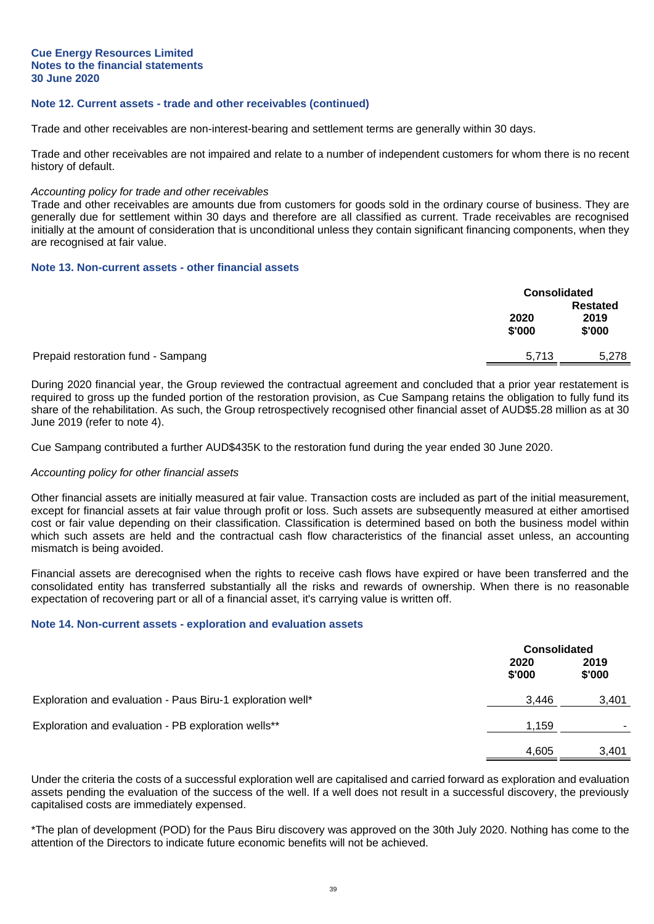#### **Note 12. Current assets - trade and other receivables (continued)**

Trade and other receivables are non-interest-bearing and settlement terms are generally within 30 days.

Trade and other receivables are not impaired and relate to a number of independent customers for whom there is no recent history of default.

#### *Accounting policy for trade and other receivables*

Trade and other receivables are amounts due from customers for goods sold in the ordinary course of business. They are generally due for settlement within 30 days and therefore are all classified as current. Trade receivables are recognised initially at the amount of consideration that is unconditional unless they contain significant financing components, when they are recognised at fair value.

#### **Note 13. Non-current assets - other financial assets**

|                                    |                | <b>Consolidated</b> |  |
|------------------------------------|----------------|---------------------|--|
|                                    |                | <b>Restated</b>     |  |
|                                    | 2020<br>\$'000 | 2019<br>\$'000      |  |
| Prepaid restoration fund - Sampang | 5,713          | 5,278               |  |

During 2020 financial year, the Group reviewed the contractual agreement and concluded that a prior year restatement is required to gross up the funded portion of the restoration provision, as Cue Sampang retains the obligation to fully fund its share of the rehabilitation. As such, the Group retrospectively recognised other financial asset of AUD\$5.28 million as at 30 June 2019 (refer to note 4).

Cue Sampang contributed a further AUD\$435K to the restoration fund during the year ended 30 June 2020.

#### *Accounting policy for other financial assets*

Other financial assets are initially measured at fair value. Transaction costs are included as part of the initial measurement, except for financial assets at fair value through profit or loss. Such assets are subsequently measured at either amortised cost or fair value depending on their classification. Classification is determined based on both the business model within which such assets are held and the contractual cash flow characteristics of the financial asset unless, an accounting mismatch is being avoided.

Financial assets are derecognised when the rights to receive cash flows have expired or have been transferred and the consolidated entity has transferred substantially all the risks and rewards of ownership. When there is no reasonable expectation of recovering part or all of a financial asset, it's carrying value is written off.

#### **Note 14. Non-current assets - exploration and evaluation assets**

|                                                            | <b>Consolidated</b> |                |
|------------------------------------------------------------|---------------------|----------------|
|                                                            | 2020<br>\$'000      | 2019<br>\$'000 |
| Exploration and evaluation - Paus Biru-1 exploration well* | 3.446               | 3,401          |
| Exploration and evaluation - PB exploration wells**        | 1,159               |                |
|                                                            | 4,605               | 3.401          |

Under the criteria the costs of a successful exploration well are capitalised and carried forward as exploration and evaluation assets pending the evaluation of the success of the well. If a well does not result in a successful discovery, the previously capitalised costs are immediately expensed.

\*The plan of development (POD) for the Paus Biru discovery was approved on the 30th July 2020. Nothing has come to the attention of the Directors to indicate future economic benefits will not be achieved.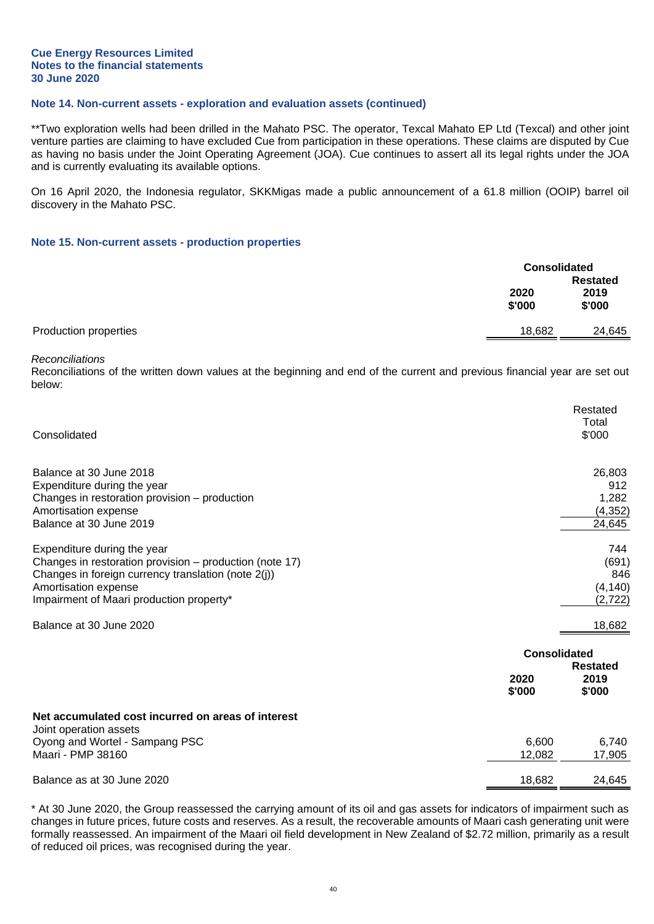#### **Cue Energy Resources Limited Notes to the financial statements 30 June 2020**

## **Note 14. Non-current assets - exploration and evaluation assets (continued)**

\*\*Two exploration wells had been drilled in the Mahato PSC. The operator, Texcal Mahato EP Ltd (Texcal) and other joint venture parties are claiming to have excluded Cue from participation in these operations. These claims are disputed by Cue as having no basis under the Joint Operating Agreement (JOA). Cue continues to assert all its legal rights under the JOA and is currently evaluating its available options.

On 16 April 2020, the Indonesia regulator, SKKMigas made a public announcement of a 61.8 million (OOIP) barrel oil discovery in the Mahato PSC.

#### **Note 15. Non-current assets - production properties**

|                       | <b>Consolidated</b> |        |
|-----------------------|---------------------|--------|
|                       | <b>Restated</b>     |        |
|                       | 2020                | 2019   |
|                       | \$'000              | \$'000 |
| Production properties | 18,682              | 24,645 |

#### *Reconciliations*

Reconciliations of the written down values at the beginning and end of the current and previous financial year are set out below:

| Consolidated                                                                                                                                                                                                      |                                       | Restated<br>Total<br>\$'000                  |
|-------------------------------------------------------------------------------------------------------------------------------------------------------------------------------------------------------------------|---------------------------------------|----------------------------------------------|
| Balance at 30 June 2018<br>Expenditure during the year<br>Changes in restoration provision - production<br>Amortisation expense<br>Balance at 30 June 2019                                                        |                                       | 26,803<br>912<br>1,282<br>(4, 352)<br>24,645 |
| Expenditure during the year<br>Changes in restoration provision - production (note 17)<br>Changes in foreign currency translation (note 2(j))<br>Amortisation expense<br>Impairment of Maari production property* |                                       | 744<br>(691)<br>846<br>(4, 140)<br>(2, 722)  |
| Balance at 30 June 2020                                                                                                                                                                                           |                                       | 18,682                                       |
|                                                                                                                                                                                                                   | <b>Consolidated</b><br>2020<br>\$'000 | <b>Restated</b><br>2019<br>\$'000            |
| Net accumulated cost incurred on areas of interest<br>Joint operation assets                                                                                                                                      |                                       |                                              |
| Oyong and Wortel - Sampang PSC<br>Maari - PMP 38160                                                                                                                                                               | 6,600<br>12,082                       | 6,740<br>17,905                              |
| Balance as at 30 June 2020                                                                                                                                                                                        | 18,682                                | 24,645                                       |

\* At 30 June 2020, the Group reassessed the carrying amount of its oil and gas assets for indicators of impairment such as changes in future prices, future costs and reserves. As a result, the recoverable amounts of Maari cash generating unit were formally reassessed. An impairment of the Maari oil field development in New Zealand of \$2.72 million, primarily as a result of reduced oil prices, was recognised during the year.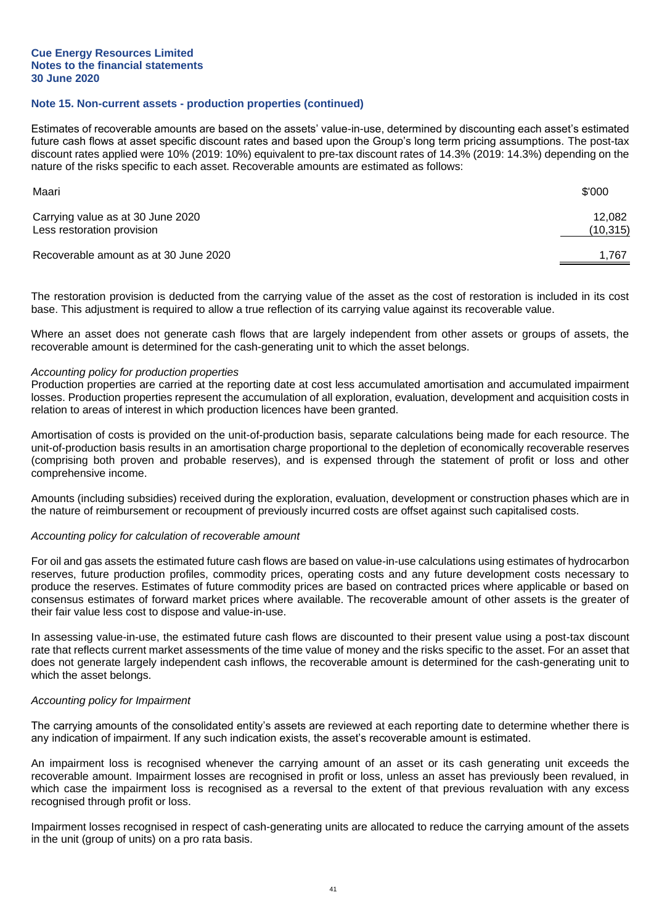#### **Note 15. Non-current assets - production properties (continued)**

Estimates of recoverable amounts are based on the assets' value-in-use, determined by discounting each asset's estimated future cash flows at asset specific discount rates and based upon the Group's long term pricing assumptions. The post-tax discount rates applied were 10% (2019: 10%) equivalent to pre-tax discount rates of 14.3% (2019: 14.3%) depending on the nature of the risks specific to each asset. Recoverable amounts are estimated as follows:

| Maari                                                           | \$'000             |
|-----------------------------------------------------------------|--------------------|
| Carrying value as at 30 June 2020<br>Less restoration provision | 12.082<br>(10,315) |
| Recoverable amount as at 30 June 2020                           | 1.767              |

The restoration provision is deducted from the carrying value of the asset as the cost of restoration is included in its cost base. This adjustment is required to allow a true reflection of its carrying value against its recoverable value.

Where an asset does not generate cash flows that are largely independent from other assets or groups of assets, the recoverable amount is determined for the cash-generating unit to which the asset belongs.

#### *Accounting policy for production properties*

Production properties are carried at the reporting date at cost less accumulated amortisation and accumulated impairment losses. Production properties represent the accumulation of all exploration, evaluation, development and acquisition costs in relation to areas of interest in which production licences have been granted.

Amortisation of costs is provided on the unit-of-production basis, separate calculations being made for each resource. The unit-of-production basis results in an amortisation charge proportional to the depletion of economically recoverable reserves (comprising both proven and probable reserves), and is expensed through the statement of profit or loss and other comprehensive income.

Amounts (including subsidies) received during the exploration, evaluation, development or construction phases which are in the nature of reimbursement or recoupment of previously incurred costs are offset against such capitalised costs.

#### *Accounting policy for calculation of recoverable amount*

For oil and gas assets the estimated future cash flows are based on value-in-use calculations using estimates of hydrocarbon reserves, future production profiles, commodity prices, operating costs and any future development costs necessary to produce the reserves. Estimates of future commodity prices are based on contracted prices where applicable or based on consensus estimates of forward market prices where available. The recoverable amount of other assets is the greater of their fair value less cost to dispose and value-in-use.

In assessing value-in-use, the estimated future cash flows are discounted to their present value using a post-tax discount rate that reflects current market assessments of the time value of money and the risks specific to the asset. For an asset that does not generate largely independent cash inflows, the recoverable amount is determined for the cash-generating unit to which the asset belongs.

#### *Accounting policy for Impairment*

The carrying amounts of the consolidated entity's assets are reviewed at each reporting date to determine whether there is any indication of impairment. If any such indication exists, the asset's recoverable amount is estimated.

An impairment loss is recognised whenever the carrying amount of an asset or its cash generating unit exceeds the recoverable amount. Impairment losses are recognised in profit or loss, unless an asset has previously been revalued, in which case the impairment loss is recognised as a reversal to the extent of that previous revaluation with any excess recognised through profit or loss.

Impairment losses recognised in respect of cash-generating units are allocated to reduce the carrying amount of the assets in the unit (group of units) on a pro rata basis.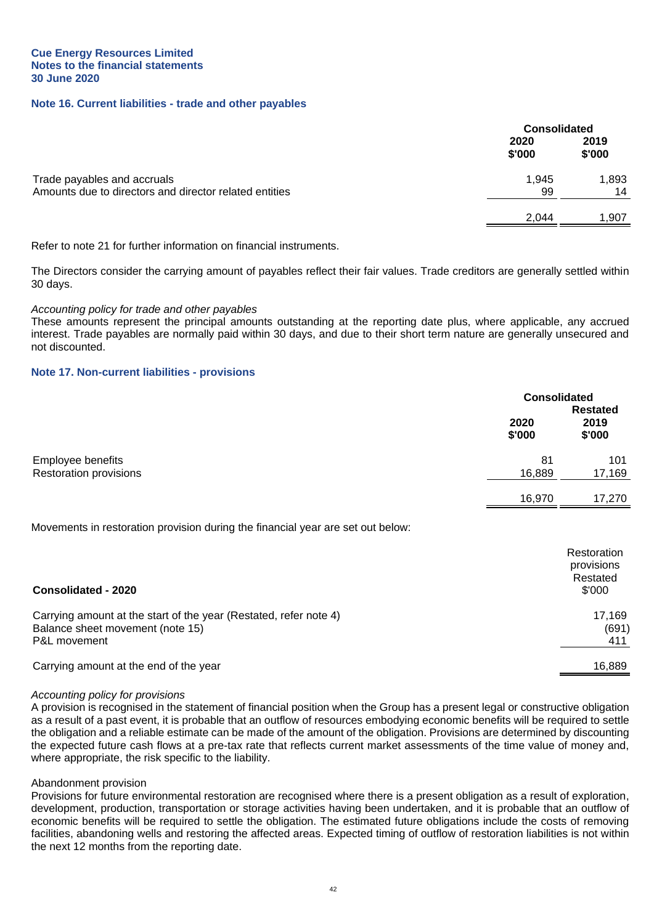#### **Note 16. Current liabilities - trade and other payables**

|                                                        |                | <b>Consolidated</b> |  |
|--------------------------------------------------------|----------------|---------------------|--|
|                                                        | 2020<br>\$'000 | 2019<br>\$'000      |  |
| Trade payables and accruals                            | 1,945          | 1,893               |  |
| Amounts due to directors and director related entities | 99             | 14                  |  |
|                                                        | 2.044          | 1.907               |  |

Refer to note 21 for further information on financial instruments.

The Directors consider the carrying amount of payables reflect their fair values. Trade creditors are generally settled within 30 days.

#### *Accounting policy for trade and other payables*

These amounts represent the principal amounts outstanding at the reporting date plus, where applicable, any accrued interest. Trade payables are normally paid within 30 days, and due to their short term nature are generally unsecured and not discounted.

#### **Note 17. Non-current liabilities - provisions**

|                                                                                 | <b>Consolidated</b> |                                       |
|---------------------------------------------------------------------------------|---------------------|---------------------------------------|
|                                                                                 | 2020<br>\$'000      | <b>Restated</b><br>2019<br>\$'000     |
| Employee benefits                                                               | 81                  | 101                                   |
| <b>Restoration provisions</b>                                                   | 16,889              | 17,169                                |
|                                                                                 | 16,970              | 17,270                                |
| Movements in restoration provision during the financial year are set out below: |                     |                                       |
|                                                                                 |                     | Restoration<br>provisions<br>Restated |
| <b>Consolidated - 2020</b>                                                      |                     | \$'000                                |
| Carrying amount at the start of the year (Restated, refer note 4)               |                     | 17,169                                |

Balance sheet movement (note 15) (691) P&L movement 411

Carrying amount at the end of the year 16,889 and the state of the year 16,889 and the year 16,889 control of the year 16,889 control of the year 16,889 control of the year 16,889 control of the year 16,889 control of the

#### *Accounting policy for provisions*

A provision is recognised in the statement of financial position when the Group has a present legal or constructive obligation as a result of a past event, it is probable that an outflow of resources embodying economic benefits will be required to settle the obligation and a reliable estimate can be made of the amount of the obligation. Provisions are determined by discounting the expected future cash flows at a pre-tax rate that reflects current market assessments of the time value of money and, where appropriate, the risk specific to the liability.

#### Abandonment provision

Provisions for future environmental restoration are recognised where there is a present obligation as a result of exploration, development, production, transportation or storage activities having been undertaken, and it is probable that an outflow of economic benefits will be required to settle the obligation. The estimated future obligations include the costs of removing facilities, abandoning wells and restoring the affected areas. Expected timing of outflow of restoration liabilities is not within the next 12 months from the reporting date.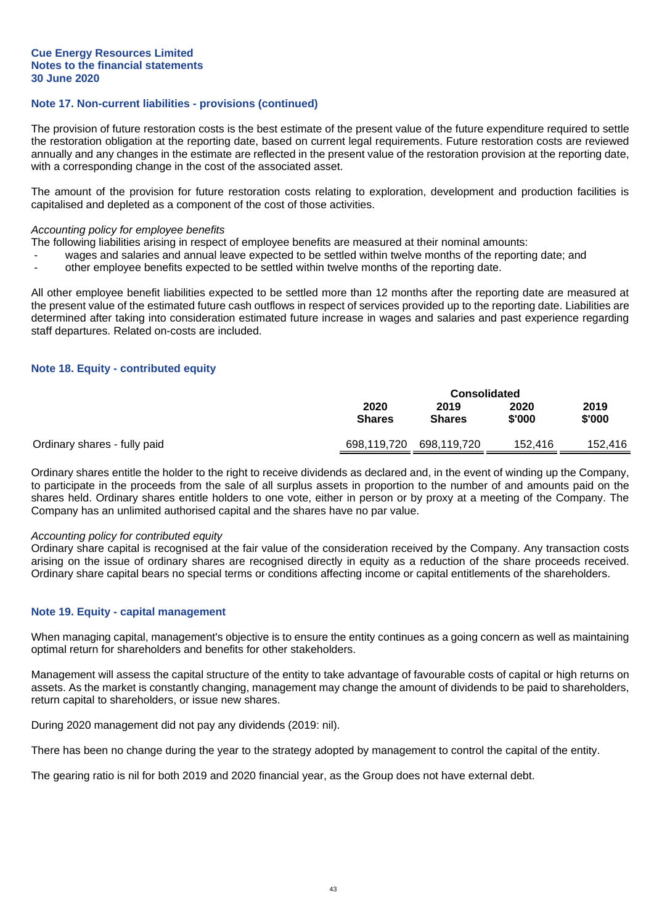#### **Note 17. Non-current liabilities - provisions (continued)**

The provision of future restoration costs is the best estimate of the present value of the future expenditure required to settle the restoration obligation at the reporting date, based on current legal requirements. Future restoration costs are reviewed annually and any changes in the estimate are reflected in the present value of the restoration provision at the reporting date, with a corresponding change in the cost of the associated asset.

The amount of the provision for future restoration costs relating to exploration, development and production facilities is capitalised and depleted as a component of the cost of those activities.

#### *Accounting policy for employee benefits*

The following liabilities arising in respect of employee benefits are measured at their nominal amounts:

- wages and salaries and annual leave expected to be settled within twelve months of the reporting date; and
- other employee benefits expected to be settled within twelve months of the reporting date.

All other employee benefit liabilities expected to be settled more than 12 months after the reporting date are measured at the present value of the estimated future cash outflows in respect of services provided up to the reporting date. Liabilities are determined after taking into consideration estimated future increase in wages and salaries and past experience regarding staff departures. Related on-costs are included.

#### **Note 18. Equity - contributed equity**

|                              | <b>Consolidated</b>   |                       |                |                |
|------------------------------|-----------------------|-----------------------|----------------|----------------|
|                              | 2020<br><b>Shares</b> | 2019<br><b>Shares</b> | 2020<br>\$'000 | 2019<br>\$'000 |
| Ordinary shares - fully paid | 698,119,720           | 698,119,720           | 152,416        | 152.416        |

Ordinary shares entitle the holder to the right to receive dividends as declared and, in the event of winding up the Company, to participate in the proceeds from the sale of all surplus assets in proportion to the number of and amounts paid on the shares held. Ordinary shares entitle holders to one vote, either in person or by proxy at a meeting of the Company. The Company has an unlimited authorised capital and the shares have no par value.

#### *Accounting policy for contributed equity*

Ordinary share capital is recognised at the fair value of the consideration received by the Company. Any transaction costs arising on the issue of ordinary shares are recognised directly in equity as a reduction of the share proceeds received. Ordinary share capital bears no special terms or conditions affecting income or capital entitlements of the shareholders.

#### **Note 19. Equity - capital management**

When managing capital, management's objective is to ensure the entity continues as a going concern as well as maintaining optimal return for shareholders and benefits for other stakeholders.

Management will assess the capital structure of the entity to take advantage of favourable costs of capital or high returns on assets. As the market is constantly changing, management may change the amount of dividends to be paid to shareholders, return capital to shareholders, or issue new shares.

During 2020 management did not pay any dividends (2019: nil).

There has been no change during the year to the strategy adopted by management to control the capital of the entity.

The gearing ratio is nil for both 2019 and 2020 financial year, as the Group does not have external debt.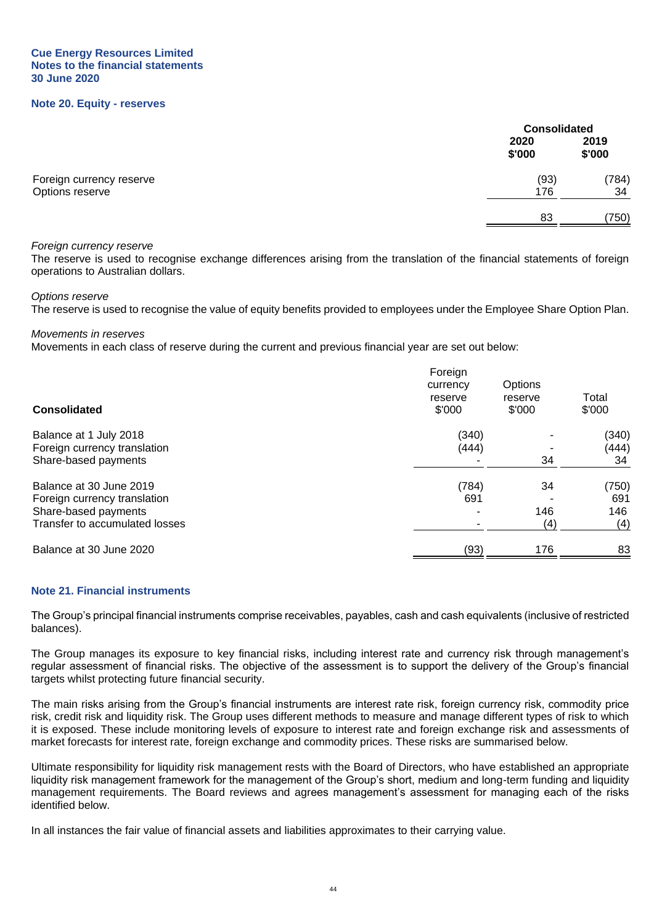#### **Cue Energy Resources Limited Notes to the financial statements 30 June 2020**

#### **Note 20. Equity - reserves**

|                          |                | <b>Consolidated</b> |  |
|--------------------------|----------------|---------------------|--|
|                          | 2020<br>\$'000 | 2019<br>\$'000      |  |
| Foreign currency reserve | (93)           | (784)               |  |
| Options reserve          | 176            | 34                  |  |
|                          | 83             | (750)               |  |

#### *Foreign currency reserve*

The reserve is used to recognise exchange differences arising from the translation of the financial statements of foreign operations to Australian dollars.

*Options reserve*

The reserve is used to recognise the value of equity benefits provided to employees under the Employee Share Option Plan.

*Movements in reserves*

Movements in each class of reserve during the current and previous financial year are set out below:

| Consolidated                                           | Foreign<br>currency<br>reserve<br>\$'000 | Options<br>reserve<br>\$'000 | Total<br>\$'000 |
|--------------------------------------------------------|------------------------------------------|------------------------------|-----------------|
| Balance at 1 July 2018<br>Foreign currency translation | (340)<br>(444)                           |                              | (340)<br>(444)  |
| Share-based payments                                   |                                          | 34                           | 34              |
| Balance at 30 June 2019                                | (784)                                    | 34                           | (750)           |
| Foreign currency translation                           | 691                                      |                              | 691             |
| Share-based payments                                   |                                          | 146                          | 146             |
| Transfer to accumulated losses                         |                                          | (4)                          | (4)             |
| Balance at 30 June 2020                                | (93)                                     | 176                          | 83              |

#### **Note 21. Financial instruments**

The Group's principal financial instruments comprise receivables, payables, cash and cash equivalents (inclusive of restricted balances).

The Group manages its exposure to key financial risks, including interest rate and currency risk through management's regular assessment of financial risks. The objective of the assessment is to support the delivery of the Group's financial targets whilst protecting future financial security.

The main risks arising from the Group's financial instruments are interest rate risk, foreign currency risk, commodity price risk, credit risk and liquidity risk. The Group uses different methods to measure and manage different types of risk to which it is exposed. These include monitoring levels of exposure to interest rate and foreign exchange risk and assessments of market forecasts for interest rate, foreign exchange and commodity prices. These risks are summarised below.

Ultimate responsibility for liquidity risk management rests with the Board of Directors, who have established an appropriate liquidity risk management framework for the management of the Group's short, medium and long-term funding and liquidity management requirements. The Board reviews and agrees management's assessment for managing each of the risks identified below.

In all instances the fair value of financial assets and liabilities approximates to their carrying value.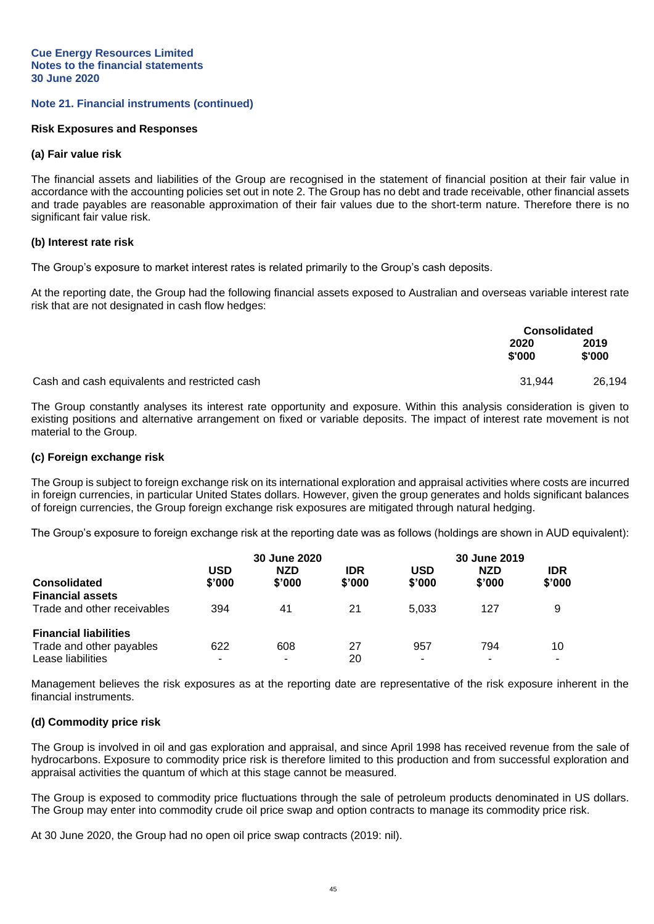#### **Note 21. Financial instruments (continued)**

#### **Risk Exposures and Responses**

#### **(a) Fair value risk**

The financial assets and liabilities of the Group are recognised in the statement of financial position at their fair value in accordance with the accounting policies set out in note 2. The Group has no debt and trade receivable, other financial assets and trade payables are reasonable approximation of their fair values due to the short-term nature. Therefore there is no significant fair value risk.

#### **(b) Interest rate risk**

The Group's exposure to market interest rates is related primarily to the Group's cash deposits.

At the reporting date, the Group had the following financial assets exposed to Australian and overseas variable interest rate risk that are not designated in cash flow hedges:

|                                               | <b>Consolidated</b> |                |
|-----------------------------------------------|---------------------|----------------|
|                                               | 2020<br>\$'000      | 2019<br>\$'000 |
| Cash and cash equivalents and restricted cash | 31.944              | 26.194         |

The Group constantly analyses its interest rate opportunity and exposure. Within this analysis consideration is given to existing positions and alternative arrangement on fixed or variable deposits. The impact of interest rate movement is not material to the Group.

#### **(c) Foreign exchange risk**

The Group is subject to foreign exchange risk on its international exploration and appraisal activities where costs are incurred in foreign currencies, in particular United States dollars. However, given the group generates and holds significant balances of foreign currencies, the Group foreign exchange risk exposures are mitigated through natural hedging.

The Group's exposure to foreign exchange risk at the reporting date was as follows (holdings are shown in AUD equivalent):

|                              | 30 June 2020 |            |            | 30 June 2019 |            |            |
|------------------------------|--------------|------------|------------|--------------|------------|------------|
|                              | USD          | <b>NZD</b> | <b>IDR</b> | USD          | <b>NZD</b> | <b>IDR</b> |
| <b>Consolidated</b>          | \$'000       | \$'000     | \$'000     | \$'000       | \$'000     | \$'000     |
| <b>Financial assets</b>      |              |            |            |              |            |            |
| Trade and other receivables  | 394          | 41         | 21         | 5.033        | 127        | 9          |
| <b>Financial liabilities</b> |              |            |            |              |            |            |
| Trade and other payables     | 622          | 608        | 27         | 957          | 794        | 10         |
| Lease liabilities            | ۰            |            | 20         | ۰            | ۰          |            |

Management believes the risk exposures as at the reporting date are representative of the risk exposure inherent in the financial instruments.

#### **(d) Commodity price risk**

The Group is involved in oil and gas exploration and appraisal, and since April 1998 has received revenue from the sale of hydrocarbons. Exposure to commodity price risk is therefore limited to this production and from successful exploration and appraisal activities the quantum of which at this stage cannot be measured.

The Group is exposed to commodity price fluctuations through the sale of petroleum products denominated in US dollars. The Group may enter into commodity crude oil price swap and option contracts to manage its commodity price risk.

At 30 June 2020, the Group had no open oil price swap contracts (2019: nil).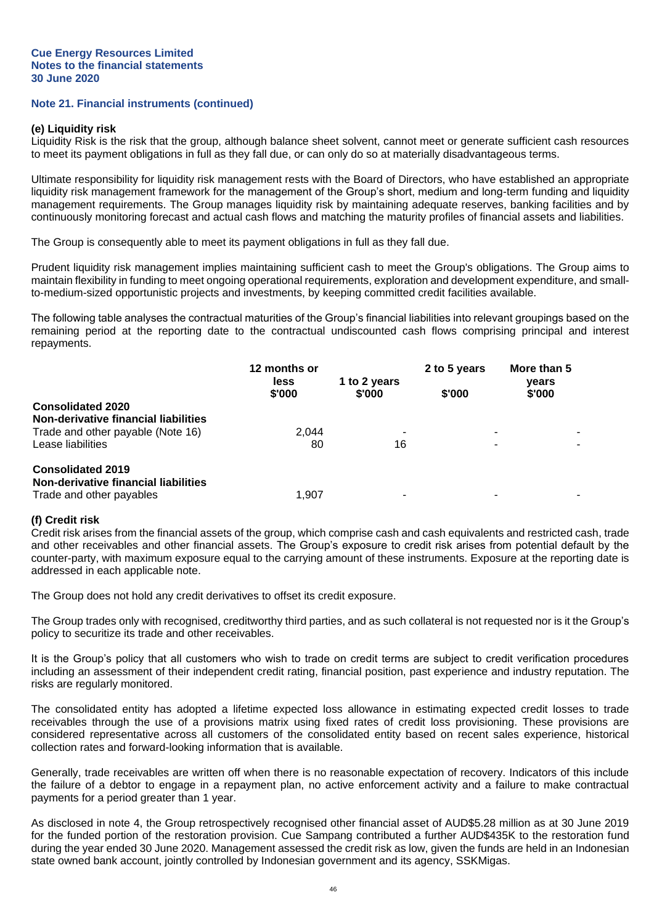#### **Note 21. Financial instruments (continued)**

#### **(e) Liquidity risk**

Liquidity Risk is the risk that the group, although balance sheet solvent, cannot meet or generate sufficient cash resources to meet its payment obligations in full as they fall due, or can only do so at materially disadvantageous terms.

Ultimate responsibility for liquidity risk management rests with the Board of Directors, who have established an appropriate liquidity risk management framework for the management of the Group's short, medium and long-term funding and liquidity management requirements. The Group manages liquidity risk by maintaining adequate reserves, banking facilities and by continuously monitoring forecast and actual cash flows and matching the maturity profiles of financial assets and liabilities.

The Group is consequently able to meet its payment obligations in full as they fall due.

Prudent liquidity risk management implies maintaining sufficient cash to meet the Group's obligations. The Group aims to maintain flexibility in funding to meet ongoing operational requirements, exploration and development expenditure, and smallto-medium-sized opportunistic projects and investments, by keeping committed credit facilities available.

The following table analyses the contractual maturities of the Group's financial liabilities into relevant groupings based on the remaining period at the reporting date to the contractual undiscounted cash flows comprising principal and interest repayments.

|                                      | 12 months or   |                        | 2 to 5 years | More than 5     |
|--------------------------------------|----------------|------------------------|--------------|-----------------|
|                                      | less<br>\$'000 | 1 to 2 years<br>\$'000 | \$'000       | vears<br>\$'000 |
| <b>Consolidated 2020</b>             |                |                        |              |                 |
| Non-derivative financial liabilities |                |                        |              |                 |
| Trade and other payable (Note 16)    | 2.044          |                        |              |                 |
| Lease liabilities                    | 80             | 16                     |              |                 |
| <b>Consolidated 2019</b>             |                |                        |              |                 |
| Non-derivative financial liabilities |                |                        |              |                 |
| Trade and other payables             | 1.907          |                        |              |                 |

#### **(f) Credit risk**

Credit risk arises from the financial assets of the group, which comprise cash and cash equivalents and restricted cash, trade and other receivables and other financial assets. The Group's exposure to credit risk arises from potential default by the counter-party, with maximum exposure equal to the carrying amount of these instruments. Exposure at the reporting date is addressed in each applicable note.

The Group does not hold any credit derivatives to offset its credit exposure.

The Group trades only with recognised, creditworthy third parties, and as such collateral is not requested nor is it the Group's policy to securitize its trade and other receivables.

It is the Group's policy that all customers who wish to trade on credit terms are subject to credit verification procedures including an assessment of their independent credit rating, financial position, past experience and industry reputation. The risks are regularly monitored.

The consolidated entity has adopted a lifetime expected loss allowance in estimating expected credit losses to trade receivables through the use of a provisions matrix using fixed rates of credit loss provisioning. These provisions are considered representative across all customers of the consolidated entity based on recent sales experience, historical collection rates and forward-looking information that is available.

Generally, trade receivables are written off when there is no reasonable expectation of recovery. Indicators of this include the failure of a debtor to engage in a repayment plan, no active enforcement activity and a failure to make contractual payments for a period greater than 1 year.

As disclosed in note 4, the Group retrospectively recognised other financial asset of AUD\$5.28 million as at 30 June 2019 for the funded portion of the restoration provision. Cue Sampang contributed a further AUD\$435K to the restoration fund during the year ended 30 June 2020. Management assessed the credit risk as low, given the funds are held in an Indonesian state owned bank account, jointly controlled by Indonesian government and its agency, SSKMigas.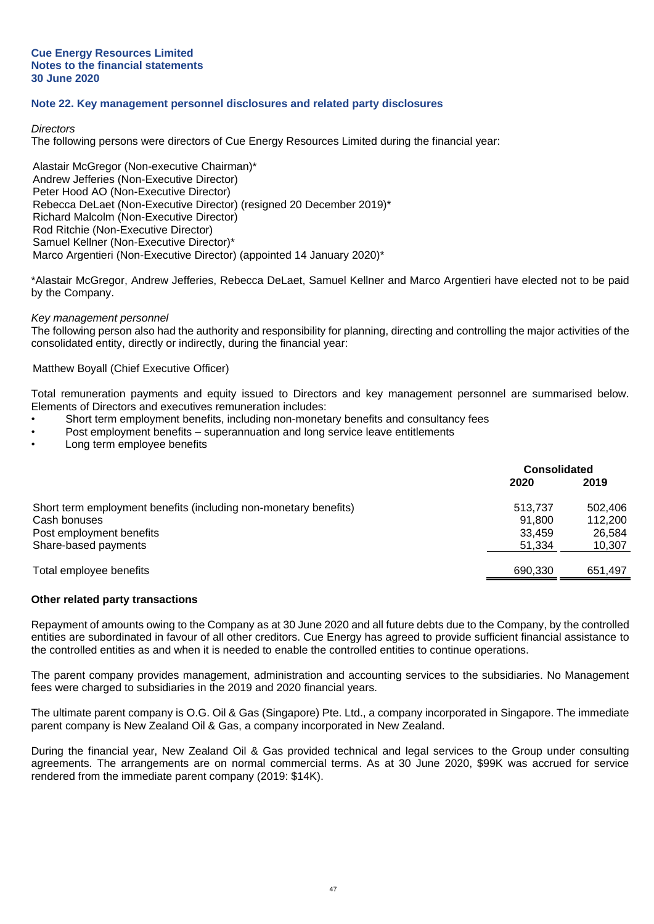## **Note 22. Key management personnel disclosures and related party disclosures**

#### *Directors*

The following persons were directors of Cue Energy Resources Limited during the financial year:

Alastair McGregor (Non-executive Chairman)\* Andrew Jefferies (Non-Executive Director) Peter Hood AO (Non-Executive Director) Rebecca DeLaet (Non-Executive Director) (resigned 20 December 2019)\* Richard Malcolm (Non-Executive Director) Rod Ritchie (Non-Executive Director) Samuel Kellner (Non-Executive Director)\* Marco Argentieri (Non-Executive Director) (appointed 14 January 2020)\*

\*Alastair McGregor, Andrew Jefferies, Rebecca DeLaet, Samuel Kellner and Marco Argentieri have elected not to be paid by the Company.

#### *Key management personnel*

The following person also had the authority and responsibility for planning, directing and controlling the major activities of the consolidated entity, directly or indirectly, during the financial year:

#### Matthew Boyall (Chief Executive Officer)

Total remuneration payments and equity issued to Directors and key management personnel are summarised below. Elements of Directors and executives remuneration includes:

- Short term employment benefits, including non-monetary benefits and consultancy fees
- Post employment benefits superannuation and long service leave entitlements
- Long term employee benefits

|                                                                  | <b>Consolidated</b> |         |
|------------------------------------------------------------------|---------------------|---------|
|                                                                  | 2020                | 2019    |
| Short term employment benefits (including non-monetary benefits) | 513,737             | 502.406 |
| Cash bonuses                                                     | 91.800              | 112.200 |
| Post employment benefits                                         | 33,459              | 26.584  |
| Share-based payments                                             | 51.334              | 10,307  |
| Total employee benefits                                          | 690,330             | 651.497 |

#### **Other related party transactions**

Repayment of amounts owing to the Company as at 30 June 2020 and all future debts due to the Company, by the controlled entities are subordinated in favour of all other creditors. Cue Energy has agreed to provide sufficient financial assistance to the controlled entities as and when it is needed to enable the controlled entities to continue operations.

The parent company provides management, administration and accounting services to the subsidiaries. No Management fees were charged to subsidiaries in the 2019 and 2020 financial years.

The ultimate parent company is O.G. Oil & Gas (Singapore) Pte. Ltd., a company incorporated in Singapore. The immediate parent company is New Zealand Oil & Gas, a company incorporated in New Zealand.

During the financial year, New Zealand Oil & Gas provided technical and legal services to the Group under consulting agreements. The arrangements are on normal commercial terms. As at 30 June 2020, \$99K was accrued for service rendered from the immediate parent company (2019: \$14K).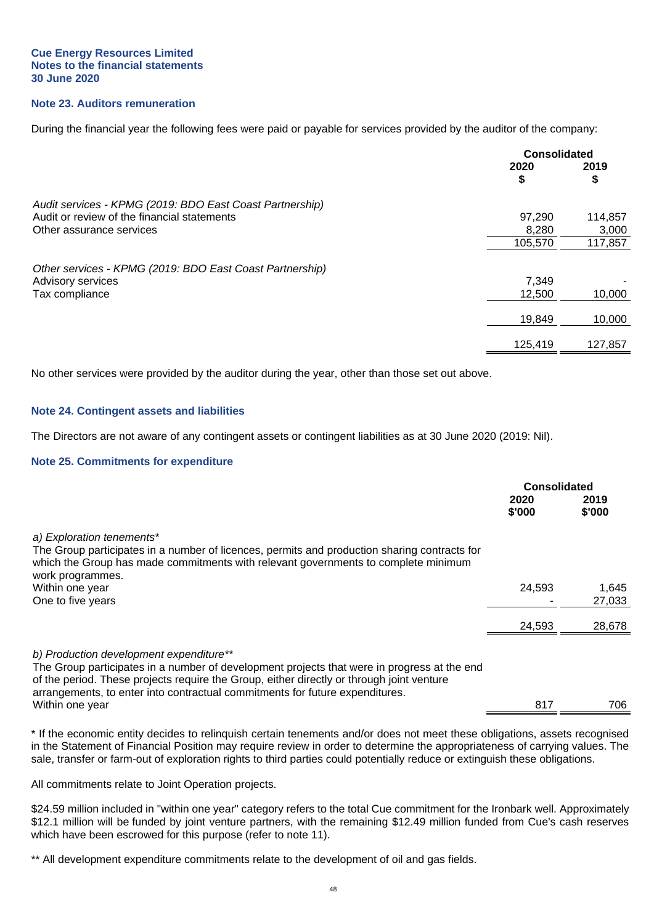#### **Cue Energy Resources Limited Notes to the financial statements 30 June 2020**

## **Note 23. Auditors remuneration**

During the financial year the following fees were paid or payable for services provided by the auditor of the company:

|                                                          | <b>Consolidated</b> |            |
|----------------------------------------------------------|---------------------|------------|
|                                                          | 2020<br>\$          | 2019<br>\$ |
| Audit services - KPMG (2019: BDO East Coast Partnership) |                     |            |
| Audit or review of the financial statements              | 97,290              | 114,857    |
| Other assurance services                                 | 8,280               | 3,000      |
|                                                          | 105,570             | 117,857    |
| Other services - KPMG (2019: BDO East Coast Partnership) |                     |            |
| Advisory services                                        | 7,349               |            |
| Tax compliance                                           | 12,500              | 10,000     |
|                                                          | 19,849              | 10,000     |
|                                                          | 125,419             | 127,857    |

No other services were provided by the auditor during the year, other than those set out above.

#### **Note 24. Contingent assets and liabilities**

The Directors are not aware of any contingent assets or contingent liabilities as at 30 June 2020 (2019: Nil).

#### **Note 25. Commitments for expenditure**

|                                                                                                                                                                                                                                                                                                                                        | <b>Consolidated</b> |                 |
|----------------------------------------------------------------------------------------------------------------------------------------------------------------------------------------------------------------------------------------------------------------------------------------------------------------------------------------|---------------------|-----------------|
|                                                                                                                                                                                                                                                                                                                                        | 2020<br>\$'000      | 2019<br>\$'000  |
| a) Exploration tenements*<br>The Group participates in a number of licences, permits and production sharing contracts for<br>which the Group has made commitments with relevant governments to complete minimum<br>work programmes.                                                                                                    |                     |                 |
| Within one year<br>One to five years                                                                                                                                                                                                                                                                                                   | 24,593              | 1,645<br>27,033 |
|                                                                                                                                                                                                                                                                                                                                        | 24,593              | 28,678          |
| b) Production development expenditure**<br>The Group participates in a number of development projects that were in progress at the end<br>of the period. These projects require the Group, either directly or through joint venture<br>arrangements, to enter into contractual commitments for future expenditures.<br>Within one year | 817                 | 706             |

\* If the economic entity decides to relinquish certain tenements and/or does not meet these obligations, assets recognised in the Statement of Financial Position may require review in order to determine the appropriateness of carrying values. The sale, transfer or farm-out of exploration rights to third parties could potentially reduce or extinguish these obligations.

All commitments relate to Joint Operation projects.

\$24.59 million included in "within one year" category refers to the total Cue commitment for the Ironbark well. Approximately \$12.1 million will be funded by joint venture partners, with the remaining \$12.49 million funded from Cue's cash reserves which have been escrowed for this purpose (refer to note 11).

\*\* All development expenditure commitments relate to the development of oil and gas fields.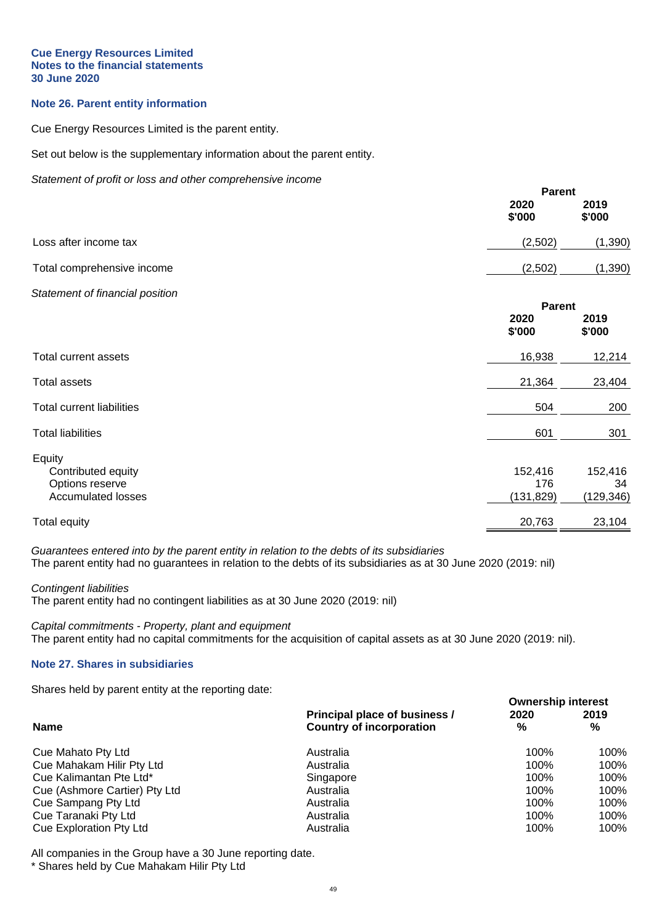#### **Cue Energy Resources Limited Notes to the financial statements 30 June 2020**

## **Note 26. Parent entity information**

Cue Energy Resources Limited is the parent entity.

Set out below is the supplementary information about the parent entity.

*Statement of profit or loss and other comprehensive income*

|                                                                              | <b>Parent</b>                   |                             |
|------------------------------------------------------------------------------|---------------------------------|-----------------------------|
|                                                                              | 2020<br>\$'000                  | 2019<br>\$'000              |
| Loss after income tax                                                        | (2,502)                         | (1, 390)                    |
| Total comprehensive income                                                   | (2,502)                         | (1, 390)                    |
| Statement of financial position                                              | <b>Parent</b><br>2020<br>\$'000 | 2019<br>\$'000              |
| Total current assets                                                         | 16,938                          | 12,214                      |
| <b>Total assets</b>                                                          | 21,364                          | 23,404                      |
| <b>Total current liabilities</b>                                             | 504                             | 200                         |
| <b>Total liabilities</b>                                                     | 601                             | 301                         |
| Equity<br>Contributed equity<br>Options reserve<br><b>Accumulated losses</b> | 152,416<br>176<br>(131, 829)    | 152,416<br>34<br>(129, 346) |
| <b>Total equity</b>                                                          | 20,763                          | 23,104                      |

*Guarantees entered into by the parent entity in relation to the debts of its subsidiaries* The parent entity had no guarantees in relation to the debts of its subsidiaries as at 30 June 2020 (2019: nil)

*Contingent liabilities*

The parent entity had no contingent liabilities as at 30 June 2020 (2019: nil)

*Capital commitments - Property, plant and equipment* The parent entity had no capital commitments for the acquisition of capital assets as at 30 June 2020 (2019: nil).

#### **Note 27. Shares in subsidiaries**

Shares held by parent entity at the reporting date:

|                               |                                 | <b>Ownership interest</b> |      |  |
|-------------------------------|---------------------------------|---------------------------|------|--|
|                               | Principal place of business /   | 2020                      | 2019 |  |
| <b>Name</b>                   | <b>Country of incorporation</b> | %                         | %    |  |
| Cue Mahato Pty Ltd            | Australia                       | 100%                      | 100% |  |
| Cue Mahakam Hilir Pty Ltd     | Australia                       | 100%                      | 100% |  |
| Cue Kalimantan Pte Ltd*       | Singapore                       | 100%                      | 100% |  |
| Cue (Ashmore Cartier) Pty Ltd | Australia                       | 100%                      | 100% |  |
| Cue Sampang Pty Ltd           | Australia                       | 100%                      | 100% |  |
| Cue Taranaki Pty Ltd          | Australia                       | 100%                      | 100% |  |
| Cue Exploration Pty Ltd       | Australia                       | 100%                      | 100% |  |

All companies in the Group have a 30 June reporting date. \* Shares held by Cue Mahakam Hilir Pty Ltd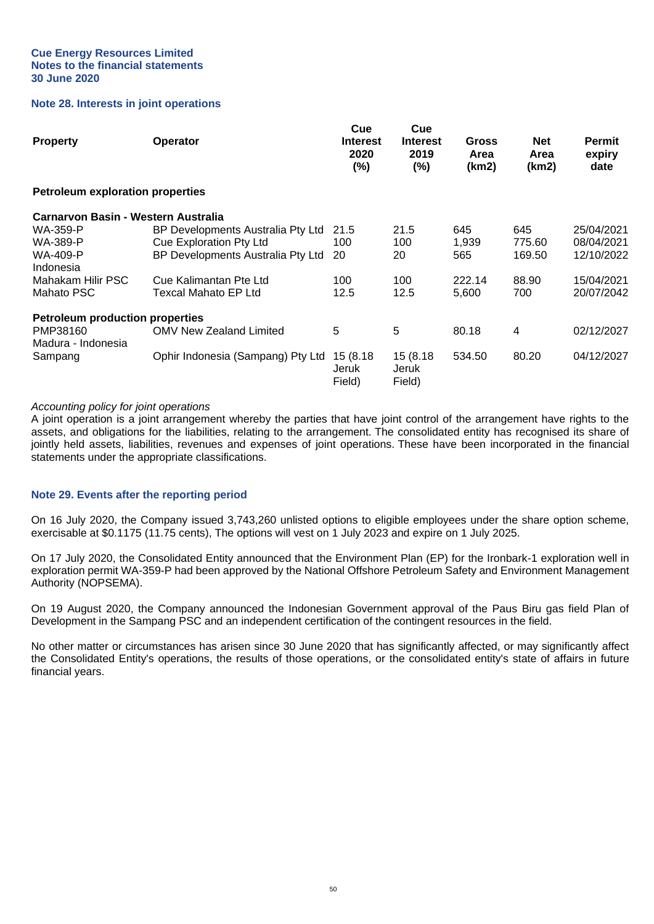#### **Note 28. Interests in joint operations**

| <b>Property</b>                         | Operator                          | Cue<br><b>Interest</b><br>2020<br>(%) | Cue<br><b>Interest</b><br>2019<br>(%) | Gross<br>Area<br>(km2) | <b>Net</b><br>Area<br>(km2) | <b>Permit</b><br>expiry<br>date |
|-----------------------------------------|-----------------------------------|---------------------------------------|---------------------------------------|------------------------|-----------------------------|---------------------------------|
| <b>Petroleum exploration properties</b> |                                   |                                       |                                       |                        |                             |                                 |
| Carnarvon Basin - Western Australia     |                                   |                                       |                                       |                        |                             |                                 |
| WA-359-P                                | BP Developments Australia Pty Ltd | 21.5                                  | 21.5                                  | 645                    | 645                         | 25/04/2021                      |
| WA-389-P                                | <b>Cue Exploration Pty Ltd</b>    | 100                                   | 100                                   | 1,939                  | 775.60                      | 08/04/2021                      |
| WA-409-P                                | BP Developments Australia Pty Ltd | 20                                    | 20                                    | 565                    | 169.50                      | 12/10/2022                      |
| Indonesia                               |                                   |                                       |                                       |                        |                             |                                 |
| Mahakam Hilir PSC                       | Cue Kalimantan Pte Ltd            | 100                                   | 100                                   | 222.14                 | 88.90                       | 15/04/2021                      |
| Mahato PSC                              | Texcal Mahato EP Ltd              | 12.5                                  | 12.5                                  | 5,600                  | 700                         | 20/07/2042                      |
| <b>Petroleum production properties</b>  |                                   |                                       |                                       |                        |                             |                                 |
| PMP38160                                | <b>OMV New Zealand Limited</b>    | 5                                     | 5                                     | 80.18                  | 4                           | 02/12/2027                      |
| Madura - Indonesia                      |                                   |                                       |                                       |                        |                             |                                 |
| Sampang                                 | Ophir Indonesia (Sampang) Pty Ltd | 15 (8.18)<br>Jeruk<br>Field)          | 15 (8.18)<br>Jeruk<br>Field)          | 534.50                 | 80.20                       | 04/12/2027                      |

#### *Accounting policy for joint operations*

A joint operation is a joint arrangement whereby the parties that have joint control of the arrangement have rights to the assets, and obligations for the liabilities, relating to the arrangement. The consolidated entity has recognised its share of jointly held assets, liabilities, revenues and expenses of joint operations. These have been incorporated in the financial statements under the appropriate classifications.

#### **Note 29. Events after the reporting period**

On 16 July 2020, the Company issued 3,743,260 unlisted options to eligible employees under the share option scheme, exercisable at \$0.1175 (11.75 cents), The options will vest on 1 July 2023 and expire on 1 July 2025.

On 17 July 2020, the Consolidated Entity announced that the Environment Plan (EP) for the Ironbark-1 exploration well in exploration permit WA-359-P had been approved by the National Offshore Petroleum Safety and Environment Management Authority (NOPSEMA).

On 19 August 2020, the Company announced the Indonesian Government approval of the Paus Biru gas field Plan of Development in the Sampang PSC and an independent certification of the contingent resources in the field.

No other matter or circumstances has arisen since 30 June 2020 that has significantly affected, or may significantly affect the Consolidated Entity's operations, the results of those operations, or the consolidated entity's state of affairs in future financial years.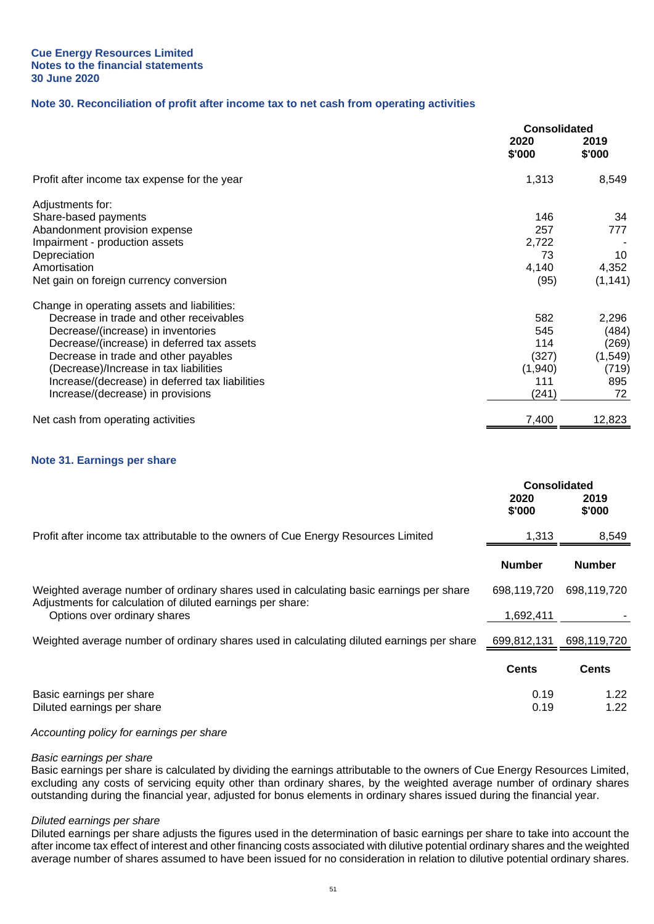## **Note 30. Reconciliation of profit after income tax to net cash from operating activities**

|                                                 | <b>Consolidated</b> |                |
|-------------------------------------------------|---------------------|----------------|
|                                                 | 2020<br>\$'000      | 2019<br>\$'000 |
| Profit after income tax expense for the year    | 1,313               | 8,549          |
| Adjustments for:                                |                     |                |
| Share-based payments                            | 146                 | 34             |
| Abandonment provision expense                   | 257                 | 777            |
| Impairment - production assets                  | 2,722               |                |
| Depreciation                                    | 73                  | 10             |
| Amortisation                                    | 4,140               | 4,352          |
| Net gain on foreign currency conversion         | (95)                | (1, 141)       |
| Change in operating assets and liabilities:     |                     |                |
| Decrease in trade and other receivables         | 582                 | 2,296          |
| Decrease/(increase) in inventories              | 545                 | (484)          |
| Decrease/(increase) in deferred tax assets      | 114                 | (269)          |
| Decrease in trade and other payables            | (327)               | (1, 549)       |
| (Decrease)/Increase in tax liabilities          | (1,940)             | (719)          |
| Increase/(decrease) in deferred tax liabilities | 111                 | 895            |
| Increase/(decrease) in provisions               | (241)               | 72             |
| Net cash from operating activities              | 7,400               | 12,823         |

#### **Note 31. Earnings per share**

|                                                                                                                                                                                       | <b>Consolidated</b><br>2020 | 2019          |
|---------------------------------------------------------------------------------------------------------------------------------------------------------------------------------------|-----------------------------|---------------|
|                                                                                                                                                                                       | \$'000                      | \$'000        |
| Profit after income tax attributable to the owners of Cue Energy Resources Limited                                                                                                    | 1,313                       | 8,549         |
|                                                                                                                                                                                       | <b>Number</b>               | <b>Number</b> |
| Weighted average number of ordinary shares used in calculating basic earnings per share<br>Adjustments for calculation of diluted earnings per share:<br>Options over ordinary shares |                             | 698,119,720   |
|                                                                                                                                                                                       |                             |               |
| Weighted average number of ordinary shares used in calculating diluted earnings per share                                                                                             | 699,812,131                 | 698,119,720   |
|                                                                                                                                                                                       | <b>Cents</b>                | <b>Cents</b>  |
| Basic earnings per share                                                                                                                                                              | 0.19                        | 1.22          |
| Diluted earnings per share                                                                                                                                                            | 0.19                        | 1.22          |

#### *Accounting policy for earnings per share*

#### *Basic earnings per share*

Basic earnings per share is calculated by dividing the earnings attributable to the owners of Cue Energy Resources Limited, excluding any costs of servicing equity other than ordinary shares, by the weighted average number of ordinary shares outstanding during the financial year, adjusted for bonus elements in ordinary shares issued during the financial year.

#### *Diluted earnings per share*

Diluted earnings per share adjusts the figures used in the determination of basic earnings per share to take into account the after income tax effect of interest and other financing costs associated with dilutive potential ordinary shares and the weighted average number of shares assumed to have been issued for no consideration in relation to dilutive potential ordinary shares.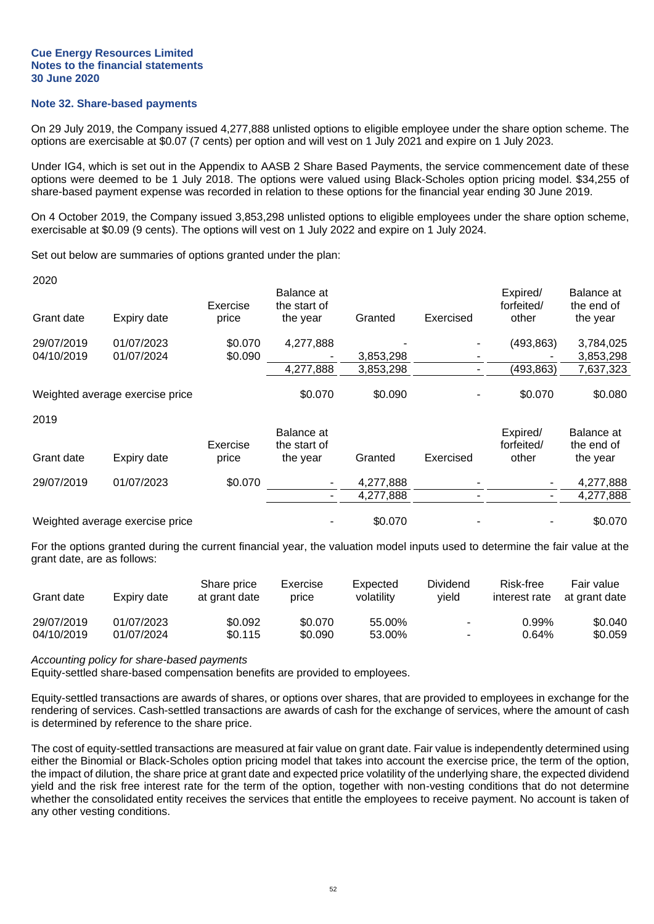#### **Note 32. Share-based payments**

On 29 July 2019, the Company issued 4,277,888 unlisted options to eligible employee under the share option scheme. The options are exercisable at \$0.07 (7 cents) per option and will vest on 1 July 2021 and expire on 1 July 2023.

Under IG4, which is set out in the Appendix to AASB 2 Share Based Payments, the service commencement date of these options were deemed to be 1 July 2018. The options were valued using Black-Scholes option pricing model. \$34,255 of share-based payment expense was recorded in relation to these options for the financial year ending 30 June 2019.

On 4 October 2019, the Company issued 3,853,298 unlisted options to eligible employees under the share option scheme, exercisable at \$0.09 (9 cents). The options will vest on 1 July 2022 and expire on 1 July 2024.

Set out below are summaries of options granted under the plan:

| 2020       |                                 |          |                            |           |           |                        |                          |
|------------|---------------------------------|----------|----------------------------|-----------|-----------|------------------------|--------------------------|
|            |                                 | Exercise | Balance at<br>the start of |           |           | Expired/<br>forfeited/ | Balance at<br>the end of |
| Grant date | Expiry date                     | price    | the year                   | Granted   | Exercised | other                  | the year                 |
| 29/07/2019 | 01/07/2023                      | \$0.070  | 4,277,888                  |           |           | (493, 863)             | 3,784,025                |
| 04/10/2019 | 01/07/2024                      | \$0.090  |                            | 3,853,298 |           |                        | 3,853,298                |
|            |                                 |          | 4,277,888                  | 3,853,298 |           | (493,863)              | 7,637,323                |
|            | Weighted average exercise price |          | \$0.070                    | \$0.090   |           | \$0.070                | \$0.080                  |
| 2019       |                                 |          |                            |           |           |                        |                          |
|            |                                 |          | Balance at                 |           |           | Expired/               | Balance at               |
|            |                                 | Exercise | the start of               |           |           | forfeited/             | the end of               |
| Grant date | Expiry date                     | price    | the year                   | Granted   | Exercised | other                  | the year                 |
| 29/07/2019 | 01/07/2023                      | \$0.070  |                            | 4,277,888 |           |                        | 4,277,888                |
|            |                                 |          | ۰                          | 4,277,888 |           |                        | 4,277,888                |
|            | Weighted average exercise price |          |                            | \$0.070   |           |                        | \$0.070                  |

For the options granted during the current financial year, the valuation model inputs used to determine the fair value at the grant date, are as follows:

| Grant date | Expiry date | Share price<br>at grant date | Exercise<br>price | Expected<br>volatility | Dividend<br>vield        | Risk-free<br>interest rate | Fair value<br>at grant date |
|------------|-------------|------------------------------|-------------------|------------------------|--------------------------|----------------------------|-----------------------------|
| 29/07/2019 | 01/07/2023  | \$0.092                      | \$0.070           | 55.00%                 | $\overline{\phantom{a}}$ | 0.99%                      | \$0.040                     |
| 04/10/2019 | 01/07/2024  | \$0.115                      | \$0.090           | 53.00%                 | ٠                        | 0.64%                      | \$0.059                     |

*Accounting policy for share-based payments*

Equity-settled share-based compensation benefits are provided to employees.

Equity-settled transactions are awards of shares, or options over shares, that are provided to employees in exchange for the rendering of services. Cash-settled transactions are awards of cash for the exchange of services, where the amount of cash is determined by reference to the share price.

The cost of equity-settled transactions are measured at fair value on grant date. Fair value is independently determined using either the Binomial or Black-Scholes option pricing model that takes into account the exercise price, the term of the option, the impact of dilution, the share price at grant date and expected price volatility of the underlying share, the expected dividend yield and the risk free interest rate for the term of the option, together with non-vesting conditions that do not determine whether the consolidated entity receives the services that entitle the employees to receive payment. No account is taken of any other vesting conditions.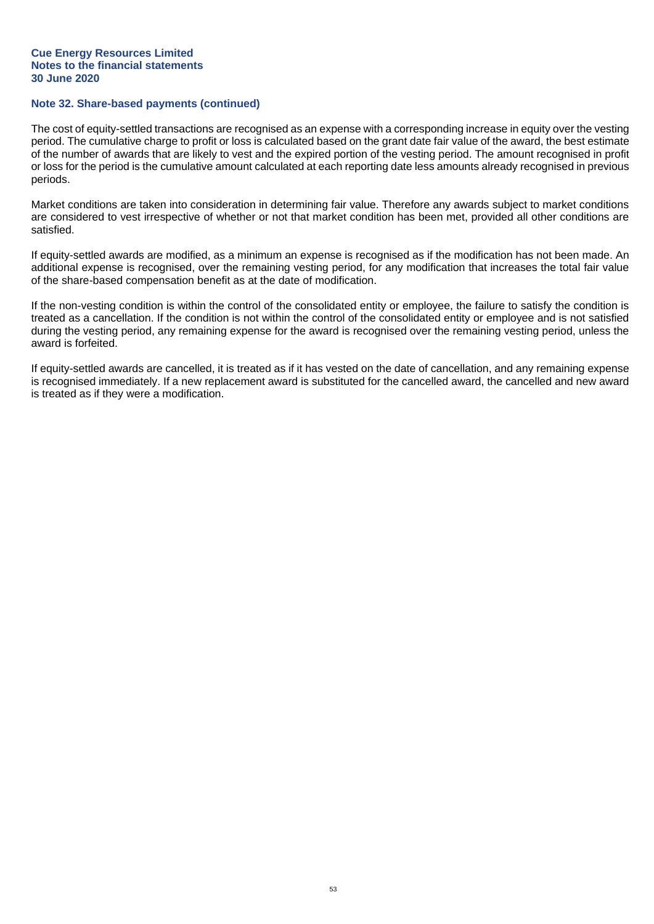## **Note 32. Share-based payments (continued)**

The cost of equity-settled transactions are recognised as an expense with a corresponding increase in equity over the vesting period. The cumulative charge to profit or loss is calculated based on the grant date fair value of the award, the best estimate of the number of awards that are likely to vest and the expired portion of the vesting period. The amount recognised in profit or loss for the period is the cumulative amount calculated at each reporting date less amounts already recognised in previous periods.

Market conditions are taken into consideration in determining fair value. Therefore any awards subject to market conditions are considered to vest irrespective of whether or not that market condition has been met, provided all other conditions are satisfied.

If equity-settled awards are modified, as a minimum an expense is recognised as if the modification has not been made. An additional expense is recognised, over the remaining vesting period, for any modification that increases the total fair value of the share-based compensation benefit as at the date of modification.

If the non-vesting condition is within the control of the consolidated entity or employee, the failure to satisfy the condition is treated as a cancellation. If the condition is not within the control of the consolidated entity or employee and is not satisfied during the vesting period, any remaining expense for the award is recognised over the remaining vesting period, unless the award is forfeited.

If equity-settled awards are cancelled, it is treated as if it has vested on the date of cancellation, and any remaining expense is recognised immediately. If a new replacement award is substituted for the cancelled award, the cancelled and new award is treated as if they were a modification.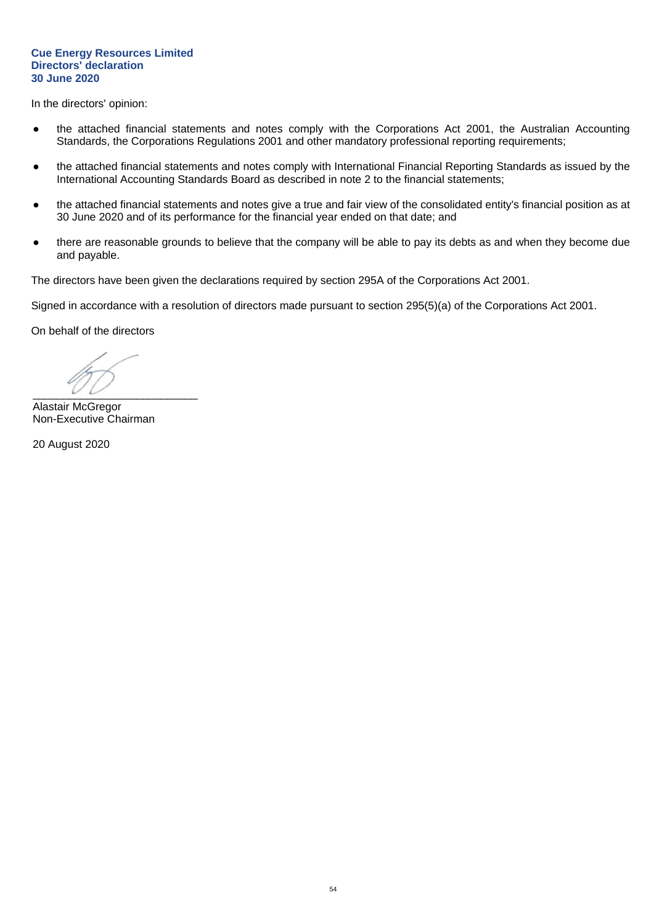#### **Cue Energy Resources Limited Directors' declaration 30 June 2020**

In the directors' opinion:

- the attached financial statements and notes comply with the Corporations Act 2001, the Australian Accounting Standards, the Corporations Regulations 2001 and other mandatory professional reporting requirements;
- the attached financial statements and notes comply with International Financial Reporting Standards as issued by the International Accounting Standards Board as described in note 2 to the financial statements;
- the attached financial statements and notes give a true and fair view of the consolidated entity's financial position as at 30 June 2020 and of its performance for the financial year ended on that date; and
- there are reasonable grounds to believe that the company will be able to pay its debts as and when they become due and payable.

The directors have been given the declarations required by section 295A of the Corporations Act 2001.

Signed in accordance with a resolution of directors made pursuant to section 295(5)(a) of the Corporations Act 2001.

On behalf of the directors

 $\overline{\phantom{a}}$ 

Alastair McGregor Non-Executive Chairman

20 August 2020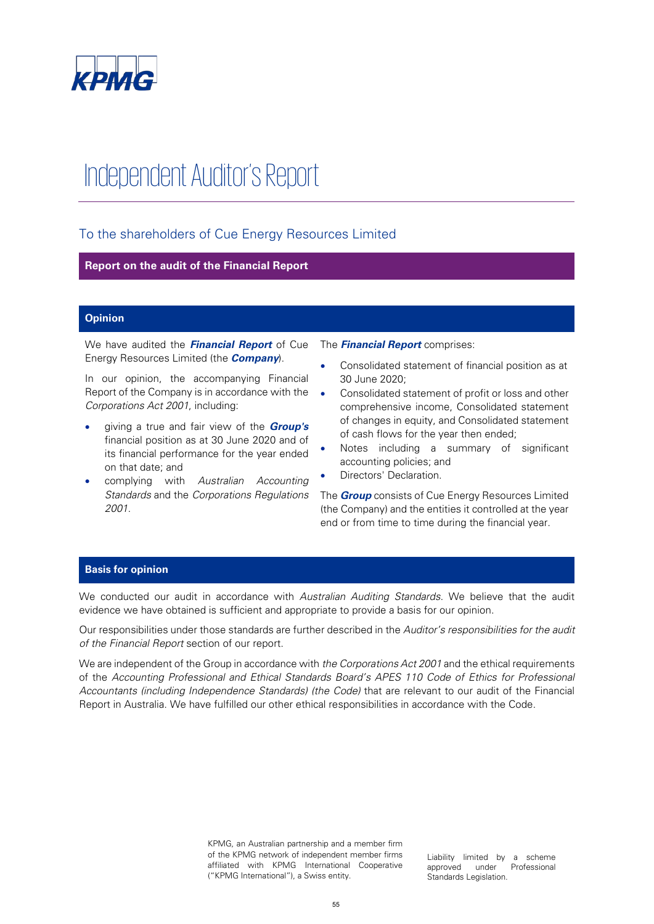

# Independent Auditor's Report

## To the shareholders of Cue Energy Resources Limited

## **Report on the audit of the Financial Report**

## **Opinion**

We have audited the **Financial Report** of Cue Energy Resources Limited (the **Company**).

In our opinion, the accompanying Financial Report of the Company is in accordance with the Corporations Act 2001, including:

- giving a true and fair view of the **Group's** financial position as at 30 June 2020 and of its financial performance for the year ended on that date; and
- complying with Australian Accounting Standards and the Corporations Regulations 2001.

The **Financial Report** comprises:

- Consolidated statement of financial position as at 30 June 2020;
- Consolidated statement of profit or loss and other comprehensive income, Consolidated statement of changes in equity, and Consolidated statement of cash flows for the year then ended;
- Notes including a summary of significant accounting policies; and
- Directors' Declaration.

The **Group** consists of Cue Energy Resources Limited (the Company) and the entities it controlled at the year end or from time to time during the financial year.

## **Basis for opinion**

We conducted our audit in accordance with Australian Auditing Standards. We believe that the audit evidence we have obtained is sufficient and appropriate to provide a basis for our opinion.

Our responsibilities under those standards are further described in the Auditor's responsibilities for the audit of the Financial Report section of our report.

We are independent of the Group in accordance with the Corporations Act 2001 and the ethical requirements of the Accounting Professional and Ethical Standards Board's APES 110 Code of Ethics for Professional Accountants (including Independence Standards) (the Code) that are relevant to our audit of the Financial Report in Australia. We have fulfilled our other ethical responsibilities in accordance with the Code.

> KPMG, an Australian partnership and a member firm of the KPMG network of independent member firms affiliated with KPMG International Cooperative ("KPMG International"), a Swiss entity.

Liability limited by a scheme approved under Professional Standards Legislation.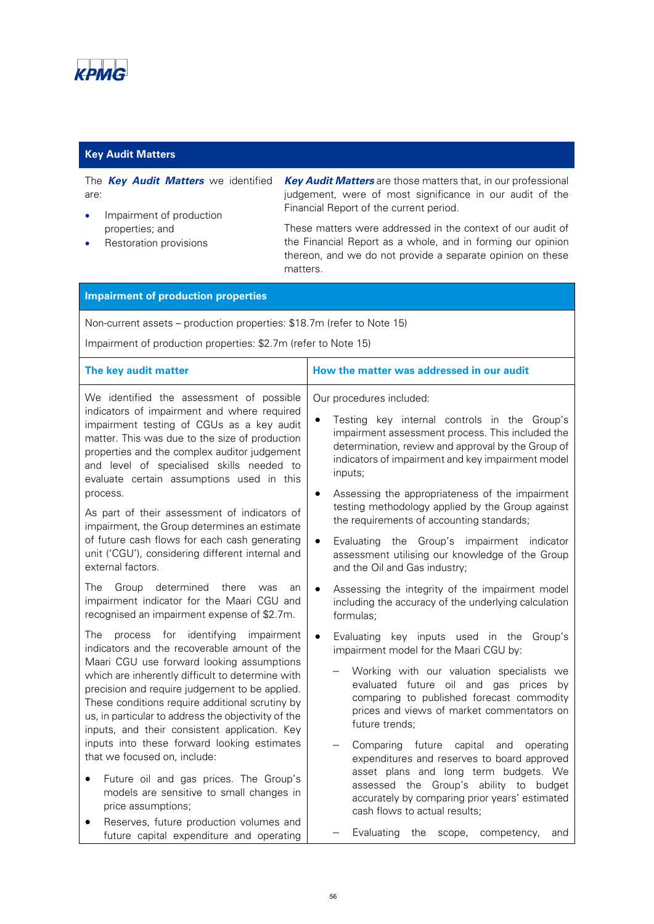

## **Key Audit Matters**

The **Key Audit Matters** we identified are:

- Impairment of production properties; and
- Restoration provisions

**Key Audit Matters** are those matters that, in our professional judgement, were of most significance in our audit of the Financial Report of the current period.

These matters were addressed in the context of our audit of the Financial Report as a whole, and in forming our opinion thereon, and we do not provide a separate opinion on these matters.

## **Impairment of production properties**

Non-current assets – production properties: \$18.7m (refer to Note 15)

Impairment of production properties: \$2.7m (refer to Note 15)

| The key audit matter                                                                                                                                                                                                                                                                                                                         | How the matter was addressed in our audit                                                                                                                                                                                                                                                                          |  |  |  |
|----------------------------------------------------------------------------------------------------------------------------------------------------------------------------------------------------------------------------------------------------------------------------------------------------------------------------------------------|--------------------------------------------------------------------------------------------------------------------------------------------------------------------------------------------------------------------------------------------------------------------------------------------------------------------|--|--|--|
| We identified the assessment of possible<br>indicators of impairment and where required<br>impairment testing of CGUs as a key audit<br>matter. This was due to the size of production<br>properties and the complex auditor judgement<br>and level of specialised skills needed to<br>evaluate certain assumptions used in this<br>process. | Our procedures included:<br>Testing key internal controls in the Group's<br>$\bullet$<br>impairment assessment process. This included the<br>determination, review and approval by the Group of<br>indicators of impairment and key impairment model<br>inputs;<br>Assessing the appropriateness of the impairment |  |  |  |
| As part of their assessment of indicators of<br>impairment, the Group determines an estimate<br>of future cash flows for each cash generating<br>unit ('CGU'), considering different internal and<br>external factors.                                                                                                                       | testing methodology applied by the Group against<br>the requirements of accounting standards;                                                                                                                                                                                                                      |  |  |  |
|                                                                                                                                                                                                                                                                                                                                              | the Group's impairment indicator<br>Evaluating<br>$\bullet$<br>assessment utilising our knowledge of the Group<br>and the Oil and Gas industry;                                                                                                                                                                    |  |  |  |
| determined<br>The<br>Group<br>there<br>was<br>an<br>impairment indicator for the Maari CGU and<br>recognised an impairment expense of \$2.7m.                                                                                                                                                                                                | Assessing the integrity of the impairment model<br>$\bullet$<br>including the accuracy of the underlying calculation<br>formulas;                                                                                                                                                                                  |  |  |  |
| The<br>process for identifying<br>impairment<br>indicators and the recoverable amount of the                                                                                                                                                                                                                                                 | Evaluating<br>key inputs used in the<br>$\bullet$<br>Group's<br>impairment model for the Maari CGU by:                                                                                                                                                                                                             |  |  |  |
| Maari CGU use forward looking assumptions<br>which are inherently difficult to determine with<br>precision and require judgement to be applied.<br>These conditions require additional scrutiny by<br>us, in particular to address the objectivity of the<br>inputs, and their consistent application. Key                                   | Working with our valuation specialists we<br>evaluated future oil and gas prices by<br>comparing to published forecast commodity<br>prices and views of market commentators on<br>future trends;                                                                                                                   |  |  |  |
| inputs into these forward looking estimates<br>that we focused on, include:                                                                                                                                                                                                                                                                  | Comparing future<br>capital and<br>operating<br>expenditures and reserves to board approved                                                                                                                                                                                                                        |  |  |  |
| Future oil and gas prices. The Group's<br>models are sensitive to small changes in<br>price assumptions;                                                                                                                                                                                                                                     | asset plans and long term budgets. We<br>assessed the Group's ability to budget<br>accurately by comparing prior years' estimated<br>cash flows to actual results;                                                                                                                                                 |  |  |  |
| Reserves, future production volumes and<br>future capital expenditure and operating                                                                                                                                                                                                                                                          | Evaluating<br>competency,<br>the<br>scope,<br>and                                                                                                                                                                                                                                                                  |  |  |  |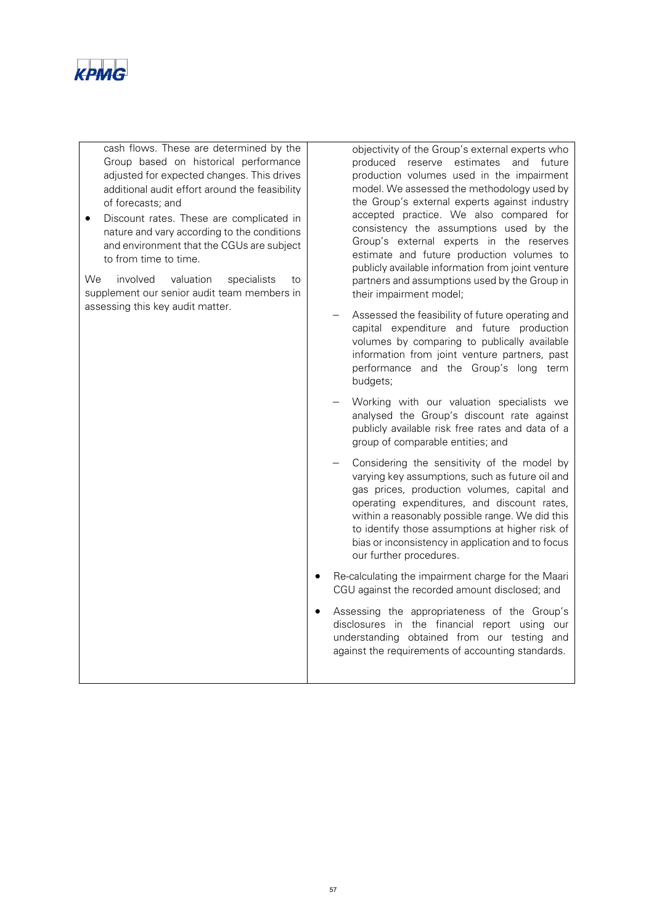

cash flows. These are determined by the Group based on historical performance adjusted for expected changes. This drives additional audit effort around the feasibility of forecasts; and

• Discount rates. These are complicated in nature and vary according to the conditions and environment that the CGUs are subject to from time to time.

We involved valuation specialists to supplement our senior audit team members in assessing this key audit matter.

objectivity of the Group's external experts who produced reserve estimates and future production volumes used in the impairment model. We assessed the methodology used by the Group's external experts against industry accepted practice. We also compared for consistency the assumptions used by the Group's external experts in the reserves estimate and future production volumes to publicly available information from joint venture partners and assumptions used by the Group in their impairment model;

- Assessed the feasibility of future operating and capital expenditure and future production volumes by comparing to publically available information from joint venture partners, past performance and the Group's long term budgets;
- Working with our valuation specialists we analysed the Group's discount rate against publicly available risk free rates and data of a group of comparable entities; and
- Considering the sensitivity of the model by varying key assumptions, such as future oil and gas prices, production volumes, capital and operating expenditures, and discount rates, within a reasonably possible range. We did this to identify those assumptions at higher risk of bias or inconsistency in application and to focus our further procedures.
- Re-calculating the impairment charge for the Maari CGU against the recorded amount disclosed; and
- Assessing the appropriateness of the Group's disclosures in the financial report using our understanding obtained from our testing and against the requirements of accounting standards.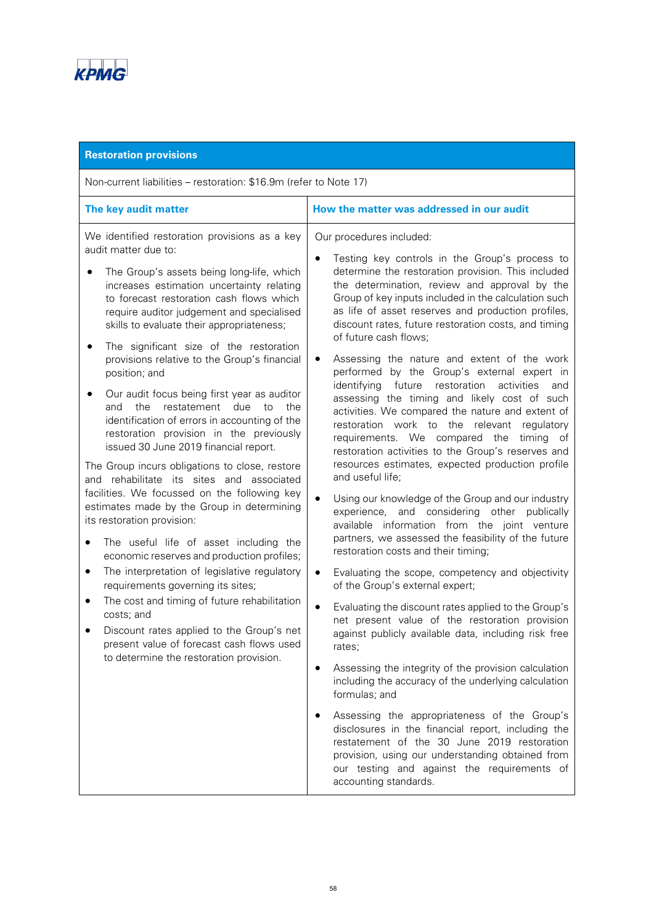

| <b>Restoration provisions</b>                                                                                                                                                                                                                                                                                                                                                                                                                                                                                                                                                                                                                                                                                                                                                                                                                                                                                                                                                                                                                                                                                                                                                                                                                                                                    |                                                                                                                                                                                                                                                                                                                                                                                                                                                                                                                                                                                                                                                                                                                                                                                                                                                                                                                                                                                                                                                                                                                                                                                                                                                                                                                                                                                                                                                                                                                                                                                                                                                                                                                                                                                                                                   |  |  |  |  |
|--------------------------------------------------------------------------------------------------------------------------------------------------------------------------------------------------------------------------------------------------------------------------------------------------------------------------------------------------------------------------------------------------------------------------------------------------------------------------------------------------------------------------------------------------------------------------------------------------------------------------------------------------------------------------------------------------------------------------------------------------------------------------------------------------------------------------------------------------------------------------------------------------------------------------------------------------------------------------------------------------------------------------------------------------------------------------------------------------------------------------------------------------------------------------------------------------------------------------------------------------------------------------------------------------|-----------------------------------------------------------------------------------------------------------------------------------------------------------------------------------------------------------------------------------------------------------------------------------------------------------------------------------------------------------------------------------------------------------------------------------------------------------------------------------------------------------------------------------------------------------------------------------------------------------------------------------------------------------------------------------------------------------------------------------------------------------------------------------------------------------------------------------------------------------------------------------------------------------------------------------------------------------------------------------------------------------------------------------------------------------------------------------------------------------------------------------------------------------------------------------------------------------------------------------------------------------------------------------------------------------------------------------------------------------------------------------------------------------------------------------------------------------------------------------------------------------------------------------------------------------------------------------------------------------------------------------------------------------------------------------------------------------------------------------------------------------------------------------------------------------------------------------|--|--|--|--|
| Non-current liabilities – restoration: \$16.9m (refer to Note 17)                                                                                                                                                                                                                                                                                                                                                                                                                                                                                                                                                                                                                                                                                                                                                                                                                                                                                                                                                                                                                                                                                                                                                                                                                                |                                                                                                                                                                                                                                                                                                                                                                                                                                                                                                                                                                                                                                                                                                                                                                                                                                                                                                                                                                                                                                                                                                                                                                                                                                                                                                                                                                                                                                                                                                                                                                                                                                                                                                                                                                                                                                   |  |  |  |  |
| The key audit matter                                                                                                                                                                                                                                                                                                                                                                                                                                                                                                                                                                                                                                                                                                                                                                                                                                                                                                                                                                                                                                                                                                                                                                                                                                                                             | How the matter was addressed in our audit                                                                                                                                                                                                                                                                                                                                                                                                                                                                                                                                                                                                                                                                                                                                                                                                                                                                                                                                                                                                                                                                                                                                                                                                                                                                                                                                                                                                                                                                                                                                                                                                                                                                                                                                                                                         |  |  |  |  |
| We identified restoration provisions as a key<br>audit matter due to:<br>The Group's assets being long-life, which<br>increases estimation uncertainty relating<br>to forecast restoration cash flows which<br>require auditor judgement and specialised<br>skills to evaluate their appropriateness;<br>The significant size of the restoration<br>provisions relative to the Group's financial<br>position; and<br>Our audit focus being first year as auditor<br>restatement<br>and<br>the<br>due<br>the<br>to<br>identification of errors in accounting of the<br>restoration provision in the previously<br>issued 30 June 2019 financial report.<br>The Group incurs obligations to close, restore<br>and rehabilitate its sites and associated<br>facilities. We focussed on the following key<br>estimates made by the Group in determining<br>its restoration provision:<br>The useful life of asset including the<br>$\bullet$<br>economic reserves and production profiles;<br>The interpretation of legislative regulatory<br>$\bullet$<br>requirements governing its sites;<br>The cost and timing of future rehabilitation<br>٠<br>costs; and<br>Discount rates applied to the Group's net<br>present value of forecast cash flows used<br>to determine the restoration provision. | Our procedures included:<br>Testing key controls in the Group's process to<br>determine the restoration provision. This included<br>the determination, review and approval by the<br>Group of key inputs included in the calculation such<br>as life of asset reserves and production profiles,<br>discount rates, future restoration costs, and timing<br>of future cash flows;<br>Assessing the nature and extent of the work<br>٠<br>performed by the Group's external expert in<br>identifying future<br>restoration<br>activities<br>and<br>assessing the timing and likely cost of such<br>activities. We compared the nature and extent of<br>restoration work to the relevant regulatory<br>requirements. We compared the<br>timing of<br>restoration activities to the Group's reserves and<br>resources estimates, expected production profile<br>and useful life;<br>Using our knowledge of the Group and our industry<br>experience, and considering other publically<br>available information from the joint venture<br>partners, we assessed the feasibility of the future<br>restoration costs and their timing;<br>Evaluating the scope, competency and objectivity<br>$\bullet$<br>of the Group's external expert;<br>Evaluating the discount rates applied to the Group's<br>net present value of the restoration provision<br>against publicly available data, including risk free<br>rates;<br>Assessing the integrity of the provision calculation<br>including the accuracy of the underlying calculation<br>formulas; and<br>Assessing the appropriateness of the Group's<br>disclosures in the financial report, including the<br>restatement of the 30 June 2019 restoration<br>provision, using our understanding obtained from<br>our testing and against the requirements of<br>accounting standards. |  |  |  |  |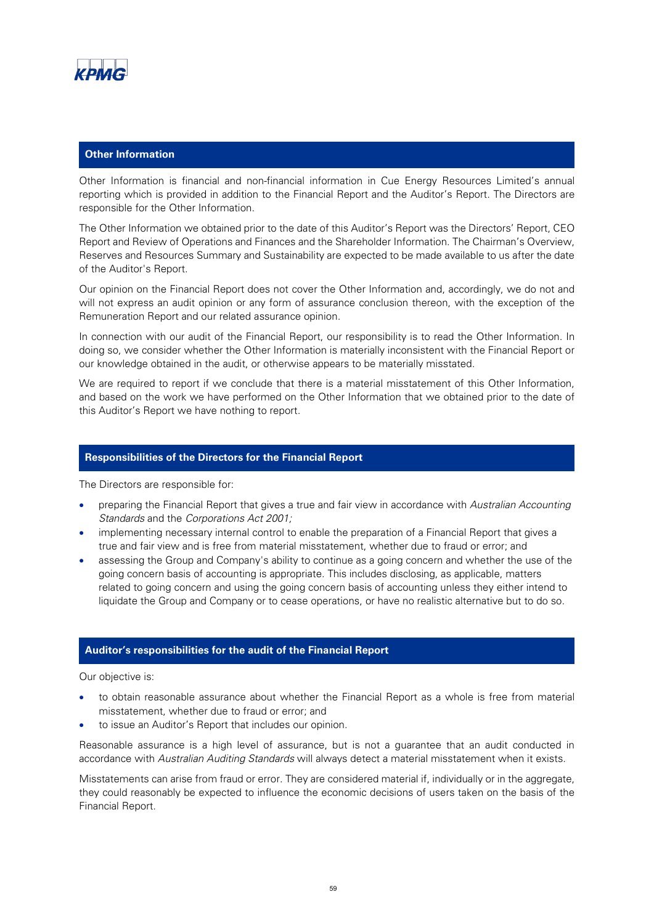

## **Other Information**

Other Information is financial and non-financial information in Cue Energy Resources Limited's annual reporting which is provided in addition to the Financial Report and the Auditor's Report. The Directors are responsible for the Other Information.

The Other Information we obtained prior to the date of this Auditor's Report was the Directors' Report, CEO Report and Review of Operations and Finances and the Shareholder Information. The Chairman's Overview, Reserves and Resources Summary and Sustainability are expected to be made available to us after the date of the Auditor's Report.

Our opinion on the Financial Report does not cover the Other Information and, accordingly, we do not and will not express an audit opinion or any form of assurance conclusion thereon, with the exception of the Remuneration Report and our related assurance opinion.

In connection with our audit of the Financial Report, our responsibility is to read the Other Information. In doing so, we consider whether the Other Information is materially inconsistent with the Financial Report or our knowledge obtained in the audit, or otherwise appears to be materially misstated.

We are required to report if we conclude that there is a material misstatement of this Other Information, and based on the work we have performed on the Other Information that we obtained prior to the date of this Auditor's Report we have nothing to report.

## **Responsibilities of the Directors for the Financial Report**

The Directors are responsible for:

- preparing the Financial Report that gives a true and fair view in accordance with Australian Accounting Standards and the Corporations Act 2001;
- implementing necessary internal control to enable the preparation of a Financial Report that gives a true and fair view and is free from material misstatement, whether due to fraud or error; and
- assessing the Group and Company's ability to continue as a going concern and whether the use of the going concern basis of accounting is appropriate. This includes disclosing, as applicable, matters related to going concern and using the going concern basis of accounting unless they either intend to liquidate the Group and Company or to cease operations, or have no realistic alternative but to do so.

#### **Auditor's responsibilities for the audit of the Financial Report**

Our objective is:

- to obtain reasonable assurance about whether the Financial Report as a whole is free from material misstatement, whether due to fraud or error; and
- to issue an Auditor's Report that includes our opinion.

Reasonable assurance is a high level of assurance, but is not a guarantee that an audit conducted in accordance with Australian Auditing Standards will always detect a material misstatement when it exists.

Misstatements can arise from fraud or error. They are considered material if, individually or in the aggregate, they could reasonably be expected to influence the economic decisions of users taken on the basis of the Financial Report.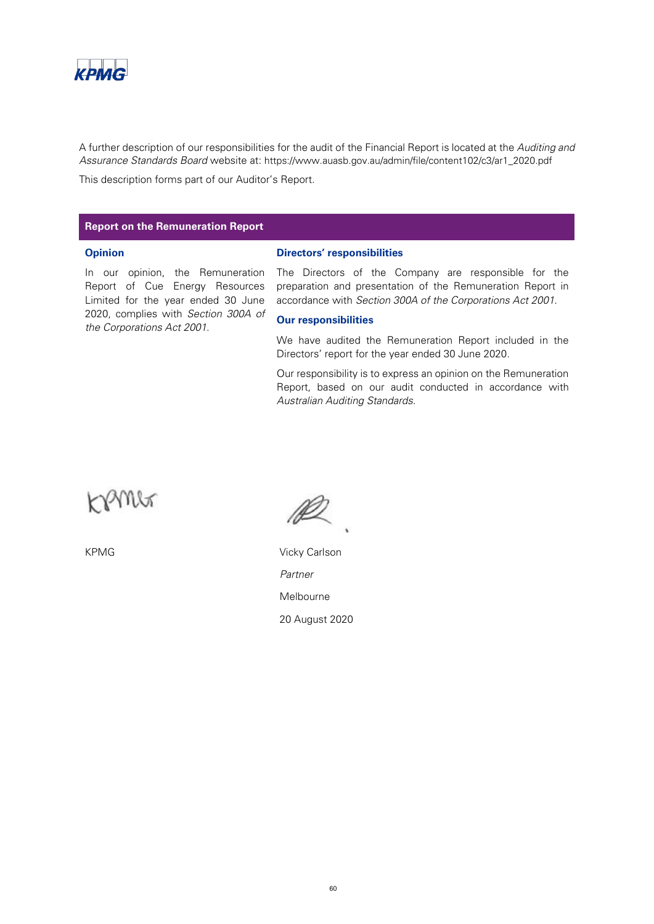

A further description of our responsibilities for the audit of the Financial Report is located at the Auditing and Assurance Standards Board website at: https://www.auasb.gov.au/admin/file/content102/c3/ar1\_2020.pdf

This description forms part of our Auditor's Report.

## **Report on the Remuneration Report**

#### **Opinion**

**Directors' responsibilities**

In our opinion, the Remuneration Report of Cue Energy Resources Limited for the year ended 30 June 2020, complies with Section 300A of the Corporations Act 2001.

The Directors of the Company are responsible for the preparation and presentation of the Remuneration Report in accordance with Section 300A of the Corporations Act 2001.

#### **Our responsibilities**

We have audited the Remuneration Report included in the Directors' report for the year ended 30 June 2020.

Our responsibility is to express an opinion on the Remuneration Report, based on our audit conducted in accordance with Australian Auditing Standards.



KPMG Vicky Carlson Partner Melbourne 20 August 2020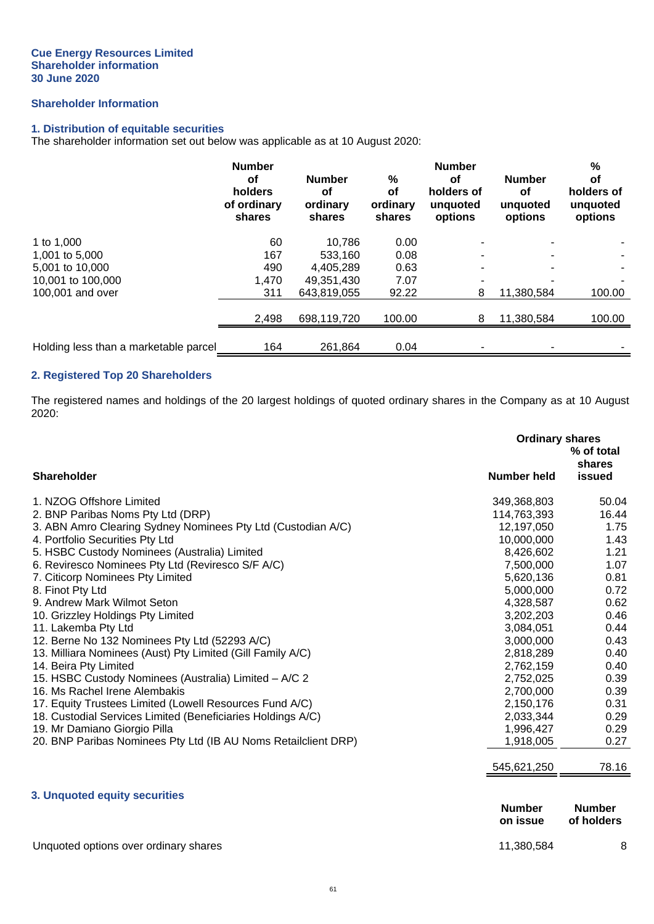## **Shareholder Information**

## **1. Distribution of equitable securities**

The shareholder information set out below was applicable as at 10 August 2020:

|                                       | <b>Number</b><br>οf<br>holders<br>of ordinary<br>shares | <b>Number</b><br>οf<br>ordinary<br>shares | %<br><b>of</b><br>ordinary<br>shares | <b>Number</b><br>οf<br>holders of<br>unguoted<br>options | <b>Number</b><br><b>of</b><br>unquoted<br>options | $\frac{0}{0}$<br>οf<br>holders of<br>unquoted<br>options |
|---------------------------------------|---------------------------------------------------------|-------------------------------------------|--------------------------------------|----------------------------------------------------------|---------------------------------------------------|----------------------------------------------------------|
| 1 to 1,000                            | 60                                                      | 10.786                                    | 0.00                                 |                                                          |                                                   |                                                          |
| 1,001 to 5,000                        | 167                                                     | 533.160                                   | 0.08                                 | -                                                        |                                                   |                                                          |
| 5.001 to 10.000                       | 490                                                     | 4.405.289                                 | 0.63                                 |                                                          |                                                   |                                                          |
| 10,001 to 100,000                     | 1,470                                                   | 49.351.430                                | 7.07                                 | -                                                        |                                                   |                                                          |
| 100,001 and over                      | 311                                                     | 643.819.055                               | 92.22                                | 8                                                        | 11,380,584                                        | 100.00                                                   |
|                                       | 2,498                                                   | 698.119.720                               | 100.00                               | 8                                                        | 11,380,584                                        | 100.00                                                   |
| Holding less than a marketable parcel | 164                                                     | 261,864                                   | 0.04                                 |                                                          |                                                   |                                                          |

## **2. Registered Top 20 Shareholders**

The registered names and holdings of the 20 largest holdings of quoted ordinary shares in the Company as at 10 August 2020:

|                                                                | <b>Ordinary shares</b>    | % of total<br>shares        |
|----------------------------------------------------------------|---------------------------|-----------------------------|
| <b>Shareholder</b>                                             | <b>Number held</b>        | issued                      |
| 1. NZOG Offshore Limited                                       | 349,368,803               | 50.04                       |
| 2. BNP Paribas Noms Pty Ltd (DRP)                              | 114,763,393               | 16.44                       |
| 3. ABN Amro Clearing Sydney Nominees Pty Ltd (Custodian A/C)   | 12,197,050                | 1.75                        |
| 4. Portfolio Securities Pty Ltd                                | 10,000,000                | 1.43                        |
| 5. HSBC Custody Nominees (Australia) Limited                   | 8,426,602                 | 1.21                        |
| 6. Reviresco Nominees Pty Ltd (Reviresco S/F A/C)              | 7,500,000                 | 1.07                        |
| 7. Citicorp Nominees Pty Limited                               | 5,620,136                 | 0.81                        |
| 8. Finot Pty Ltd                                               | 5,000,000                 | 0.72                        |
| 9. Andrew Mark Wilmot Seton                                    | 4,328,587                 | 0.62                        |
| 10. Grizzley Holdings Pty Limited                              | 3,202,203                 | 0.46                        |
| 11. Lakemba Pty Ltd                                            | 3,084,051                 | 0.44                        |
| 12. Berne No 132 Nominees Pty Ltd (52293 A/C)                  | 3,000,000                 | 0.43                        |
| 13. Milliara Nominees (Aust) Pty Limited (Gill Family A/C)     | 2,818,289                 | 0.40                        |
| 14. Beira Pty Limited                                          | 2,762,159                 | 0.40                        |
| 15. HSBC Custody Nominees (Australia) Limited - A/C 2          | 2,752,025                 | 0.39                        |
| 16. Ms Rachel Irene Alembakis                                  | 2,700,000                 | 0.39                        |
| 17. Equity Trustees Limited (Lowell Resources Fund A/C)        | 2,150,176                 | 0.31                        |
| 18. Custodial Services Limited (Beneficiaries Holdings A/C)    | 2,033,344                 | 0.29                        |
| 19. Mr Damiano Giorgio Pilla                                   | 1,996,427                 | 0.29                        |
| 20. BNP Paribas Nominees Pty Ltd (IB AU Noms Retailclient DRP) | 1,918,005                 | 0.27                        |
|                                                                | 545,621,250               | 78.16                       |
| 3. Unquoted equity securities                                  |                           |                             |
|                                                                | <b>Number</b><br>on issue | <b>Number</b><br>of holders |
| Unquoted options over ordinary shares                          | 11,380,584                | 8                           |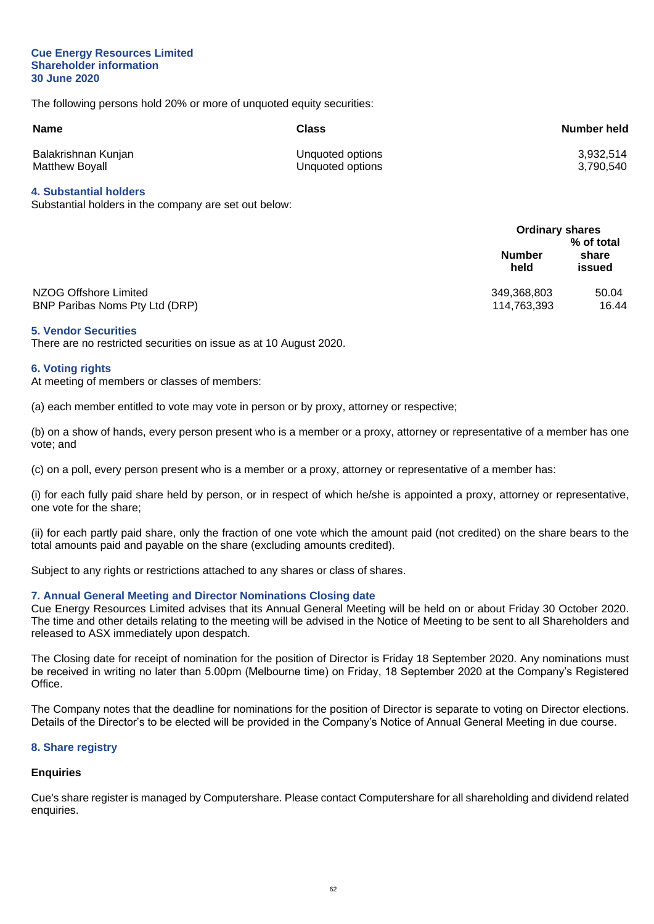#### **Cue Energy Resources Limited Shareholder information 30 June 2020**

The following persons hold 20% or more of unquoted equity securities:

| <b>Name</b>           | Class            | Number held |
|-----------------------|------------------|-------------|
| Balakrishnan Kunjan   | Unquoted options | 3,932,514   |
| <b>Matthew Boyall</b> | Unquoted options | 3,790,540   |

## **4. Substantial holders**

Substantial holders in the company are set out below:

|                                                         | <b>Ordinary shares</b>     | % of total      |
|---------------------------------------------------------|----------------------------|-----------------|
|                                                         | <b>Number</b><br>held      | share<br>issued |
| NZOG Offshore Limited<br>BNP Paribas Noms Pty Ltd (DRP) | 349,368,803<br>114,763,393 | 50.04<br>16.44  |

#### **5. Vendor Securities**

There are no restricted securities on issue as at 10 August 2020.

#### **6. Voting rights**

At meeting of members or classes of members:

(a) each member entitled to vote may vote in person or by proxy, attorney or respective;

(b) on a show of hands, every person present who is a member or a proxy, attorney or representative of a member has one vote; and

(c) on a poll, every person present who is a member or a proxy, attorney or representative of a member has:

(i) for each fully paid share held by person, or in respect of which he/she is appointed a proxy, attorney or representative, one vote for the share;

(ii) for each partly paid share, only the fraction of one vote which the amount paid (not credited) on the share bears to the total amounts paid and payable on the share (excluding amounts credited).

Subject to any rights or restrictions attached to any shares or class of shares.

## **7. Annual General Meeting and Director Nominations Closing date**

Cue Energy Resources Limited advises that its Annual General Meeting will be held on or about Friday 30 October 2020. The time and other details relating to the meeting will be advised in the Notice of Meeting to be sent to all Shareholders and released to ASX immediately upon despatch.

The Closing date for receipt of nomination for the position of Director is Friday 18 September 2020. Any nominations must be received in writing no later than 5.00pm (Melbourne time) on Friday, 18 September 2020 at the Company's Registered Office.

The Company notes that the deadline for nominations for the position of Director is separate to voting on Director elections. Details of the Director's to be elected will be provided in the Company's Notice of Annual General Meeting in due course.

#### **8. Share registry**

## **Enquiries**

Cue's share register is managed by Computershare. Please contact Computershare for all shareholding and dividend related enquiries.